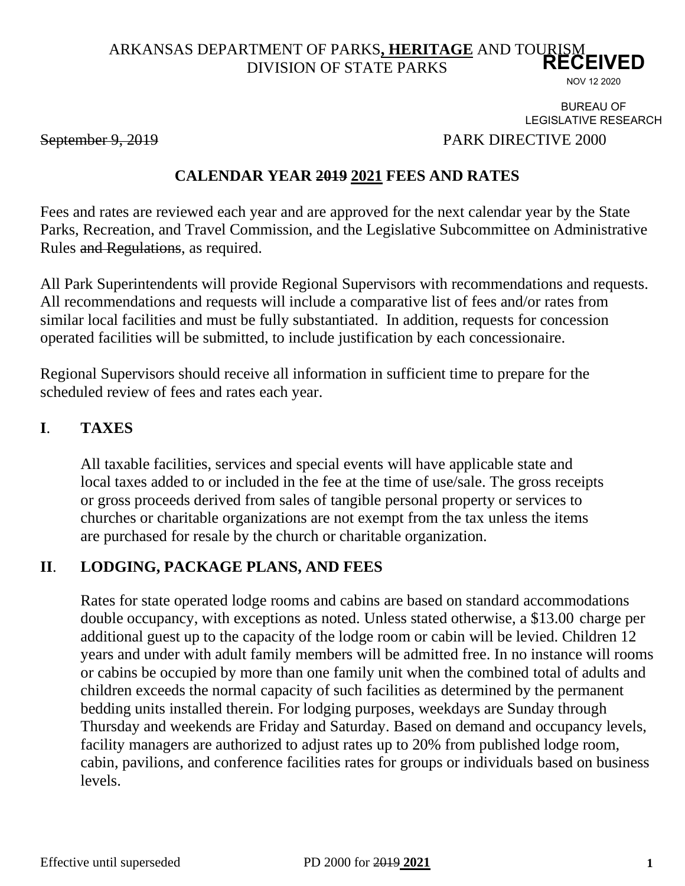#### ARKANSAS DEPARTMENT OF PARKS**, HERITAGE** AND TOURISM DIVISION OF STATE PARKS **RECEIVED**

NOV 12 2020

BUREAU OF LEGISLATIVE RESEARCH

September 9, 2019 PARK DIRECTIVE 2000

## **CALENDAR YEAR 2019 2021 FEES AND RATES**

Fees and rates are reviewed each year and are approved for the next calendar year by the State Parks, Recreation, and Travel Commission, and the Legislative Subcommittee on Administrative Rules and Regulations, as required.

All Park Superintendents will provide Regional Supervisors with recommendations and requests. All recommendations and requests will include a comparative list of fees and/or rates from similar local facilities and must be fully substantiated. In addition, requests for concession operated facilities will be submitted, to include justification by each concessionaire.

Regional Supervisors should receive all information in sufficient time to prepare for the scheduled review of fees and rates each year.

#### **I**. **TAXES**

All taxable facilities, services and special events will have applicable state and local taxes added to or included in the fee at the time of use/sale. The gross receipts or gross proceeds derived from sales of tangible personal property or services to churches or charitable organizations are not exempt from the tax unless the items are purchased for resale by the church or charitable organization.

## **II**. **LODGING, PACKAGE PLANS, AND FEES**

Rates for state operated lodge rooms and cabins are based on standard accommodations double occupancy, with exceptions as noted. Unless stated otherwise, a \$13.00 charge per additional guest up to the capacity of the lodge room or cabin will be levied. Children 12 years and under with adult family members will be admitted free. In no instance will rooms or cabins be occupied by more than one family unit when the combined total of adults and children exceeds the normal capacity of such facilities as determined by the permanent bedding units installed therein. For lodging purposes, weekdays are Sunday through Thursday and weekends are Friday and Saturday. Based on demand and occupancy levels, facility managers are authorized to adjust rates up to 20% from published lodge room, cabin, pavilions, and conference facilities rates for groups or individuals based on business levels.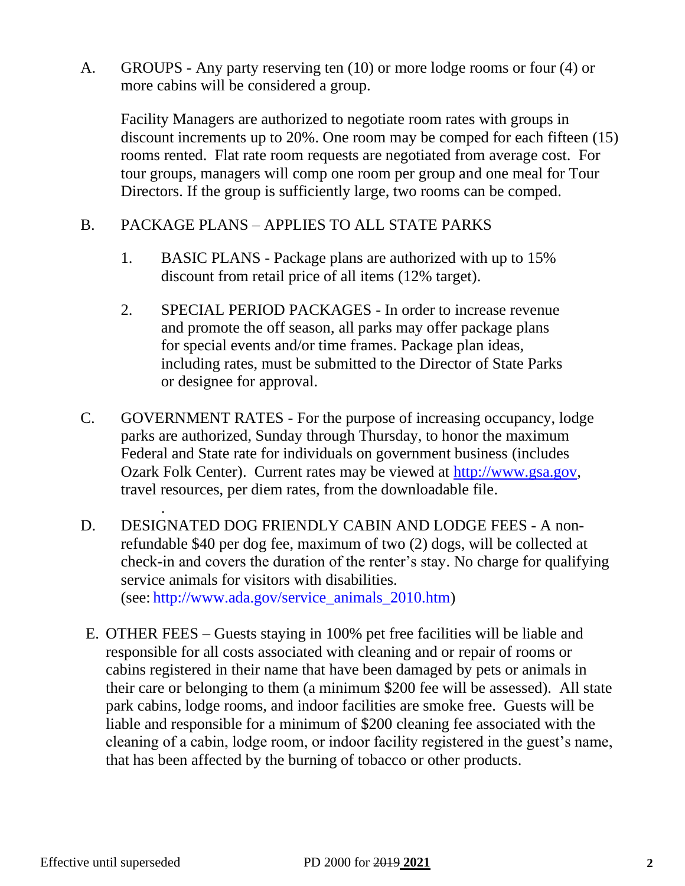A. GROUPS - Any party reserving ten (10) or more lodge rooms or four (4) or more cabins will be considered a group.

Facility Managers are authorized to negotiate room rates with groups in discount increments up to 20%. One room may be comped for each fifteen (15) rooms rented. Flat rate room requests are negotiated from average cost. For tour groups, managers will comp one room per group and one meal for Tour Directors. If the group is sufficiently large, two rooms can be comped.

## B. PACKAGE PLANS – APPLIES TO ALL STATE PARKS

- 1. BASIC PLANS Package plans are authorized with up to 15% discount from retail price of all items (12% target).
- 2. SPECIAL PERIOD PACKAGES In order to increase revenue and promote the off season, all parks may offer package plans for special events and/or time frames. Package plan ideas, including rates, must be submitted to the Director of State Parks or designee for approval.
- C. GOVERNMENT RATES For the purpose of increasing occupancy, lodge parks are authorized, Sunday through Thursday, to honor the maximum Federal and State rate for individuals on government business (includes Ozark Folk Center). Current rates may be viewed at [http://www.gsa.gov,](http://www.gsa.gov/) travel resources, per diem rates, from the downloadable file.
- D. DESIGNATED DOG FRIENDLY CABIN AND LODGE FEES A nonrefundable \$40 per dog fee, maximum of two (2) dogs, will be collected at check-in and covers the duration of the renter's stay. No charge for qualifying service animals for visitors with disabilities. (see: [http://www.ada.gov/service\\_animals\\_2010.htm\)](http://www.ada.gov/service_animals_2010.htm)
- E. OTHER FEES Guests staying in 100% pet free facilities will be liable and responsible for all costs associated with cleaning and or repair of rooms or cabins registered in their name that have been damaged by pets or animals in their care or belonging to them (a minimum \$200 fee will be assessed). All state park cabins, lodge rooms, and indoor facilities are smoke free. Guests will be liable and responsible for a minimum of \$200 cleaning fee associated with the cleaning of a cabin, lodge room, or indoor facility registered in the guest's name, that has been affected by the burning of tobacco or other products.

.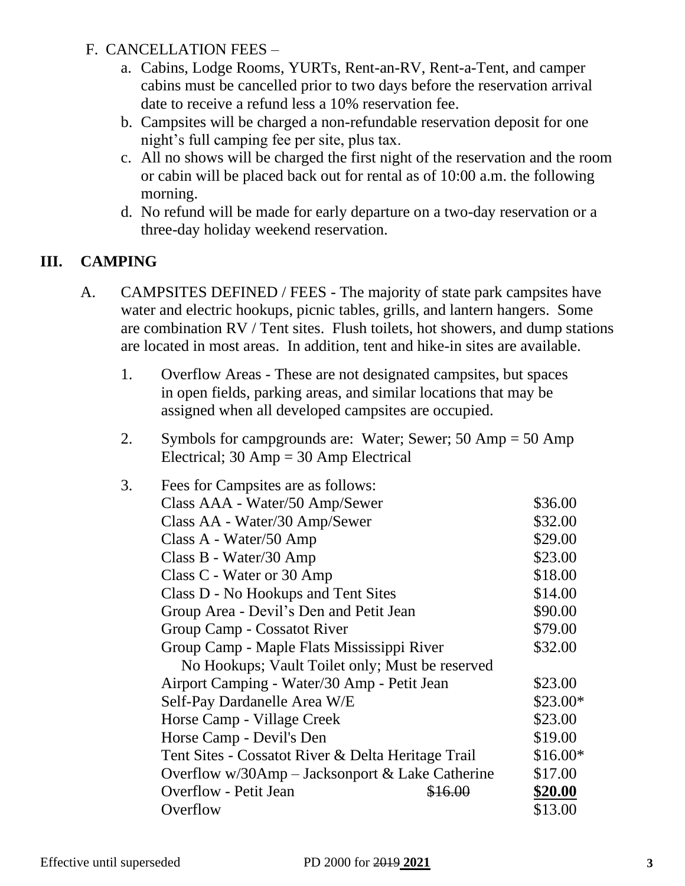## F. CANCELLATION FEES –

- a. Cabins, Lodge Rooms, YURTs, Rent-an-RV, Rent-a-Tent, and camper cabins must be cancelled prior to two days before the reservation arrival date to receive a refund less a 10% reservation fee.
- b. Campsites will be charged a non-refundable reservation deposit for one night's full camping fee per site, plus tax.
- c. All no shows will be charged the first night of the reservation and the room or cabin will be placed back out for rental as of 10:00 a.m. the following morning.
- d. No refund will be made for early departure on a two-day reservation or a three-day holiday weekend reservation.

## **III. CAMPING**

- A. CAMPSITES DEFINED / FEES The majority of state park campsites have water and electric hookups, picnic tables, grills, and lantern hangers. Some are combination RV / Tent sites. Flush toilets, hot showers, and dump stations are located in most areas. In addition, tent and hike-in sites are available.
	- 1. Overflow Areas These are not designated campsites, but spaces in open fields, parking areas, and similar locations that may be assigned when all developed campsites are occupied.
	- 2. Symbols for campgrounds are: Water; Sewer; 50 Amp = 50 Amp Electrical;  $30 \text{ Amp} = 30 \text{ Amp}$  Electrical

| 3. | Fees for Campsites are as follows:                 |           |
|----|----------------------------------------------------|-----------|
|    | Class AAA - Water/50 Amp/Sewer                     | \$36.00   |
|    | Class AA - Water/30 Amp/Sewer                      | \$32.00   |
|    | Class A - Water/50 Amp                             | \$29.00   |
|    | Class B - Water/30 Amp                             | \$23.00   |
|    | Class C - Water or 30 Amp                          | \$18.00   |
|    | Class D - No Hookups and Tent Sites                | \$14.00   |
|    | Group Area - Devil's Den and Petit Jean            | \$90.00   |
|    | Group Camp - Cossatot River                        | \$79.00   |
|    | Group Camp - Maple Flats Mississippi River         | \$32.00   |
|    | No Hookups; Vault Toilet only; Must be reserved    |           |
|    | Airport Camping - Water/30 Amp - Petit Jean        | \$23.00   |
|    | Self-Pay Dardanelle Area W/E                       | \$23.00*  |
|    | Horse Camp - Village Creek                         | \$23.00   |
|    | Horse Camp - Devil's Den                           | \$19.00   |
|    | Tent Sites - Cossatot River & Delta Heritage Trail | $$16.00*$ |
|    | Overflow w/30Amp - Jacksonport & Lake Catherine    | \$17.00   |
|    | <b>Overflow</b> - Petit Jean<br><del>16.00</del>   | \$20.00   |
|    | Overflow                                           | \$13.00   |
|    |                                                    |           |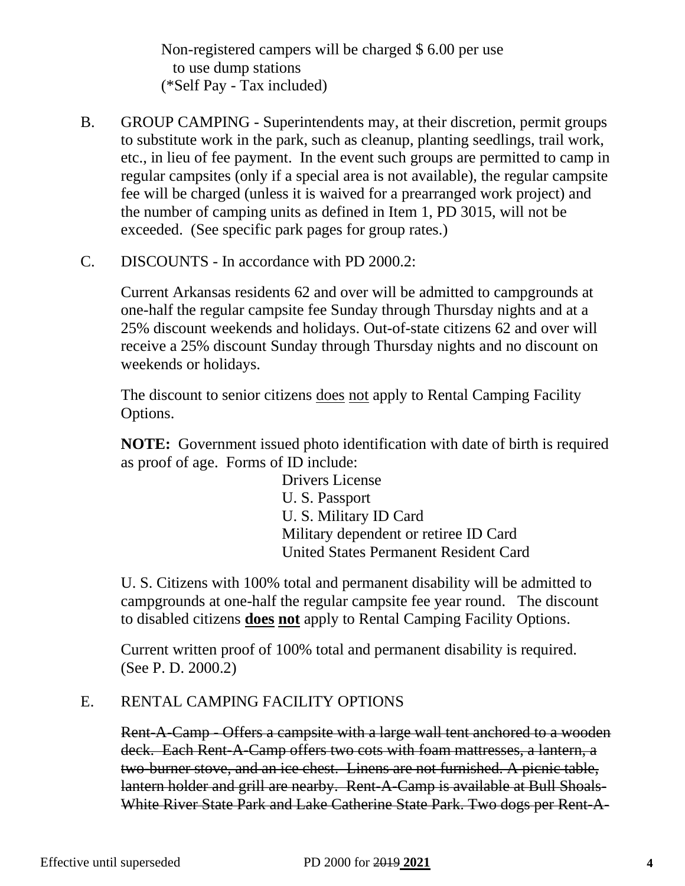Non-registered campers will be charged \$ 6.00 per use to use dump stations (\*Self Pay - Tax included)

- B. GROUP CAMPING Superintendents may, at their discretion, permit groups to substitute work in the park, such as cleanup, planting seedlings, trail work, etc., in lieu of fee payment. In the event such groups are permitted to camp in regular campsites (only if a special area is not available), the regular campsite fee will be charged (unless it is waived for a prearranged work project) and the number of camping units as defined in Item 1, PD 3015, will not be exceeded. (See specific park pages for group rates.)
- C. DISCOUNTS In accordance with PD 2000.2:

Current Arkansas residents 62 and over will be admitted to campgrounds at one-half the regular campsite fee Sunday through Thursday nights and at a 25% discount weekends and holidays. Out-of-state citizens 62 and over will receive a 25% discount Sunday through Thursday nights and no discount on weekends or holidays.

The discount to senior citizens does not apply to Rental Camping Facility Options.

**NOTE:** Government issued photo identification with date of birth is required as proof of age. Forms of ID include:

> Drivers License U. S. Passport U. S. Military ID Card Military dependent or retiree ID Card United States Permanent Resident Card

U. S. Citizens with 100% total and permanent disability will be admitted to campgrounds at one-half the regular campsite fee year round. The discount to disabled citizens **does not** apply to Rental Camping Facility Options.

Current written proof of 100% total and permanent disability is required. (See P. D. 2000.2)

## E. RENTAL CAMPING FACILITY OPTIONS

Rent-A-Camp - Offers a campsite with a large wall tent anchored to a wooden deck. Each Rent-A-Camp offers two cots with foam mattresses, a lantern, a two-burner stove, and an ice chest. Linens are not furnished. A picnic table, lantern holder and grill are nearby. Rent-A-Camp is available at Bull Shoals-White River State Park and Lake Catherine State Park. Two dogs per Rent-A-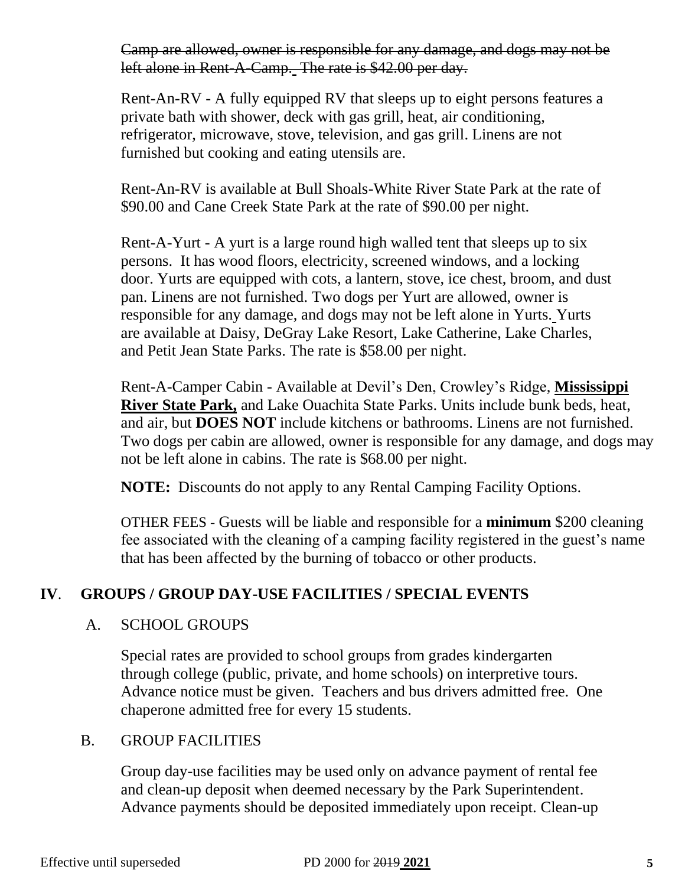Camp are allowed, owner is responsible for any damage, and dogs may not be left alone in Rent-A-Camp. The rate is \$42.00 per day.

Rent-An-RV - A fully equipped RV that sleeps up to eight persons features a private bath with shower, deck with gas grill, heat, air conditioning, refrigerator, microwave, stove, television, and gas grill. Linens are not furnished but cooking and eating utensils are.

Rent-An-RV is available at Bull Shoals-White River State Park at the rate of \$90.00 and Cane Creek State Park at the rate of \$90.00 per night.

Rent-A-Yurt - A yurt is a large round high walled tent that sleeps up to six persons. It has wood floors, electricity, screened windows, and a locking door. Yurts are equipped with cots, a lantern, stove, ice chest, broom, and dust pan. Linens are not furnished. Two dogs per Yurt are allowed, owner is responsible for any damage, and dogs may not be left alone in Yurts. Yurts are available at Daisy, DeGray Lake Resort, Lake Catherine, Lake Charles, and Petit Jean State Parks. The rate is \$58.00 per night.

Rent-A-Camper Cabin - Available at Devil's Den, Crowley's Ridge, **Mississippi River State Park,** and Lake Ouachita State Parks. Units include bunk beds, heat, and air, but **DOES NOT** include kitchens or bathrooms. Linens are not furnished. Two dogs per cabin are allowed, owner is responsible for any damage, and dogs may not be left alone in cabins. The rate is \$68.00 per night.

**NOTE:** Discounts do not apply to any Rental Camping Facility Options.

OTHER FEES - Guests will be liable and responsible for a **minimum** \$200 cleaning fee associated with the cleaning of a camping facility registered in the guest's name that has been affected by the burning of tobacco or other products.

## **IV**. **GROUPS / GROUP DAY-USE FACILITIES / SPECIAL EVENTS**

#### A. SCHOOL GROUPS

Special rates are provided to school groups from grades kindergarten through college (public, private, and home schools) on interpretive tours. Advance notice must be given. Teachers and bus drivers admitted free. One chaperone admitted free for every 15 students.

#### B. GROUP FACILITIES

Group day-use facilities may be used only on advance payment of rental fee and clean-up deposit when deemed necessary by the Park Superintendent. Advance payments should be deposited immediately upon receipt. Clean-up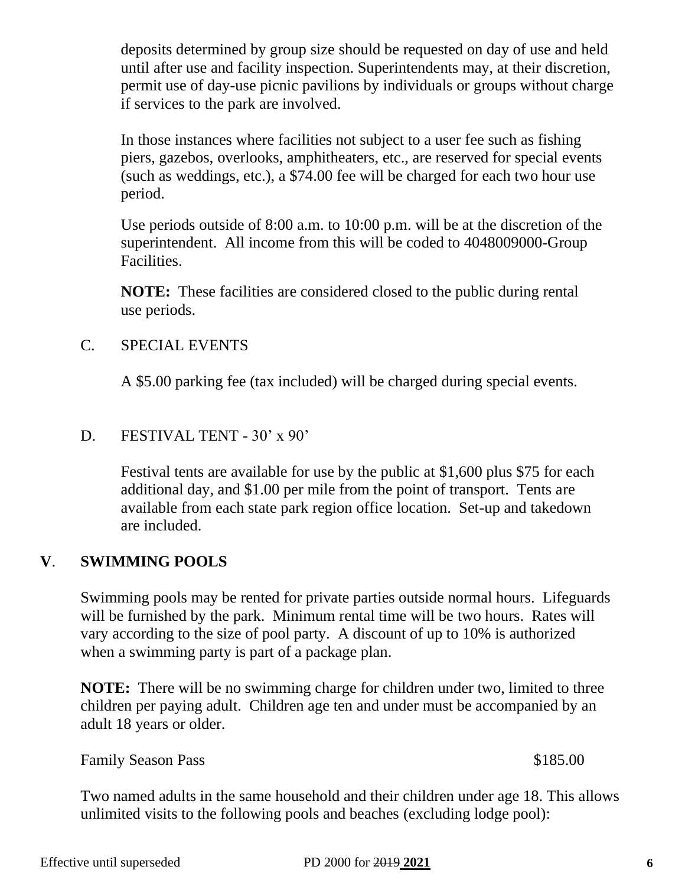until after use and facility inspection. Superintendents may, at their discretion, permit use of day-use picnic pavilions by individuals or groups without charge if services to the park are involved.

deposits determined by group size should be requested on day of use and held

In those instances where facilities not subject to a user fee such as fishing piers, gazebos, overlooks, amphitheaters, etc., are reserved for special events (such as weddings, etc.), a \$74.00 fee will be charged for each two hour use period.

Use periods outside of 8:00 a.m. to 10:00 p.m. will be at the discretion of the superintendent. All income from this will be coded to 4048009000-Group Facilities.

**NOTE:** These facilities are considered closed to the public during rental use periods.

## C. SPECIAL EVENTS

A \$5.00 parking fee (tax included) will be charged during special events.

## D. FESTIVAL TENT - 30' x 90'

Festival tents are available for use by the public at \$1,600 plus \$75 for each additional day, and \$1.00 per mile from the point of transport. Tents are available from each state park region office location. Set-up and takedown are included.

## **V**. **SWIMMING POOLS**

Swimming pools may be rented for private parties outside normal hours. Lifeguards will be furnished by the park. Minimum rental time will be two hours. Rates will vary according to the size of pool party. A discount of up to 10% is authorized when a swimming party is part of a package plan.

**NOTE:** There will be no swimming charge for children under two, limited to three children per paying adult. Children age ten and under must be accompanied by an adult 18 years or older.

Family Season Pass \$185.00

Two named adults in the same household and their children under age 18. This allows unlimited visits to the following pools and beaches (excluding lodge pool):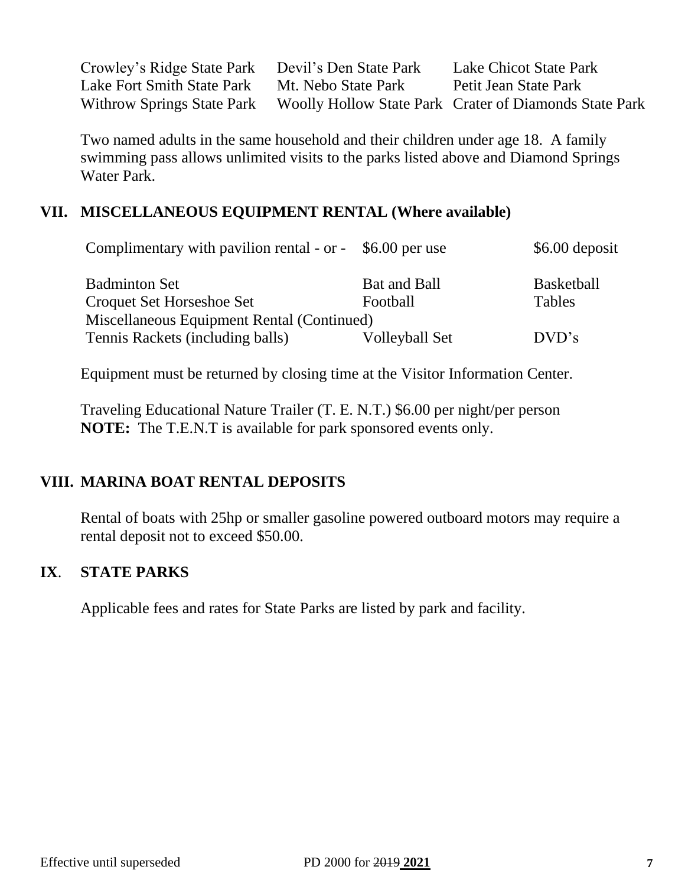| Crowley's Ridge State Park Devil's Den State Park |                     | Lake Chicot State Park                                                            |
|---------------------------------------------------|---------------------|-----------------------------------------------------------------------------------|
| Lake Fort Smith State Park                        | Mt. Nebo State Park | Petit Jean State Park                                                             |
|                                                   |                     | Withrow Springs State Park Woolly Hollow State Park Crater of Diamonds State Park |

Two named adults in the same household and their children under age 18. A family swimming pass allows unlimited visits to the parks listed above and Diamond Springs Water Park.

## **VII. MISCELLANEOUS EQUIPMENT RENTAL (Where available)**

| Complimentary with pavilion rental - or - $$6.00$ per use |                | \$6.00 deposit    |
|-----------------------------------------------------------|----------------|-------------------|
| <b>Badminton Set</b>                                      | Bat and Ball   | <b>Basketball</b> |
| Croquet Set Horseshoe Set                                 | Football       | <b>Tables</b>     |
| Miscellaneous Equipment Rental (Continued)                |                |                   |
| Tennis Rackets (including balls)                          | Volleyball Set | DVD's             |

Equipment must be returned by closing time at the Visitor Information Center.

Traveling Educational Nature Trailer (T. E. N.T.) \$6.00 per night/per person **NOTE:** The T.E.N.T is available for park sponsored events only.

## **VIII. MARINA BOAT RENTAL DEPOSITS**

Rental of boats with 25hp or smaller gasoline powered outboard motors may require a rental deposit not to exceed \$50.00.

## **IX**. **STATE PARKS**

Applicable fees and rates for State Parks are listed by park and facility.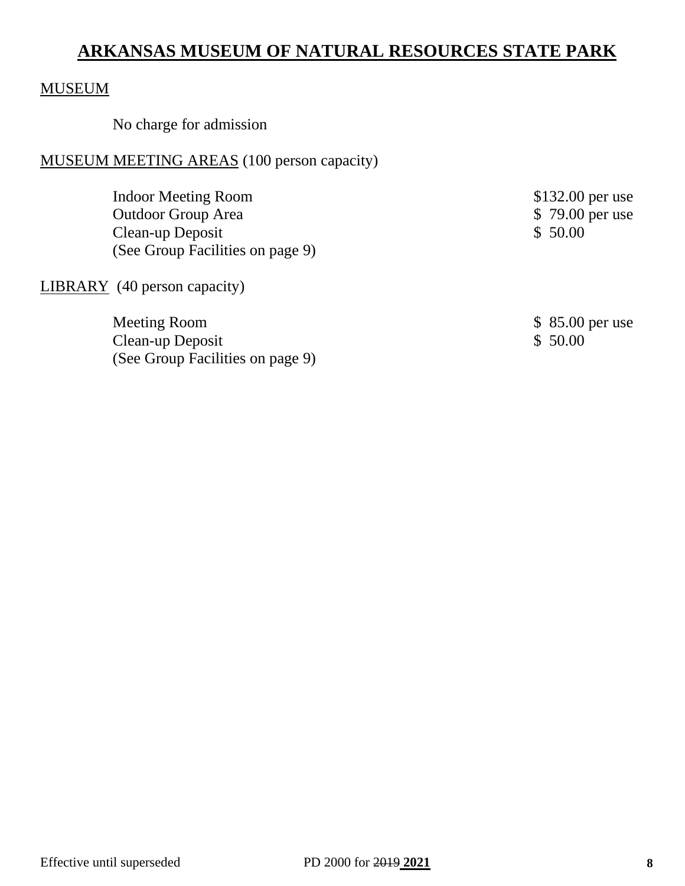## **ARKANSAS MUSEUM OF NATURAL RESOURCES STATE PARK**

## MUSEUM

No charge for admission

#### MUSEUM MEETING AREAS (100 person capacity)

Indoor Meeting Room \$132.00 per use Outdoor Group Area  $\frac{1}{2}$  \$ 79.00 per use<br>Clean-up Deposit \$ 50.00 Clean-up Deposit (See Group Facilities on page 9)

LIBRARY (40 person capacity)

Meeting Room \$ 85.00 per use Clean-up Deposit \$ 50.00 (See Group Facilities on page 9)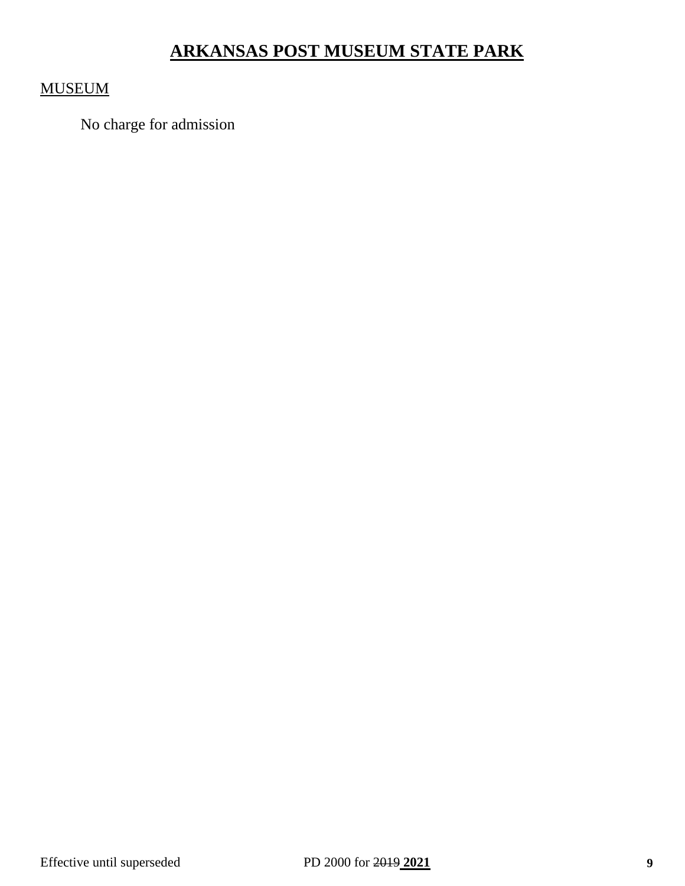# **ARKANSAS POST MUSEUM STATE PARK**

## MUSEUM

No charge for admission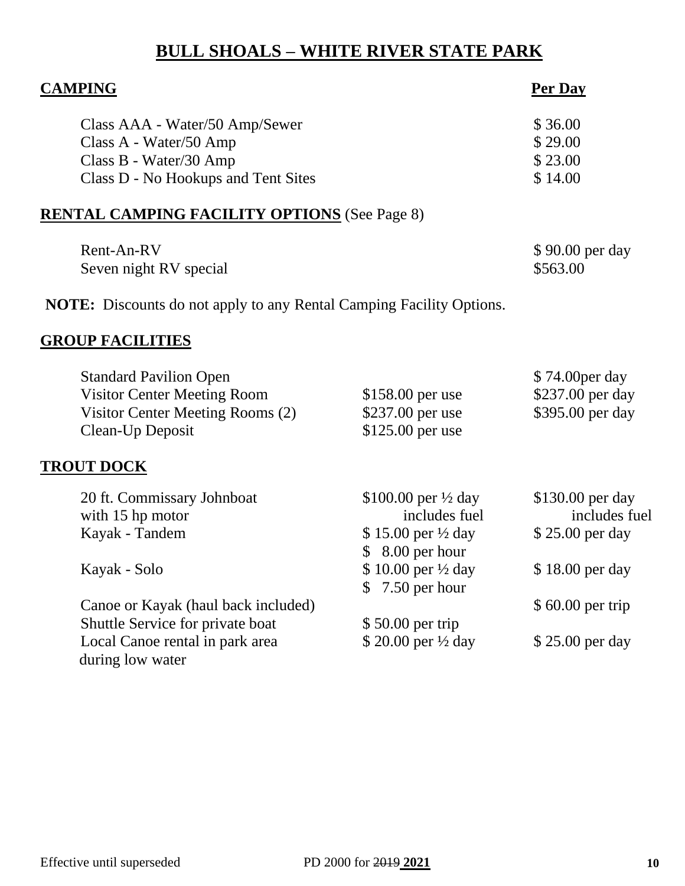# **BULL SHOALS – WHITE RIVER STATE PARK**

| <b>CAMPING</b>                                                                                                              |                                                                                                    | <b>Per Day</b>                                          |
|-----------------------------------------------------------------------------------------------------------------------------|----------------------------------------------------------------------------------------------------|---------------------------------------------------------|
| Class AAA - Water/50 Amp/Sewer<br>Class A - Water/50 Amp<br>Class B - Water/30 Amp<br>Class D - No Hookups and Tent Sites   |                                                                                                    | \$36.00<br>\$29.00<br>\$23.00<br>\$14.00                |
| <b>RENTAL CAMPING FACILITY OPTIONS</b> (See Page 8)                                                                         |                                                                                                    |                                                         |
| Rent-An-RV<br>Seven night RV special                                                                                        |                                                                                                    | \$90.00 per day<br>\$563.00                             |
| <b>NOTE:</b> Discounts do not apply to any Rental Camping Facility Options.                                                 |                                                                                                    |                                                         |
| <b>GROUP FACILITIES</b>                                                                                                     |                                                                                                    |                                                         |
| <b>Standard Pavilion Open</b><br><b>Visitor Center Meeting Room</b><br>Visitor Center Meeting Rooms (2)<br>Clean-Up Deposit | $$158.00$ per use<br>\$237.00 per use<br>\$125.00 per use                                          | \$74.00 per day<br>\$237.00 per day<br>\$395.00 per day |
| <u>TROUT DOCK</u>                                                                                                           |                                                                                                    |                                                         |
| 20 ft. Commissary Johnboat<br>with 15 hp motor<br>Kayak - Tandem                                                            | \$100.00 per $\frac{1}{2}$ day<br>includes fuel<br>$$15.00$ per $\frac{1}{2}$ day<br>8.00 per hour | \$130.00 per day<br>includes fuel<br>\$25.00 per day    |
| Kayak - Solo                                                                                                                | \$10.00 per 1/2 day<br>7.50 per hour<br>\$                                                         | \$18.00 per day                                         |
| Canoe or Kayak (haul back included)<br>Shuttle Service for private boat                                                     | \$50.00 per trip                                                                                   | $$60.00$ per trip                                       |
| Local Canoe rental in park area<br>during low water                                                                         | \$20.00 per 1/2 day                                                                                | \$25.00 per day                                         |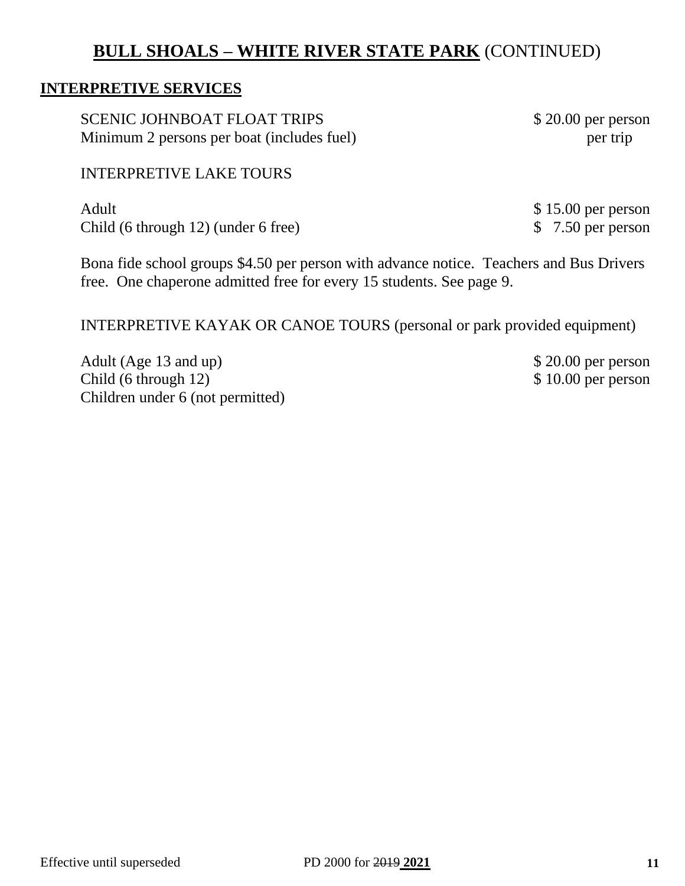## **BULL SHOALS – WHITE RIVER STATE PARK** (CONTINUED)

#### **INTERPRETIVE SERVICES**

SCENIC JOHNBOAT FLOAT TRIPS \$20.00 per person Minimum 2 persons per boat (includes fuel) per trip

#### INTERPRETIVE LAKE TOURS

Adult \$15.00 per person Child (6 through 12) (under 6 free) \$ 7.50 per person

Bona fide school groups \$4.50 per person with advance notice. Teachers and Bus Drivers free. One chaperone admitted free for every 15 students. See page 9.

INTERPRETIVE KAYAK OR CANOE TOURS (personal or park provided equipment)

Adult (Age 13 and up) \$ 20.00 per person<br>Child (6 through 12) \$ 10.00 per person Child  $(6 throught 12)$ Children under 6 (not permitted)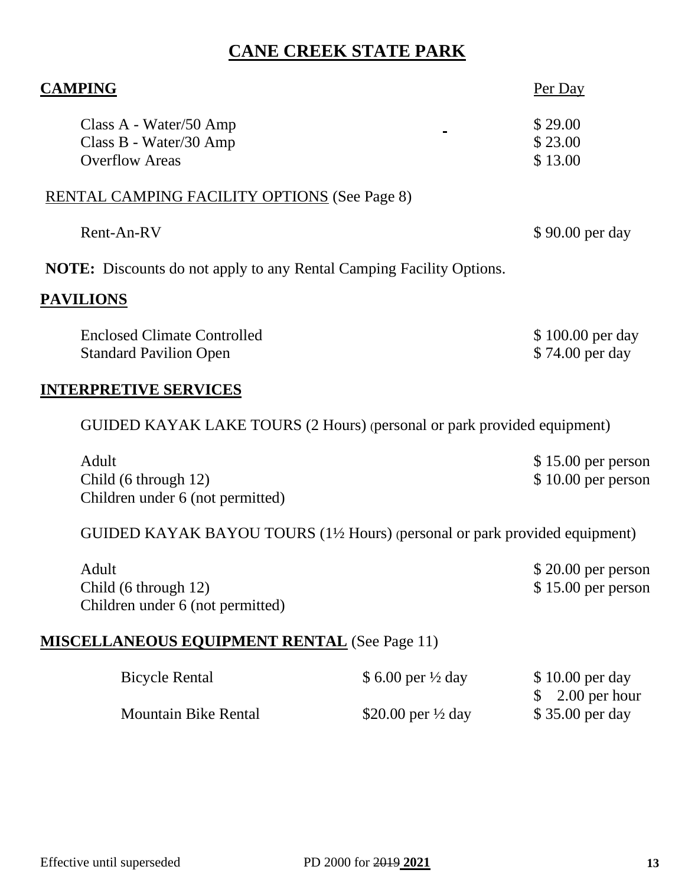## **CANE CREEK STATE PARK**

| Per Day                                                                     |
|-----------------------------------------------------------------------------|
| \$29.00<br>\$23.00                                                          |
| \$13.00                                                                     |
| <b>RENTAL CAMPING FACILITY OPTIONS (See Page 8)</b>                         |
| \$90.00 per day                                                             |
| <b>NOTE:</b> Discounts do not apply to any Rental Camping Facility Options. |
|                                                                             |
| \$100.00 per day                                                            |
| \$74.00 per day                                                             |
|                                                                             |

GUIDED KAYAK LAKE TOURS (2 Hours) (personal or park provided equipment)

| Adult                            | $$15.00$ per person |
|----------------------------------|---------------------|
| Child $(6 \text{ through } 12)$  | $$10.00$ per person |
| Children under 6 (not permitted) |                     |

GUIDED KAYAK BAYOU TOURS (1½ Hours) (personal or park provided equipment)

| Adult                            | $$20.00$ per person |
|----------------------------------|---------------------|
| Child $(6 \t{through } 12)$      | $$15.00$ per person |
| Children under 6 (not permitted) |                     |

## **MISCELLANEOUS EQUIPMENT RENTAL** (See Page 11)

| <b>Bicycle Rental</b> | \$ 6.00 per $\frac{1}{2}$ day | $$10.00$ per day            |
|-----------------------|-------------------------------|-----------------------------|
|                       |                               | $\frac{1}{2}$ 2.00 per hour |
| Mountain Bike Rental  | \$20.00 per $\frac{1}{2}$ day | \$35.00 per day             |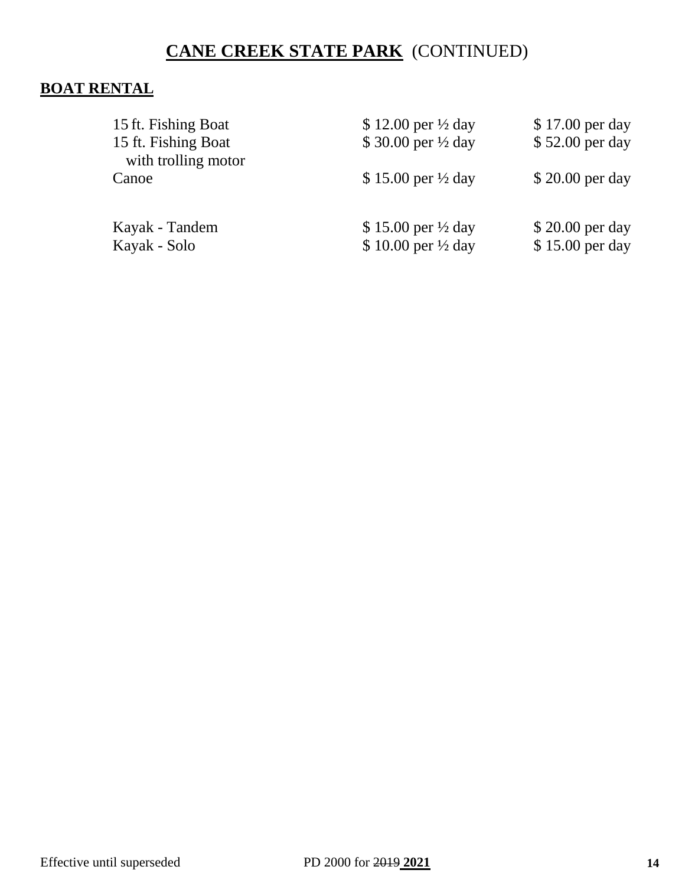# **CANE CREEK STATE PARK** (CONTINUED)

## **BOAT RENTAL**

| 15 ft. Fishing Boat<br>15 ft. Fishing Boat<br>with trolling motor | \$12.00 per $\frac{1}{2}$ day<br>\$30.00 per 1/2 day            | \$17.00 per day<br>\$52.00 per day |
|-------------------------------------------------------------------|-----------------------------------------------------------------|------------------------------------|
| Canoe                                                             | \$15.00 per $\frac{1}{2}$ day                                   | \$20.00 per day                    |
| Kayak - Tandem<br>Kayak - Solo                                    | \$15.00 per $\frac{1}{2}$ day<br>$$10.00$ per $\frac{1}{2}$ day | \$20.00 per day<br>\$15.00 per day |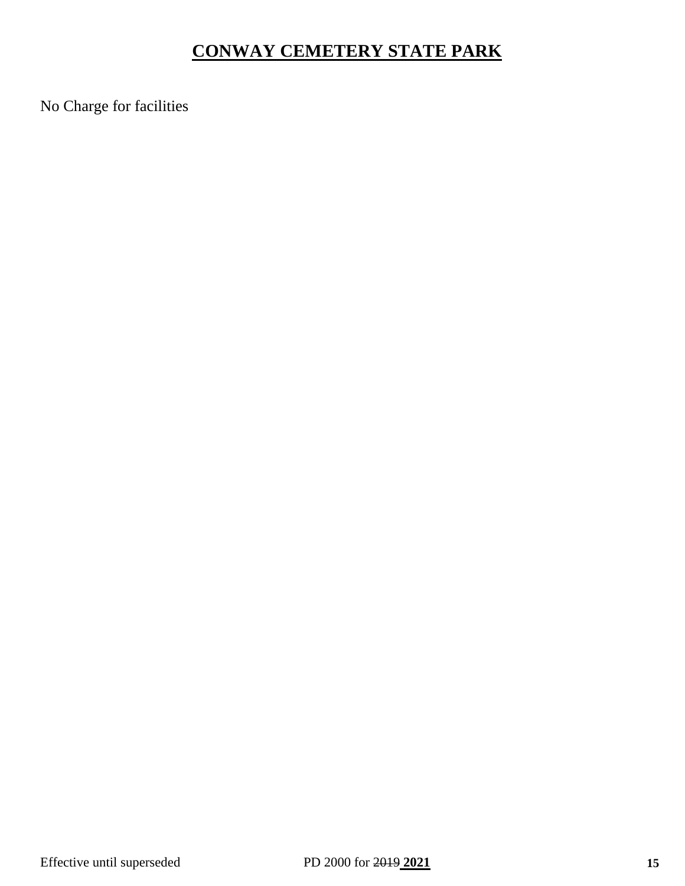# **CONWAY CEMETERY STATE PARK**

No Charge for facilities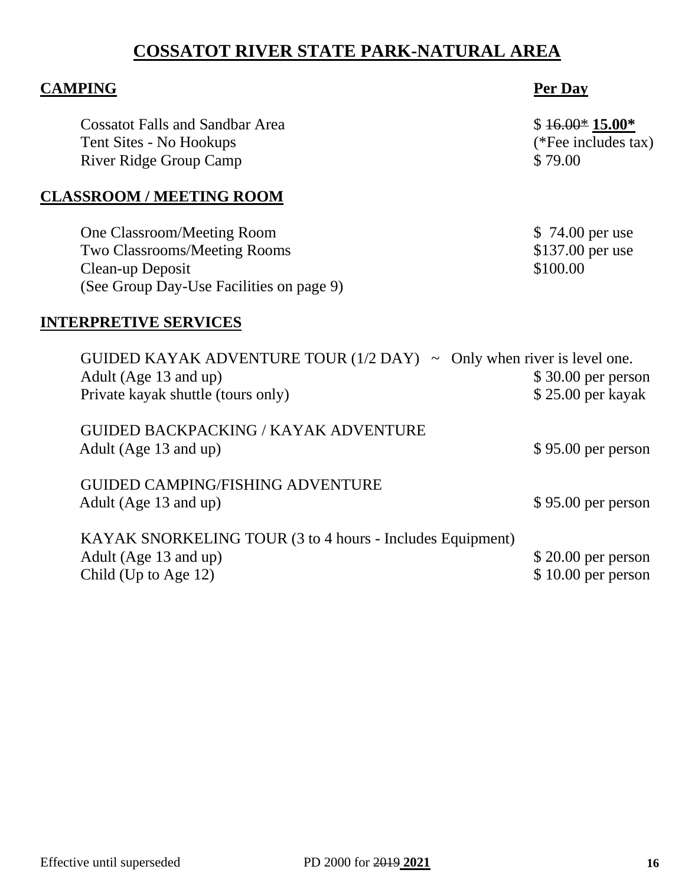# **COSSATOT RIVER STATE PARK-NATURAL AREA**

| <b>CAMPING</b>                                                                                                                              | Per Day                                           |
|---------------------------------------------------------------------------------------------------------------------------------------------|---------------------------------------------------|
| <b>Cossatot Falls and Sandbar Area</b><br>Tent Sites - No Hookups<br><b>River Ridge Group Camp</b>                                          | $$16.00*15.00*$<br>(*Fee includes tax)<br>\$79.00 |
| <b>CLASSROOM / MEETING ROOM</b>                                                                                                             |                                                   |
| One Classroom/Meeting Room<br><b>Two Classrooms/Meeting Rooms</b><br>Clean-up Deposit<br>(See Group Day-Use Facilities on page 9)           | \$74.00 per use<br>\$137.00 per use<br>\$100.00   |
| <b>INTERPRETIVE SERVICES</b>                                                                                                                |                                                   |
| GUIDED KAYAK ADVENTURE TOUR $(1/2$ DAY) $\sim$ Only when river is level one.<br>Adult (Age 13 and up)<br>Private kayak shuttle (tours only) | $$30.00$ per person<br>\$25.00 per kayak          |
| <b>GUIDED BACKPACKING / KAYAK ADVENTURE</b><br>Adult (Age 13 and up)                                                                        | \$95.00 per person                                |
| <b>GUIDED CAMPING/FISHING ADVENTURE</b><br>Adult (Age 13 and up)                                                                            | $$95.00$ per person                               |
| KAYAK SNORKELING TOUR (3 to 4 hours - Includes Equipment)<br>Adult (Age 13 and up)<br>Child (Up to Age 12)                                  | \$20.00 per person<br>$$10.00$ per person         |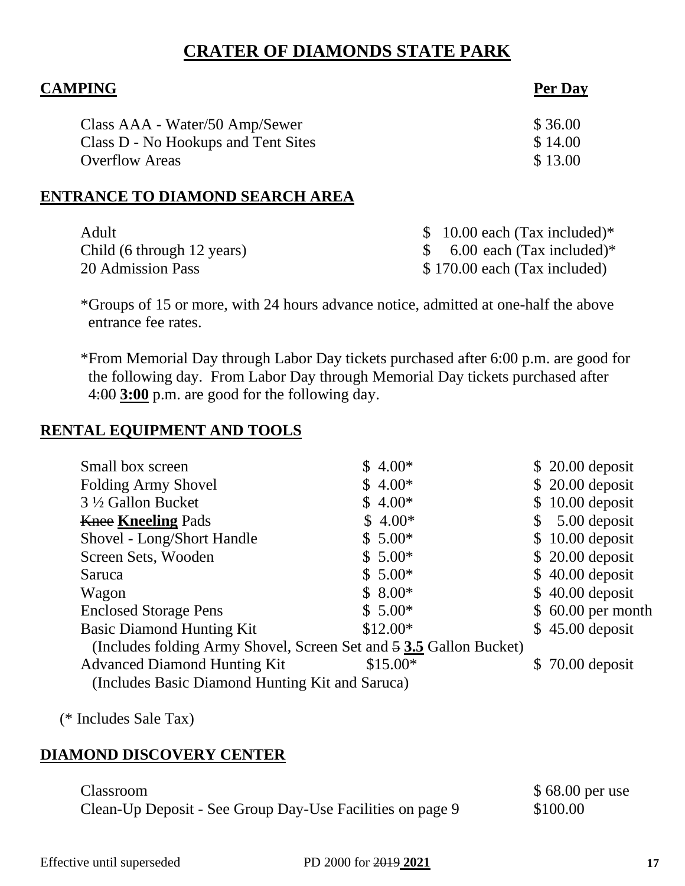## **CRATER OF DIAMONDS STATE PARK**

| <b>CAMPING</b>                      | Per Day |  |
|-------------------------------------|---------|--|
| Class AAA - Water/50 Amp/Sewer      | \$36.00 |  |
| Class D - No Hookups and Tent Sites | \$14.00 |  |
| <b>Overflow Areas</b>               | \$13.00 |  |
| ENTRANCE TO DIAMOND SEARCH AREA     |         |  |

| Adult                      | \$ 10.00 each (Tax included)*           |
|----------------------------|-----------------------------------------|
| Child (6 through 12 years) | \$ 6.00 each $(Tax \text{ included})^*$ |
| 20 Admission Pass          | \$170.00 each (Tax included)            |

\*Groups of 15 or more, with 24 hours advance notice, admitted at one-half the above entrance fee rates.

\*From Memorial Day through Labor Day tickets purchased after 6:00 p.m. are good for the following day. From Labor Day through Memorial Day tickets purchased after 4:00 **3:00** p.m. are good for the following day.

## **RENTAL EQUIPMENT AND TOOLS**

| Small box screen                                                   | $$4.00*$  |              | $$20.00$ deposit   |
|--------------------------------------------------------------------|-----------|--------------|--------------------|
| Folding Army Shovel                                                | $$4.00*$  |              | $$20.00$ deposit   |
| 3 ½ Gallon Bucket                                                  | $$4.00*$  |              | $$10.00$ deposit   |
| <b>Knee Kneeling Pads</b>                                          | $$4.00*$  | $\mathbb{S}$ | 5.00 deposit       |
| Shovel - Long/Short Handle                                         | $$5.00*$  |              | $$10.00$ deposit   |
| Screen Sets, Wooden                                                | $$5.00*$  |              | $$20.00$ deposit   |
| Saruca                                                             | $$5.00*$  |              | $$40.00$ deposit   |
| Wagon                                                              | $$8.00*$  |              | $$40.00$ deposit   |
| <b>Enclosed Storage Pens</b>                                       | $$5.00*$  |              | $$60.00$ per month |
| <b>Basic Diamond Hunting Kit</b>                                   | $$12.00*$ |              | $$45.00$ deposit   |
| (Includes folding Army Shovel, Screen Set and 5 3.5 Gallon Bucket) |           |              |                    |
| <b>Advanced Diamond Hunting Kit</b>                                | $$15.00*$ |              | $$70.00$ deposit   |
| (Includes Basic Diamond Hunting Kit and Saruca)                    |           |              |                    |

(\* Includes Sale Tax)

## **DIAMOND DISCOVERY CENTER**

| Classroom                                                 | \$68.00 per use |
|-----------------------------------------------------------|-----------------|
| Clean-Up Deposit - See Group Day-Use Facilities on page 9 | \$100.00        |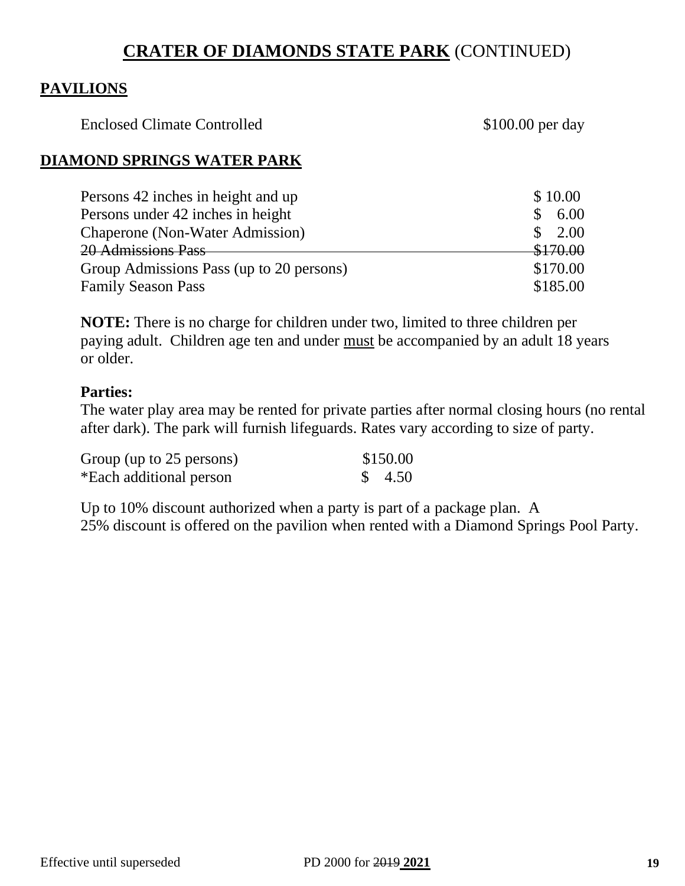## **CRATER OF DIAMONDS STATE PARK** (CONTINUED)

#### **PAVILIONS**

Enclosed Climate Controlled \$100.00 per day

#### **DIAMOND SPRINGS WATER PARK**

| Persons 42 inches in height and up       | \$10.00                          |
|------------------------------------------|----------------------------------|
| Persons under 42 inches in height        | 6.00                             |
| <b>Chaperone</b> (Non-Water Admission)   | $\frac{\text{I}}{\text{I}}$ 2.00 |
| 20 Admissions Pass                       | \$170.00                         |
| Group Admissions Pass (up to 20 persons) | \$170.00                         |
| <b>Family Season Pass</b>                | \$185.00                         |

**NOTE:** There is no charge for children under two, limited to three children per paying adult. Children age ten and under must be accompanied by an adult 18 years or older.

#### **Parties:**

The water play area may be rented for private parties after normal closing hours (no rental after dark). The park will furnish lifeguards. Rates vary according to size of party.

| Group (up to 25 persons) | \$150.00          |
|--------------------------|-------------------|
| *Each additional person  | $\frac{\$}{4.50}$ |

Up to 10% discount authorized when a party is part of a package plan. A 25% discount is offered on the pavilion when rented with a Diamond Springs Pool Party.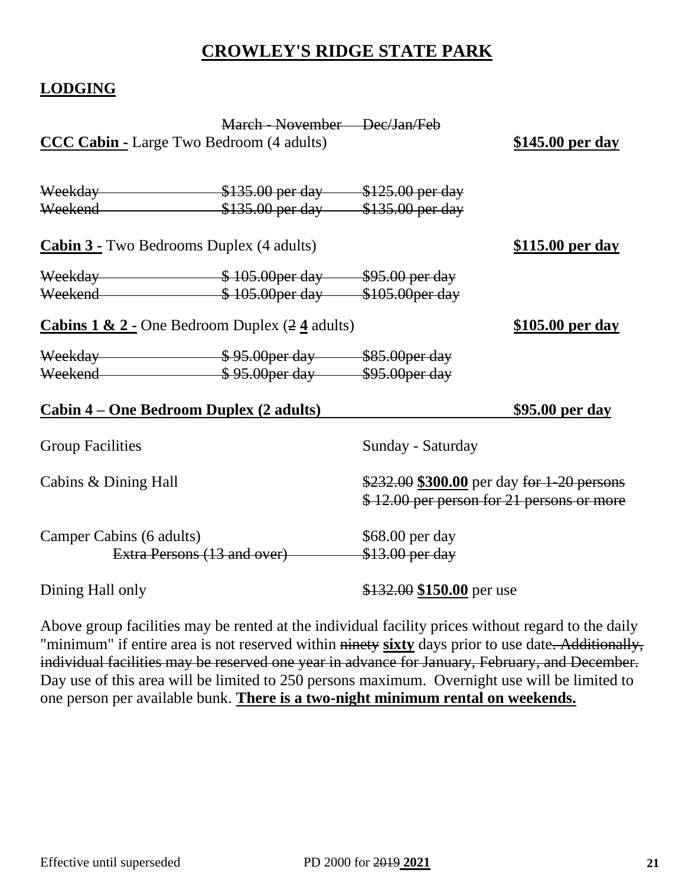## **CROWLEY'S RIDGE STATE PARK**

## **LODGING**

|                                                           | March - November Dec/Jan/Feb                |                                                                                         |                         |
|-----------------------------------------------------------|---------------------------------------------|-----------------------------------------------------------------------------------------|-------------------------|
| <b>CCC Cabin - Large Two Bedroom (4 adults)</b>           |                                             |                                                                                         | \$145.00 per day        |
|                                                           |                                             |                                                                                         |                         |
| Weekend \$135.00 per day \$135.00 per day                 |                                             |                                                                                         |                         |
| <b>Cabin 3 - Two Bedrooms Duplex (4 adults)</b>           |                                             |                                                                                         | <u>\$115.00 per day</u> |
| Weekday <b>\$105.00 per day</b> \$95.00 per day           |                                             |                                                                                         |                         |
| Weekend \$105.00per day \$105.00per day                   |                                             |                                                                                         |                         |
| <b>Cabins 1 &amp; 2 - One Bedroom Duplex (2 4 adults)</b> |                                             |                                                                                         | \$105.00 per day        |
|                                                           |                                             |                                                                                         |                         |
| Weekend <b>\$95.00per day</b> \$95.00per day              |                                             |                                                                                         |                         |
| <u> Cabin 4 – One Bedroom Duplex (2 adults)</u>           |                                             |                                                                                         | <u>\$95.00 per day</u>  |
| <b>Group Facilities</b>                                   |                                             | Sunday - Saturday                                                                       |                         |
| Cabins & Dining Hall                                      |                                             | \$232.00 \$300.00 per day for 1-20 persons<br>\$12.00 per person for 21 persons or more |                         |
| Camper Cabins (6 adults)                                  | Extra Persons (13 and over) \$13.00 per day | \$68.00 per day                                                                         |                         |
| Dining Hall only                                          |                                             | \$132.00 \$150.00 per use                                                               |                         |

Above group facilities may be rented at the individual facility prices without regard to the daily "minimum" if entire area is not reserved within ninety **sixty** days prior to use date. Additionally, individual facilities may be reserved one year in advance for January, February, and December. Day use of this area will be limited to 250 persons maximum. Overnight use will be limited to one person per available bunk. **There is a two-night minimum rental on weekends.**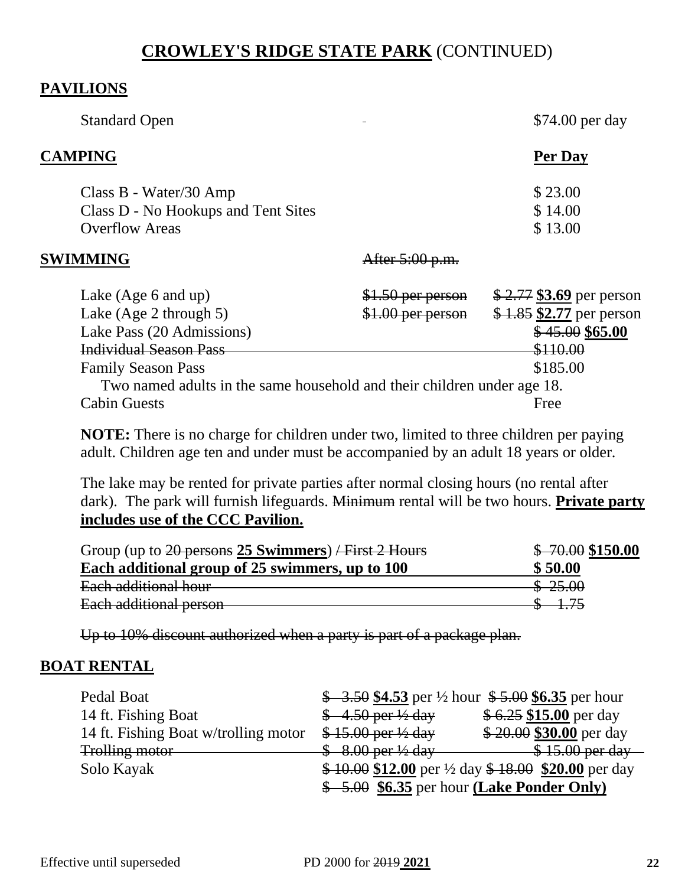## **CROWLEY'S RIDGE STATE PARK** (CONTINUED)

#### **PAVILIONS**

| <b>Standard Open</b>                                                                                                                                                                                                    |                                        | \$74.00 per day                                                                                  |
|-------------------------------------------------------------------------------------------------------------------------------------------------------------------------------------------------------------------------|----------------------------------------|--------------------------------------------------------------------------------------------------|
| <b>CAMPING</b>                                                                                                                                                                                                          |                                        | Per Day                                                                                          |
| Class B - Water/30 Amp<br>Class D - No Hookups and Tent Sites<br><b>Overflow Areas</b>                                                                                                                                  |                                        | \$23.00<br>\$14.00<br>\$13.00                                                                    |
| SWIMMING                                                                                                                                                                                                                | After 5:00 p.m.                        |                                                                                                  |
| Lake $(Age 6$ and up)<br>Lake $(Age 2$ through 5)<br>Lake Pass (20 Admissions)<br><b>Individual Season Pass</b><br><b>Family Season Pass</b><br>Two named adults in the same household and their children under age 18. | \$1.50 per person<br>\$1.00 per person | $$2.77$ \$3.69 per person<br>$$1.85$ \$2.77 per person<br>\$45.00\$65.00<br>\$110.00<br>\$185.00 |
| <b>Cabin Guests</b>                                                                                                                                                                                                     |                                        | Free                                                                                             |

**NOTE:** There is no charge for children under two, limited to three children per paying adult. Children age ten and under must be accompanied by an adult 18 years or older.

The lake may be rented for private parties after normal closing hours (no rental after dark). The park will furnish lifeguards. Minimum rental will be two hours. **Private party includes use of the CCC Pavilion.**

| Group (up to $20$ persons 25 Swimmers) / First 2 Hours | $$ -70.00 $150.00$ |
|--------------------------------------------------------|--------------------|
| Each additional group of 25 swimmers, up to 100        | \$50.00            |
| Each additional hour                                   | \$25.00            |
| Each additional person                                 |                    |

Up to 10% discount authorized when a party is part of a package plan.

## **BOAT RENTAL**

| Pedal Boat                           |                                             | $\frac{$4.50}{$4.53}$ per ½ hour $\frac{$5.00}{$6.35}$ per hour |
|--------------------------------------|---------------------------------------------|-----------------------------------------------------------------|
| 14 ft. Fishing Boat                  | $$-4.50$ per $\frac{1}{2}$ day              | $$6.25$ \$15.00 per day                                         |
| 14 ft. Fishing Boat w/trolling motor | \$15.00 per ½ day                           | \$20.00 \$30.00 per day                                         |
| <b>Trolling motor</b>                | $$8.00$ per $\frac{1}{2}$ day               | $$15.00$ per day                                                |
| Solo Kayak                           |                                             | $$10.00$ \$12.00 per ½ day \$18.00 \$20.00 per day              |
|                                      | $$-5.00$ \$6.35 per hour (Lake Ponder Only) |                                                                 |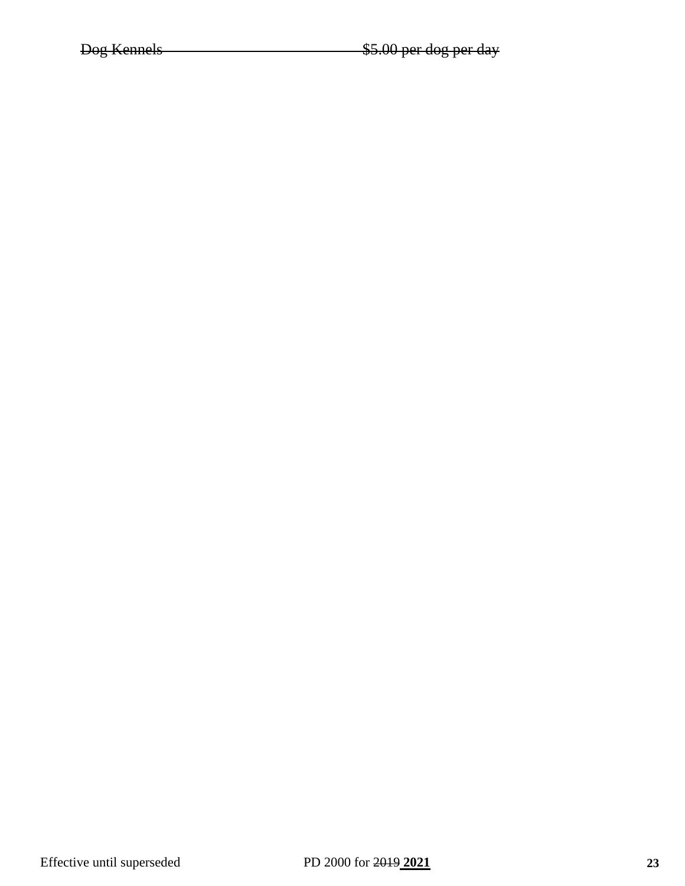Dog Kennels **\$5.00 per dog per day**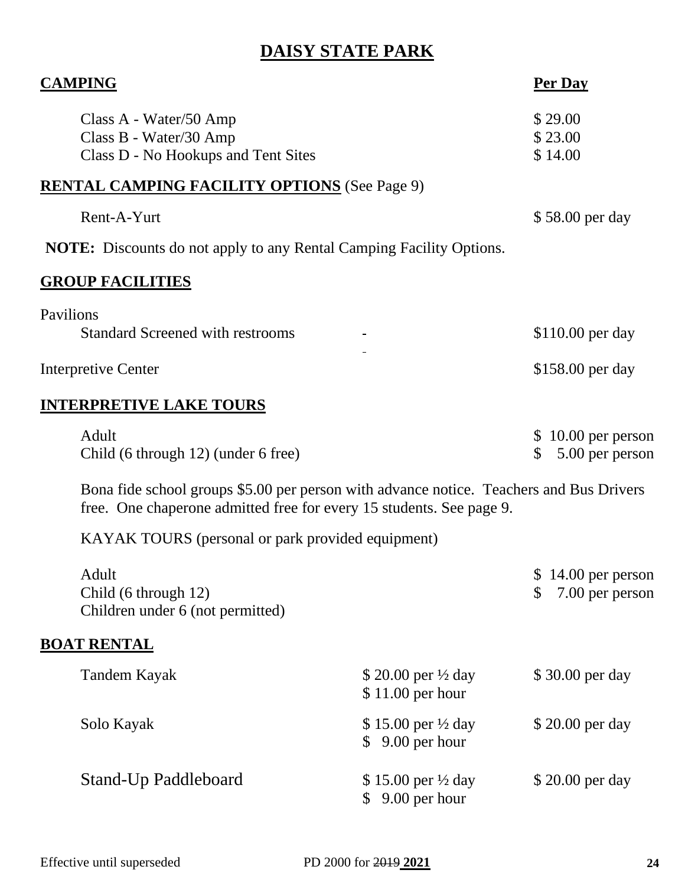# **DAISY STATE PARK**

| <b>CAMPING</b>                                                                          | <b>Per Day</b>                  |
|-----------------------------------------------------------------------------------------|---------------------------------|
| Class A - Water/50 Amp                                                                  | \$29.00                         |
| Class B - Water/30 Amp                                                                  | \$23.00                         |
| Class D - No Hookups and Tent Sites                                                     | \$14.00                         |
| <b>RENTAL CAMPING FACILITY OPTIONS</b> (See Page 9)                                     |                                 |
| Rent-A-Yurt                                                                             | \$58.00 per day                 |
| <b>NOTE:</b> Discounts do not apply to any Rental Camping Facility Options.             |                                 |
| <b>GROUP FACILITIES</b>                                                                 |                                 |
| Pavilions                                                                               |                                 |
| <b>Standard Screened with restrooms</b>                                                 | \$110.00 per day                |
| <b>Interpretive Center</b>                                                              | \$158.00 per day                |
| <b>INTERPRETIVE LAKE TOURS</b>                                                          |                                 |
| Adult                                                                                   | $$10.00$ per person             |
| Child (6 through 12) (under 6 free)                                                     | 5.00 per person<br>$\mathbb{S}$ |
| Bona fide school groups \$5.00 per person with advance notice. Teachers and Bus Drivers |                                 |
| free. One chaperone admitted free for every 15 students. See page 9.                    |                                 |

KAYAK TOURS (personal or park provided equipment)

| Adult<br>Child (6 through 12)<br>Children under 6 (not permitted) |                                                     | $$14.00$ per person<br>7.00 per person |
|-------------------------------------------------------------------|-----------------------------------------------------|----------------------------------------|
| <b>BOAT RENTAL</b>                                                |                                                     |                                        |
| Tandem Kayak                                                      | \$ 20.00 per $\frac{1}{2}$ day<br>$$11.00$ per hour | \$30.00 per day                        |
| Solo Kayak                                                        | \$15.00 per $\frac{1}{2}$ day<br>$$9.00$ per hour   | \$20.00 per day                        |
| Stand-Up Paddleboard                                              | \$15.00 per $\frac{1}{2}$ day<br>9.00 per hour      | \$20.00 per day                        |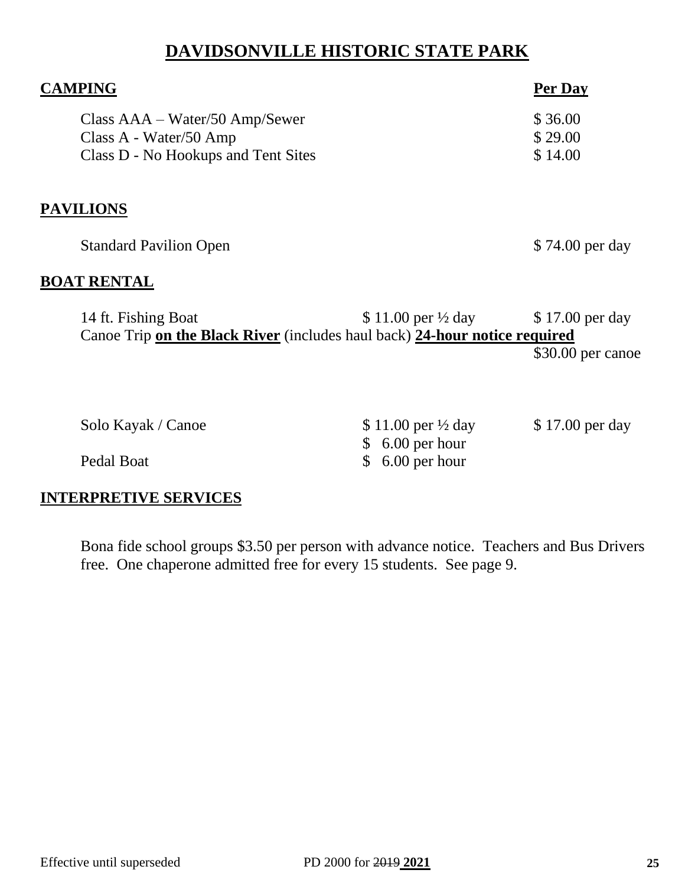## **DAVIDSONVILLE HISTORIC STATE PARK**

| <b>CAMPING</b>                      |                                                                            | Per Day           |
|-------------------------------------|----------------------------------------------------------------------------|-------------------|
| $Class AAA-Water/50 Amp/Sewer$      |                                                                            | \$36.00           |
| Class A - Water/50 Amp              |                                                                            | \$29.00           |
| Class D - No Hookups and Tent Sites |                                                                            | \$14.00           |
|                                     |                                                                            |                   |
| <b>PAVILIONS</b>                    |                                                                            |                   |
| <b>Standard Pavilion Open</b>       |                                                                            | \$74.00 per day   |
| <b>BOAT RENTAL</b>                  |                                                                            |                   |
| 14 ft. Fishing Boat                 | \$ 11.00 per $\frac{1}{2}$ day                                             | \$17.00 per day   |
|                                     | Canoe Trip on the Black River (includes haul back) 24-hour notice required |                   |
|                                     |                                                                            | \$30.00 per canoe |
|                                     |                                                                            |                   |
| Solo Kayak / Canoe                  | \$11.00 per $\frac{1}{2}$ day                                              | \$17.00 per day   |
|                                     | 6.00 per hour                                                              |                   |
| Pedal Boat                          | 6.00 per hour                                                              |                   |

## **INTERPRETIVE SERVICES**

Bona fide school groups \$3.50 per person with advance notice. Teachers and Bus Drivers free. One chaperone admitted free for every 15 students. See page 9.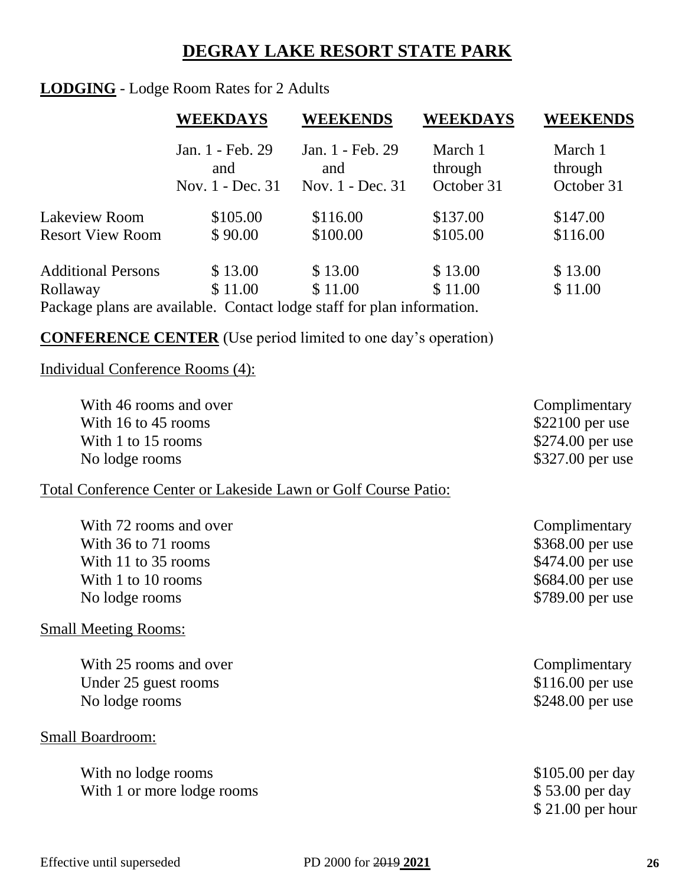# **DEGRAY LAKE RESORT STATE PARK**

## **LODGING** - Lodge Room Rates for 2 Adults

|                                                                        | <b>WEEKDAYS</b>         | <b>WEEKENDS</b>         | <b>WEEKDAYS</b>    | <b>WEEKENDS</b>    |
|------------------------------------------------------------------------|-------------------------|-------------------------|--------------------|--------------------|
|                                                                        | Jan. 1 - Feb. 29<br>and | Jan. 1 - Feb. 29<br>and | March 1<br>through | March 1<br>through |
|                                                                        | Nov. 1 - Dec. 31        | Nov. 1 - Dec. 31        | October 31         | October 31         |
| <b>Lakeview Room</b>                                                   | \$105.00                | \$116.00                | \$137.00           | \$147.00           |
| <b>Resort View Room</b>                                                | \$90.00                 | \$100.00                | \$105.00           | \$116.00           |
| <b>Additional Persons</b>                                              | \$13.00                 | \$13.00                 | \$13.00            | \$13.00            |
| Rollaway                                                               | \$11.00                 | \$11.00                 | \$11.00            | \$11.00            |
| Package plans are available. Contact lodge staff for plan information. |                         |                         |                    |                    |

**CONFERENCE CENTER** (Use period limited to one day's operation)

## Individual Conference Rooms (4):

| With 46 rooms and over                                         | Complimentary     |
|----------------------------------------------------------------|-------------------|
| With 16 to 45 rooms                                            | \$22100 per use   |
| With 1 to 15 rooms                                             | \$274.00 per use  |
| No lodge rooms                                                 | \$327.00 per use  |
| Total Conference Center or Lakeside Lawn or Golf Course Patio: |                   |
| With 72 rooms and over                                         | Complimentary     |
| With 36 to 71 rooms                                            | \$368.00 per use  |
| With 11 to 35 rooms                                            | \$474.00 per use  |
| With 1 to 10 rooms                                             | \$684.00 per use  |
| No lodge rooms                                                 | \$789.00 per use  |
| <b>Small Meeting Rooms:</b>                                    |                   |
| With 25 rooms and over                                         | Complimentary     |
| Under 25 guest rooms                                           | $$116.00$ per use |
| No lodge rooms                                                 | \$248.00 per use  |
| <b>Small Boardroom:</b>                                        |                   |
| With no lodge rooms                                            | \$105.00 per day  |
| With 1 or more lodge rooms                                     | \$53.00 per day   |
|                                                                | $$21.00$ per hour |
|                                                                |                   |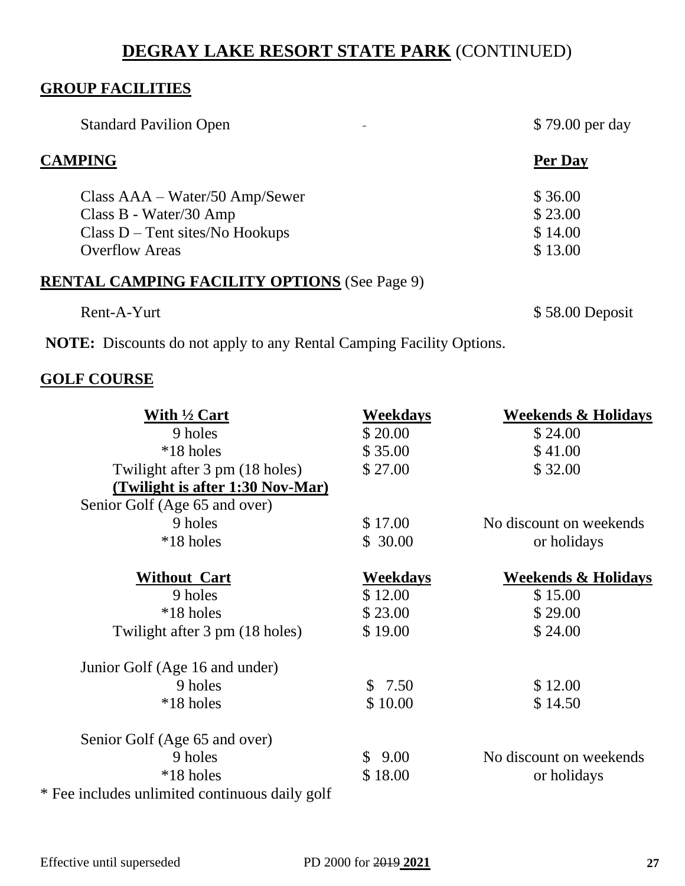## **GROUP FACILITIES**

| <b>Standard Pavilion Open</b>                       | \$79.00 per day |
|-----------------------------------------------------|-----------------|
| <b>CAMPING</b>                                      | Per Day         |
| Class AAA – Water/50 Amp/Sewer                      | \$36.00         |
| Class B - Water/30 Amp                              | \$23.00         |
| $Class D - Tent sites/No Hookups$                   | \$14.00         |
| <b>Overflow Areas</b>                               | \$13.00         |
| <b>RENTAL CAMPING FACILITY OPTIONS (See Page 9)</b> |                 |
| Rent-A-Yurt                                         | \$58.00 Deposit |

**NOTE:** Discounts do not apply to any Rental Camping Facility Options.

## **GOLF COURSE**

| With 1/2 Cart                                  | <b>Weekdays</b> | <b>Weekends &amp; Holidays</b> |
|------------------------------------------------|-----------------|--------------------------------|
| 9 holes                                        | \$20.00         | \$24.00                        |
| *18 holes                                      | \$35.00         | \$41.00                        |
| Twilight after 3 pm (18 holes)                 | \$27.00         | \$32.00                        |
| (Twilight is after 1:30 Nov-Mar)               |                 |                                |
| Senior Golf (Age 65 and over)                  |                 |                                |
| 9 holes                                        | \$17.00         | No discount on weekends        |
| *18 holes                                      | \$30.00         | or holidays                    |
| <b>Without Cart</b>                            | <b>Weekdays</b> | <b>Weekends &amp; Holidays</b> |
| 9 holes                                        | \$12.00         | \$15.00                        |
| *18 holes                                      | \$23.00         | \$29.00                        |
| Twilight after 3 pm (18 holes)                 | \$19.00         | \$24.00                        |
| Junior Golf (Age 16 and under)                 |                 |                                |
| 9 holes                                        | \$7.50          | \$12.00                        |
| *18 holes                                      | \$10.00         | \$14.50                        |
| Senior Golf (Age 65 and over)                  |                 |                                |
| 9 holes                                        | \$9.00          | No discount on weekends        |
| *18 holes                                      | \$18.00         | or holidays                    |
| * Fee includes unlimited continuous daily golf |                 |                                |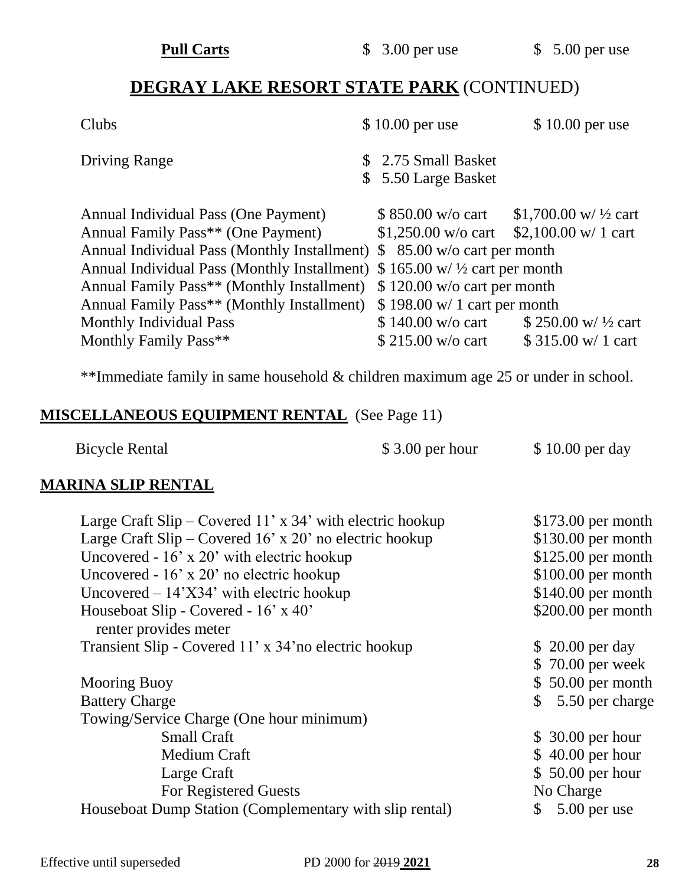| $$10.00$ per use                                                                              | $$10.00$ per use                                                                                                                                                                                                                                                                                                                    |
|-----------------------------------------------------------------------------------------------|-------------------------------------------------------------------------------------------------------------------------------------------------------------------------------------------------------------------------------------------------------------------------------------------------------------------------------------|
| \$ 2.75 Small Basket<br>\$ 5.50 Large Basket                                                  |                                                                                                                                                                                                                                                                                                                                     |
| $$850.00 \text{ w/o}$ cart<br>Annual Family Pass** (Monthly Installment)<br>\$140.00 w/o cart | \$1,700.00 w/ $\frac{1}{2}$ cart<br>\$ 250.00 w/ $\frac{1}{2}$ cart                                                                                                                                                                                                                                                                 |
| $$215.00 \text{ w/o}$ cart                                                                    | $$315.00 \text{ w}/1 \text{ cart}$                                                                                                                                                                                                                                                                                                  |
|                                                                                               | \$1,250.00 w/o cart \$2,100.00 w/ 1 cart<br>Annual Individual Pass (Monthly Installment) $$85.00$ w/o cart per month<br>Annual Individual Pass (Monthly Installment) $\frac{1}{2}$ 165.00 w/ $\frac{1}{2}$ cart per month<br>$$120.00$ w/o cart per month<br>Annual Family Pass** (Monthly Installment) \$198.00 w/1 cart per month |

\*\*Immediate family in same household & children maximum age 25 or under in school.

## **MISCELLANEOUS EQUIPMENT RENTAL** (See Page 11)

| Bicycle Rental | $$3.00$ per hour | \$10.00 per day |
|----------------|------------------|-----------------|
|                |                  |                 |

## **MARINA SLIP RENTAL**

| Large Craft Slip – Covered 11' x 34' with electric hookup                                           | $$173.00$ per month               |
|-----------------------------------------------------------------------------------------------------|-----------------------------------|
| Large Craft Slip – Covered 16' x 20' no electric hookup                                             | $$130.00$ per month               |
| Uncovered $-16'$ x 20' with electric hookup                                                         | $$125.00$ per month               |
| Uncovered - $16'$ x $20'$ no electric hookup                                                        | $$100.00$ per month               |
| Uncovered $-14$ <sup><math>\chi</math></sup> $34$ <sup><math>\chi</math></sup> with electric hookup | $$140.00$ per month               |
| Houseboat Slip - Covered - 16' x 40'                                                                | $$200.00$ per month               |
| renter provides meter                                                                               |                                   |
| Transient Slip - Covered 11' x 34' no electric hookup                                               | $$20.00$ per day                  |
|                                                                                                     | $$70.00$ per week                 |
| <b>Mooring Buoy</b>                                                                                 | $$50.00$ per month                |
| <b>Battery Charge</b>                                                                               | 5.50 per charge<br>$\mathbb{S}^-$ |
| Towing/Service Charge (One hour minimum)                                                            |                                   |
| <b>Small Craft</b>                                                                                  | $$30.00$ per hour                 |
| <b>Medium Craft</b>                                                                                 | $$40.00$ per hour                 |
| Large Craft                                                                                         | $$50.00$ per hour                 |
| For Registered Guests                                                                               | No Charge                         |
| Houseboat Dump Station (Complementary with slip rental)                                             | 5.00 per use<br>\$                |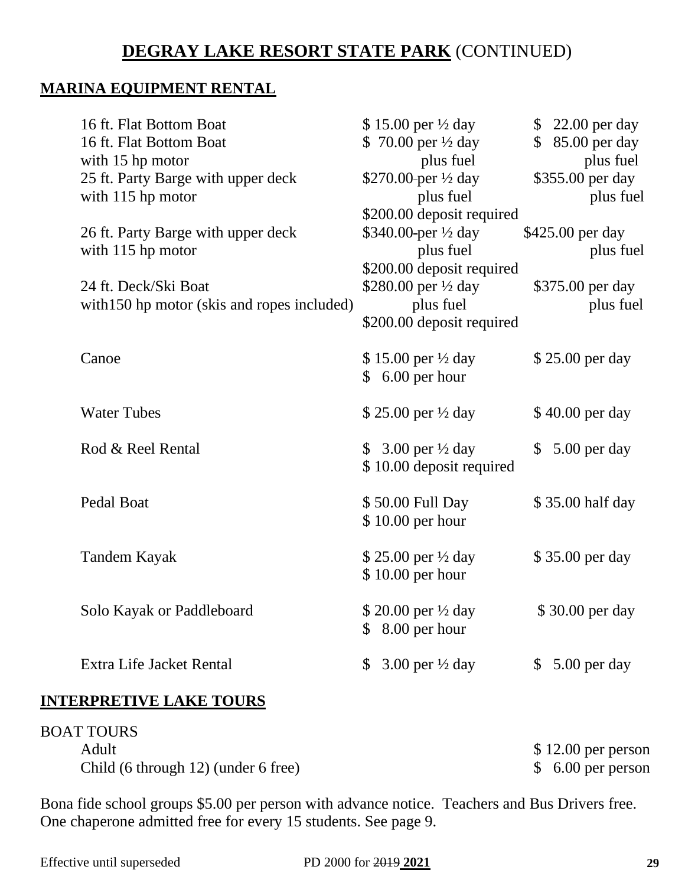## **MARINA EQUIPMENT RENTAL**

| 16 ft. Flat Bottom Boat                     | \$15.00 per $\frac{1}{2}$ day              |              | \$22.00 per day  |
|---------------------------------------------|--------------------------------------------|--------------|------------------|
| 16 ft. Flat Bottom Boat                     | \$ 70.00 per $\frac{1}{2}$ day             |              | \$ 85.00 per day |
| with 15 hp motor                            | plus fuel                                  |              | plus fuel        |
| 25 ft. Party Barge with upper deck          | \$270.00-per $\frac{1}{2}$ day             |              | \$355.00 per day |
| with 115 hp motor                           | plus fuel                                  |              | plus fuel        |
|                                             | \$200.00 deposit required                  |              |                  |
| 26 ft. Party Barge with upper deck          | \$340.00-per 1/2 day                       |              | \$425.00 per day |
| with 115 hp motor                           | plus fuel                                  |              | plus fuel        |
|                                             | \$200.00 deposit required                  |              |                  |
| 24 ft. Deck/Ski Boat                        | \$280.00 per 1/2 day                       |              | \$375.00 per day |
| with 150 hp motor (skis and ropes included) | plus fuel                                  |              | plus fuel        |
|                                             | \$200.00 deposit required                  |              |                  |
|                                             |                                            |              |                  |
| Canoe                                       | \$15.00 per 1/2 day                        |              | \$25.00 per day  |
|                                             | $$6.00$ per hour                           |              |                  |
|                                             |                                            |              |                  |
| <b>Water Tubes</b>                          | \$25.00 per 1/2 day                        |              | \$40.00 per day  |
| Rod & Reel Rental                           | \$ 3.00 per $\frac{1}{2}$ day              | $\mathbb{S}$ | 5.00 per day     |
|                                             | \$10.00 deposit required                   |              |                  |
|                                             |                                            |              |                  |
| Pedal Boat                                  | \$50.00 Full Day                           |              | \$35.00 half day |
|                                             | $$10.00$ per hour                          |              |                  |
|                                             |                                            |              |                  |
| <b>Tandem Kayak</b>                         | \$25.00 per 1/2 day                        |              | \$35.00 per day  |
|                                             | $$10.00$ per hour                          |              |                  |
|                                             |                                            |              |                  |
| Solo Kayak or Paddleboard                   | \$20.00 per 1/2 day                        |              | \$30.00 per day  |
|                                             | $$8.00$ per hour                           |              |                  |
|                                             |                                            |              |                  |
| Extra Life Jacket Rental                    | 3.00 per $\frac{1}{2}$ day<br>$\mathbb{S}$ |              | $$5.00$ per day  |
|                                             |                                            |              |                  |
| <b>INTERPRETIVE LAKE TOURS</b>              |                                            |              |                  |

| <b>BOAT TOURS</b>                   |                     |
|-------------------------------------|---------------------|
| Adult                               | $$12.00$ per person |
| Child (6 through 12) (under 6 free) | $$6.00$ per person  |

Bona fide school groups \$5.00 per person with advance notice. Teachers and Bus Drivers free. One chaperone admitted free for every 15 students. See page 9.

Effective until superseded PD 2000 for 2019 **2021 29**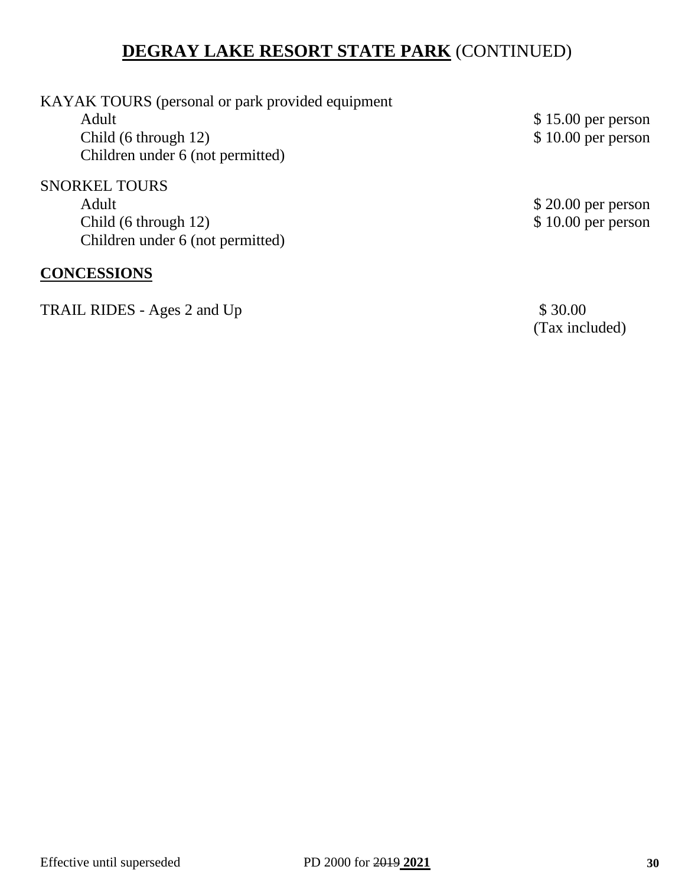| KAYAK TOURS (personal or park provided equipment |                     |
|--------------------------------------------------|---------------------|
| Adult                                            | $$15.00$ per person |
| Child (6 through 12)                             | $$10.00$ per person |
| Children under 6 (not permitted)                 |                     |
| <b>SNORKEL TOURS</b>                             |                     |
| Adult                                            | $$20.00$ per person |
| Child (6 through 12)                             | $$10.00$ per person |
| Children under 6 (not permitted)                 |                     |
|                                                  |                     |
| <b>CONCESSIONS</b>                               |                     |

TRAIL RIDES - Ages 2 and Up \$ 30.00

(Tax included)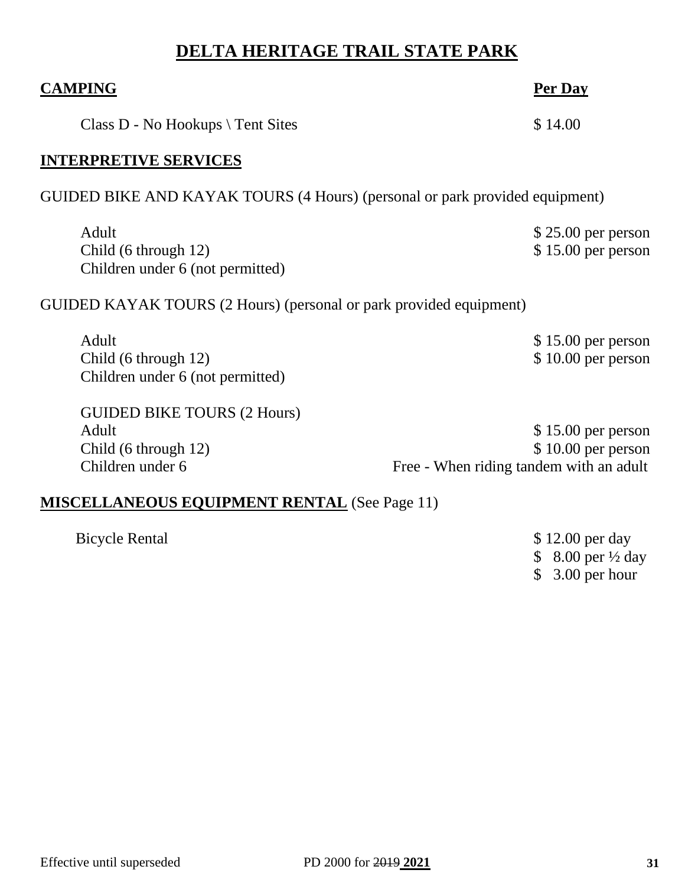# **DELTA HERITAGE TRAIL STATE PARK**

| <b>CAMPING</b>                                                                          | <b>Per Dav</b>                                                                       |
|-----------------------------------------------------------------------------------------|--------------------------------------------------------------------------------------|
| Class $D$ - No Hookups $\setminus$ Tent Sites                                           | \$14.00                                                                              |
| <b>INTERPRETIVE SERVICES</b>                                                            |                                                                                      |
| GUIDED BIKE AND KAYAK TOURS (4 Hours) (personal or park provided equipment)             |                                                                                      |
| Adult<br>Child (6 through 12)<br>Children under 6 (not permitted)                       | $$25.00$ per person<br>$$15.00$ per person                                           |
| GUIDED KAYAK TOURS (2 Hours) (personal or park provided equipment)                      |                                                                                      |
| Adult<br>Child (6 through 12)<br>Children under 6 (not permitted)                       | $$15.00$ per person<br>$$10.00$ per person                                           |
| <b>GUIDED BIKE TOURS (2 Hours)</b><br>Adult<br>Child (6 through 12)<br>Children under 6 | $$15.00$ per person<br>\$10.00 per person<br>Free - When riding tandem with an adult |
| <b>MISCELLANEOUS EQUIPMENT RENTAL</b> (See Page 11)                                     |                                                                                      |

Bicycle Rental \$ 12.00 per day \$ 8.00 per ½ day \$ 3.00 per hour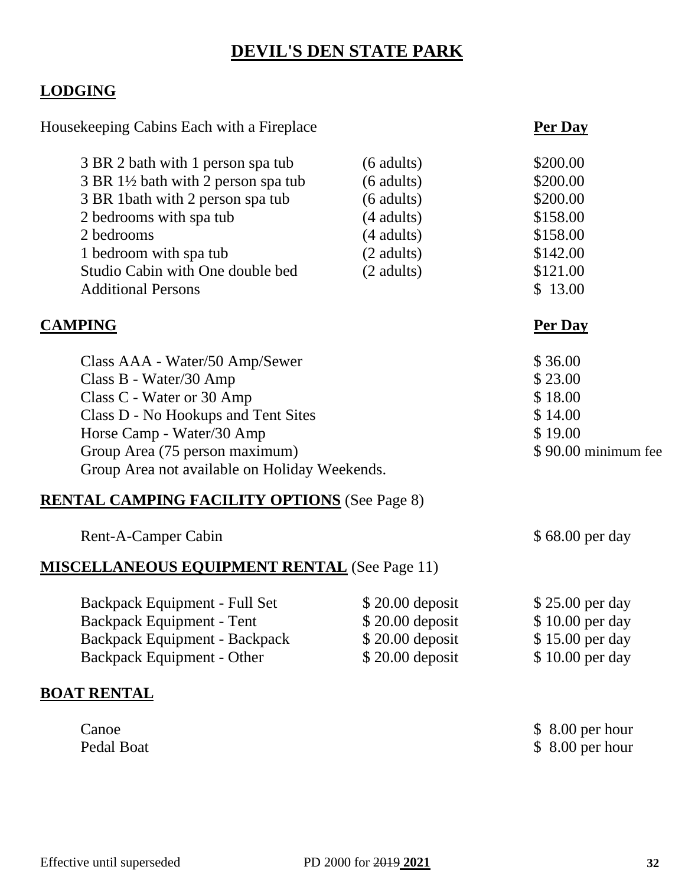## **DEVIL'S DEN STATE PARK**

## **LODGING**

Housekeeping Cabins Each with a Fireplace **Per Day** 

| 3 BR 2 bath with 1 person spa tub                             | $(6$ adults) | \$200.00 |
|---------------------------------------------------------------|--------------|----------|
| 3 BR 1 <sup>1</sup> / <sub>2</sub> bath with 2 person spa tub | $(6$ adults) | \$200.00 |
| 3 BR 1bath with 2 person spa tub                              | $(6$ adults) | \$200.00 |
| 2 bedrooms with spa tub                                       | $(4$ adults) | \$158.00 |
| 2 bedrooms                                                    | $(4$ adults) | \$158.00 |
| 1 bedroom with spa tub                                        | (2 adults)   | \$142.00 |
| Studio Cabin with One double bed                              | $(2$ adults) | \$121.00 |
| <b>Additional Persons</b>                                     |              | \$13.00  |
|                                                               |              |          |

## **CAMPING Per Day**

| Class AAA - Water/50 Amp/Sewer                | \$36.00             |
|-----------------------------------------------|---------------------|
| Class B - Water/30 Amp                        | \$23.00             |
| Class C - Water or 30 Amp                     | \$18.00             |
| Class D - No Hookups and Tent Sites           | \$14.00             |
| Horse Camp - Water/30 Amp                     | \$19.00             |
| Group Area (75 person maximum)                | \$90.00 minimum fee |
| Group Area not available on Holiday Weekends. |                     |

## **RENTAL CAMPING FACILITY OPTIONS** (See Page 8)

| Rent-A-Camper Cabin                                 |                  | \$68.00 per day |
|-----------------------------------------------------|------------------|-----------------|
| <b>MISCELLANEOUS EQUIPMENT RENTAL (See Page 11)</b> |                  |                 |
| Backpack Equipment - Full Set                       | $$20.00$ deposit | \$25.00 per day |
| Backpack Equipment - Tent                           | $$20.00$ deposit | \$10.00 per day |
| <b>Backpack Equipment - Backpack</b>                | $$20.00$ deposit | \$15.00 per day |
| <b>Backpack Equipment - Other</b>                   | $$20.00$ deposit | \$10.00 per day |

## **BOAT RENTAL**

| Canoe      | $$8.00$ per hour |
|------------|------------------|
| Pedal Boat | $$8.00$ per hour |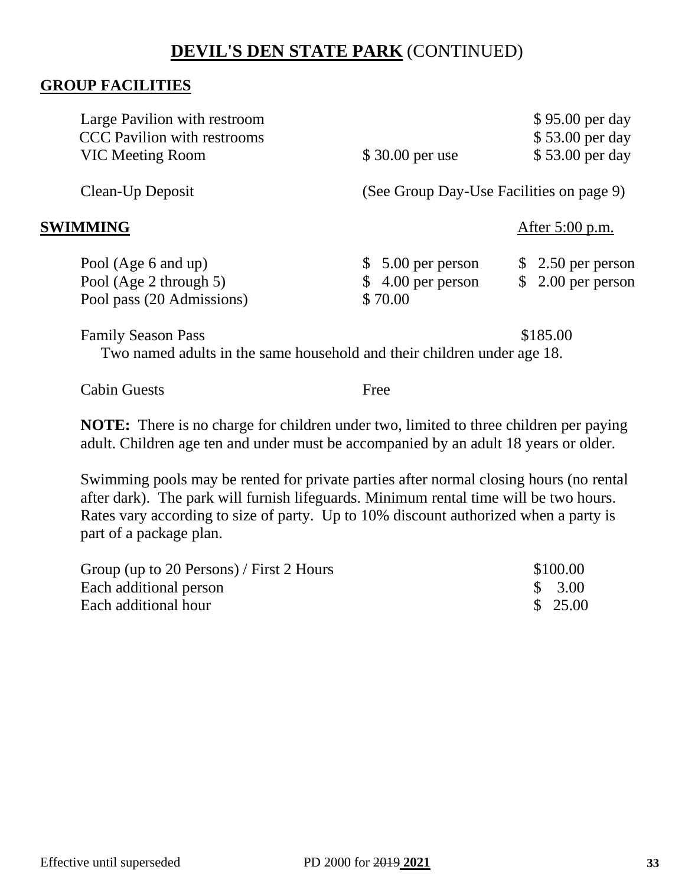## **DEVIL'S DEN STATE PARK** (CONTINUED)

#### **GROUP FACILITIES**

| Large Pavilion with restroom<br><b>CCC</b> Pavilion with restrooms<br><b>VIC Meeting Room</b>        | \$30.00 per use                                     | \$95.00 per day<br>\$53.00 per day<br>\$53.00 per day |  |
|------------------------------------------------------------------------------------------------------|-----------------------------------------------------|-------------------------------------------------------|--|
| Clean-Up Deposit                                                                                     | (See Group Day-Use Facilities on page 9)            |                                                       |  |
| SWIMMING                                                                                             |                                                     | After $5:00$ p.m.                                     |  |
| Pool (Age 6 and up)<br>Pool (Age 2 through 5)<br>Pool pass (20 Admissions)                           | $$5.00$ per person<br>$$4.00$ per person<br>\$70.00 | $$2.50$ per person<br>$$2.00$ per person              |  |
| <b>Family Season Pass</b><br>Two named adults in the same household and their children under age 18. |                                                     | \$185.00                                              |  |

Cabin Guests **Free** 

**NOTE:** There is no charge for children under two, limited to three children per paying adult. Children age ten and under must be accompanied by an adult 18 years or older.

Swimming pools may be rented for private parties after normal closing hours (no rental after dark). The park will furnish lifeguards. Minimum rental time will be two hours. Rates vary according to size of party. Up to 10% discount authorized when a party is part of a package plan.

| Group (up to 20 Persons) / First 2 Hours | \$100.00           |
|------------------------------------------|--------------------|
| Each additional person                   | $\frac{1}{2}$ 3.00 |
| Each additional hour                     | \$25.00            |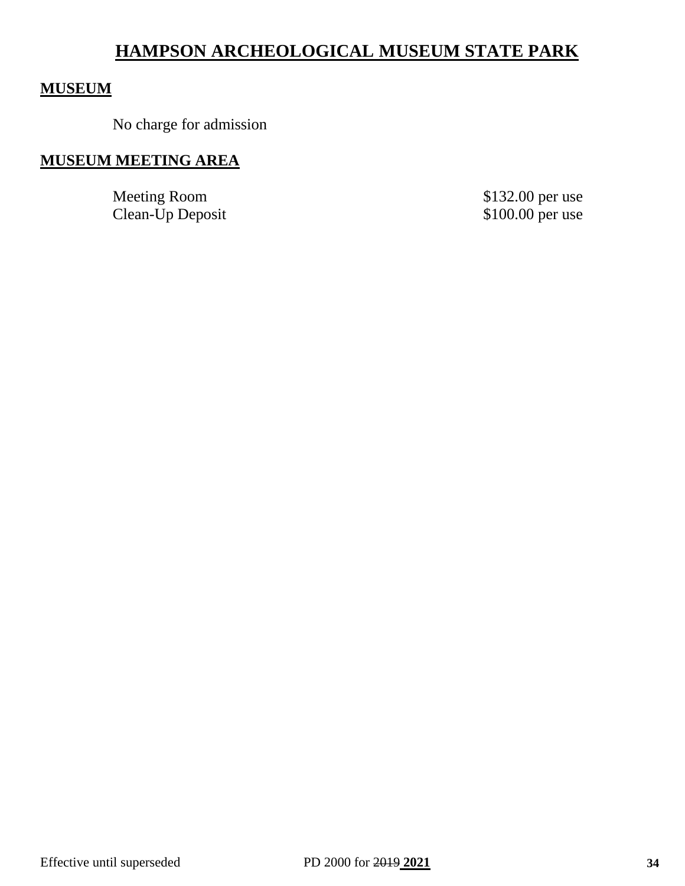## **HAMPSON ARCHEOLOGICAL MUSEUM STATE PARK**

#### **MUSEUM**

No charge for admission

## **MUSEUM MEETING AREA**

Meeting Room \$132.00 per use Clean-Up Deposit \$100.00 per use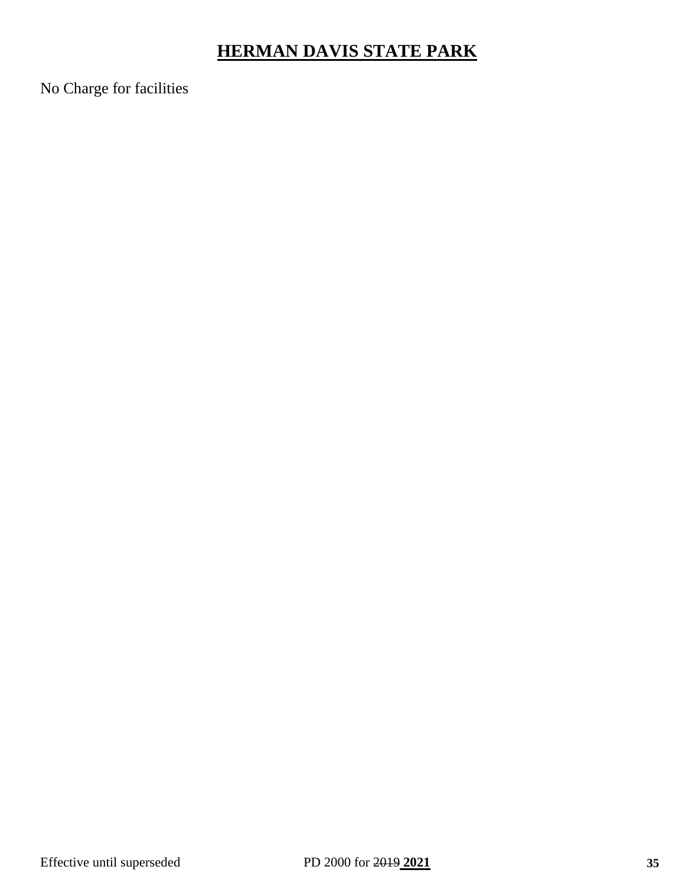# **HERMAN DAVIS STATE PARK**

No Charge for facilities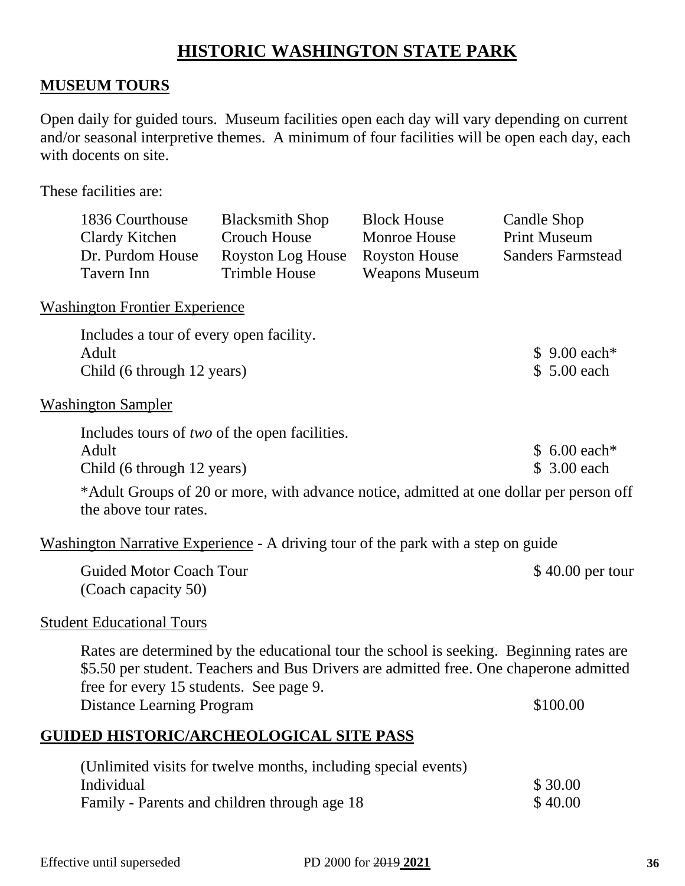## **HISTORIC WASHINGTON STATE PARK**

## **MUSEUM TOURS**

Open daily for guided tours. Museum facilities open each day will vary depending on current and/or seasonal interpretive themes. A minimum of four facilities will be open each day, each with docents on site.

These facilities are:

| 1836 Courthouse                                                                  | <b>Blacksmith Shop</b>                       | <b>Block House</b>    | Candle Shop              |
|----------------------------------------------------------------------------------|----------------------------------------------|-----------------------|--------------------------|
| Clardy Kitchen                                                                   | <b>Crouch House</b>                          | Monroe House          | <b>Print Museum</b>      |
| Dr. Purdom House                                                                 | Royston Log House                            | <b>Royston House</b>  | <b>Sanders Farmstead</b> |
| Tavern Inn                                                                       | <b>Trimble House</b>                         | <b>Weapons Museum</b> |                          |
| <b>Washington Frontier Experience</b><br>Includes a tour of every open facility. |                                              |                       |                          |
| Adult                                                                            |                                              |                       | $$9.00$ each*            |
| Child (6 through 12 years)                                                       |                                              |                       | \$ 5.00 each             |
| <b>Washington Sampler</b>                                                        |                                              |                       |                          |
|                                                                                  | Includes tours of two of the open facilities |                       |                          |

| mentates tours of <i>two</i> of the open necessary. |               |
|-----------------------------------------------------|---------------|
| Adult                                               | $$6.00 each*$ |
| Child (6 through 12 years)                          | \$ 3.00 each  |

\*Adult Groups of 20 or more, with advance notice, admitted at one dollar per person off the above tour rates.

Washington Narrative Experience - A driving tour of the park with a step on guide

| <b>Guided Motor Coach Tour</b> | $$40.00$ per tour |
|--------------------------------|-------------------|
| (Coach capacity 50)            |                   |

#### Student Educational Tours

Rates are determined by the educational tour the school is seeking. Beginning rates are \$5.50 per student. Teachers and Bus Drivers are admitted free. One chaperone admitted free for every 15 students. See page 9. Distance Learning Program  $$100.00$ 

## **GUIDED HISTORIC/ARCHEOLOGICAL SITE PASS**

| (Unlimited visits for twelve months, including special events) |         |
|----------------------------------------------------------------|---------|
| Individual                                                     | \$30.00 |
| Family - Parents and children through age 18                   | \$40.00 |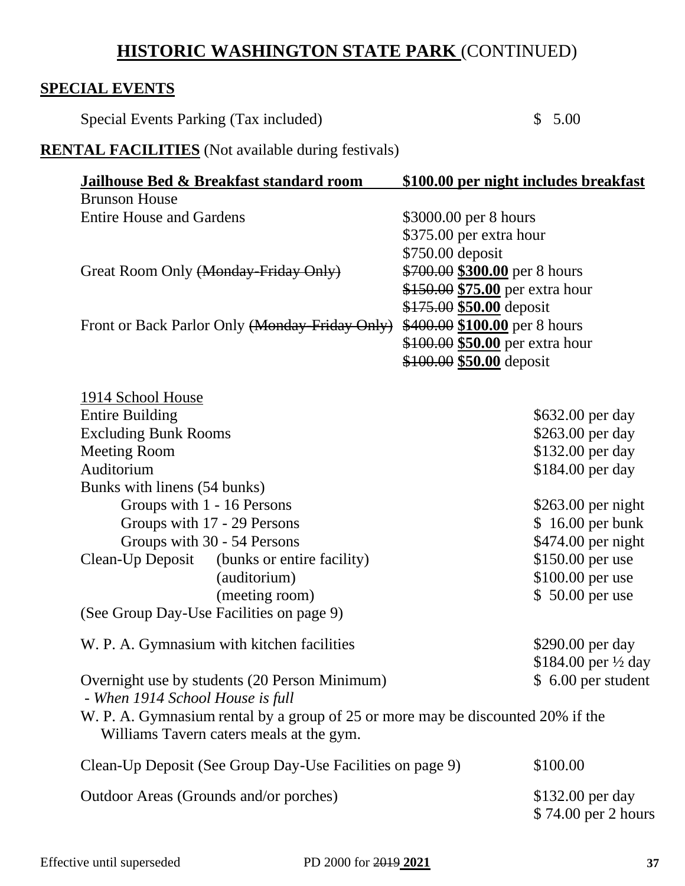# **HISTORIC WASHINGTON STATE PARK** (CONTINUED)

### **SPECIAL EVENTS**

Special Events Parking (Tax included) \$ 5.00

# **RENTAL FACILITIES** (Not available during festivals)

| <u>Jailhouse Bed &amp; Breakfast standard room</u>                                                                          | \$100.00 per night includes breakfast   |
|-----------------------------------------------------------------------------------------------------------------------------|-----------------------------------------|
| <b>Brunson House</b>                                                                                                        |                                         |
| <b>Entire House and Gardens</b>                                                                                             | \$3000.00 per 8 hours                   |
|                                                                                                                             | \$375.00 per extra hour                 |
|                                                                                                                             | \$750.00 deposit                        |
| Great Room Only (Monday-Friday Only)                                                                                        | \$700.00 \$300.00 per 8 hours           |
|                                                                                                                             | \$150.00 \$75.00 per extra hour         |
|                                                                                                                             | \$175.00 \$50.00 deposit                |
| Front or Back Parlor Only (Monday-Friday Only)                                                                              | \$400.00 \$100.00 per 8 hours           |
|                                                                                                                             | \$100.00 \$50.00 per extra hour         |
|                                                                                                                             | \$100.00 \$50.00 deposit                |
| 1914 School House                                                                                                           |                                         |
| <b>Entire Building</b>                                                                                                      | \$632.00 per day                        |
| <b>Excluding Bunk Rooms</b>                                                                                                 | \$263.00 per day                        |
| <b>Meeting Room</b>                                                                                                         | \$132.00 per day                        |
| Auditorium                                                                                                                  | \$184.00 per day                        |
| Bunks with linens (54 bunks)                                                                                                |                                         |
| Groups with 1 - 16 Persons                                                                                                  | $$263.00$ per night                     |
| Groups with 17 - 29 Persons                                                                                                 | $$16.00$ per bunk                       |
| Groups with 30 - 54 Persons                                                                                                 | \$474.00 per night                      |
| Clean-Up Deposit<br>(bunks or entire facility)                                                                              | \$150.00 per use                        |
| (auditorium)                                                                                                                | \$100.00 per use                        |
| (meeting room)                                                                                                              | \$50.00 per use                         |
| (See Group Day-Use Facilities on page 9)                                                                                    |                                         |
| W. P. A. Gymnasium with kitchen facilities                                                                                  | \$290.00 per day                        |
|                                                                                                                             | \$184.00 per $\frac{1}{2}$ day          |
| Overnight use by students (20 Person Minimum)<br>- When 1914 School House is full                                           | $$6.00$ per student                     |
| W. P. A. Gymnasium rental by a group of 25 or more may be discounted 20% if the<br>Williams Tavern caters meals at the gym. |                                         |
| Clean-Up Deposit (See Group Day-Use Facilities on page 9)                                                                   | \$100.00                                |
| Outdoor Areas (Grounds and/or porches)                                                                                      | \$132.00 per day<br>\$74.00 per 2 hours |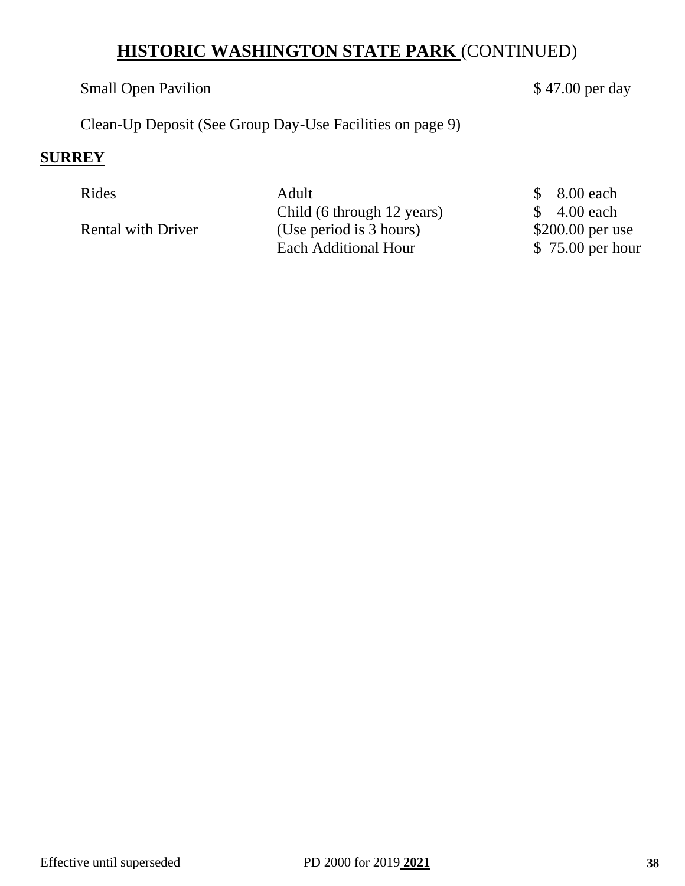# **HISTORIC WASHINGTON STATE PARK** (CONTINUED)

#### Small Open Pavilion  $$47.00$  per day

Clean-Up Deposit (See Group Day-Use Facilities on page 9)

#### **SURREY**

Rides Adult \$ 8.00 each Child (6 through 12 years) \$ 4.00 each Rental with Driver (Use period is 3 hours) \$200.00 per use Each Additional Hour \$75.00 per hour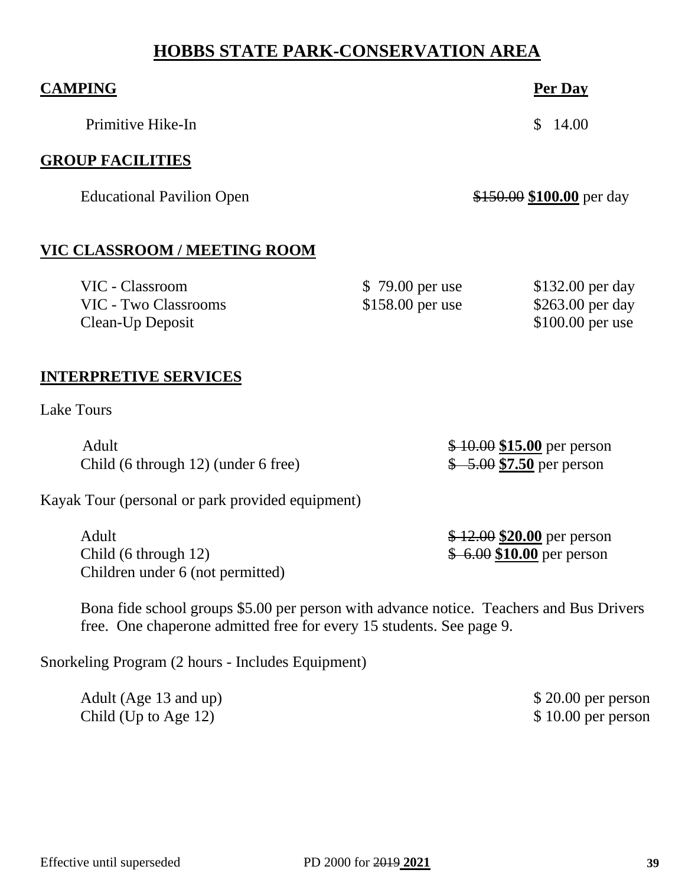# **HOBBS STATE PARK-CONSERVATION AREA**

| <b>CAMPING</b>                                                                        |                                     | Per Day                                                   |
|---------------------------------------------------------------------------------------|-------------------------------------|-----------------------------------------------------------|
| Primitive Hike-In                                                                     |                                     | $\mathbb{S}$<br>14.00                                     |
| <b>GROUP FACILITIES</b>                                                               |                                     |                                                           |
| <b>Educational Pavilion Open</b>                                                      |                                     | \$150.00 \$100.00 per day                                 |
| VIC CLASSROOM / MEETING ROOM                                                          |                                     |                                                           |
| VIC - Classroom<br><b>VIC - Two Classrooms</b><br>Clean-Up Deposit                    | \$79.00 per use<br>\$158.00 per use | \$132.00 per day<br>\$263.00 per day<br>\$100.00 per use  |
| <b>INTERPRETIVE SERVICES</b>                                                          |                                     |                                                           |
| <b>Lake Tours</b>                                                                     |                                     |                                                           |
| Adult<br>Child (6 through 12) (under 6 free)                                          |                                     | $$10.00$ \$15.00 per person<br>$$-5.00$ \$7.50 per person |
| Kayak Tour (personal or park provided equipment)                                      |                                     |                                                           |
| Adult<br>Child (6 through 12)<br>Children under 6 (not permitted)                     |                                     | $$12.00$ \$20.00 per person<br>$$6.00$ \$10.00 per person |
| Bona fide school groups \$5.00 per person with advance notice Teachers and Rus Driver |                                     |                                                           |

Bona fide school groups \$5.00 per person with advance notice. Teachers and Bus Drivers free. One chaperone admitted free for every 15 students. See page 9.

Snorkeling Program (2 hours - Includes Equipment)

| Adult (Age 13 and up) | $$20.00$ per person |
|-----------------------|---------------------|
| Child (Up to Age 12)  | $$10.00$ per person |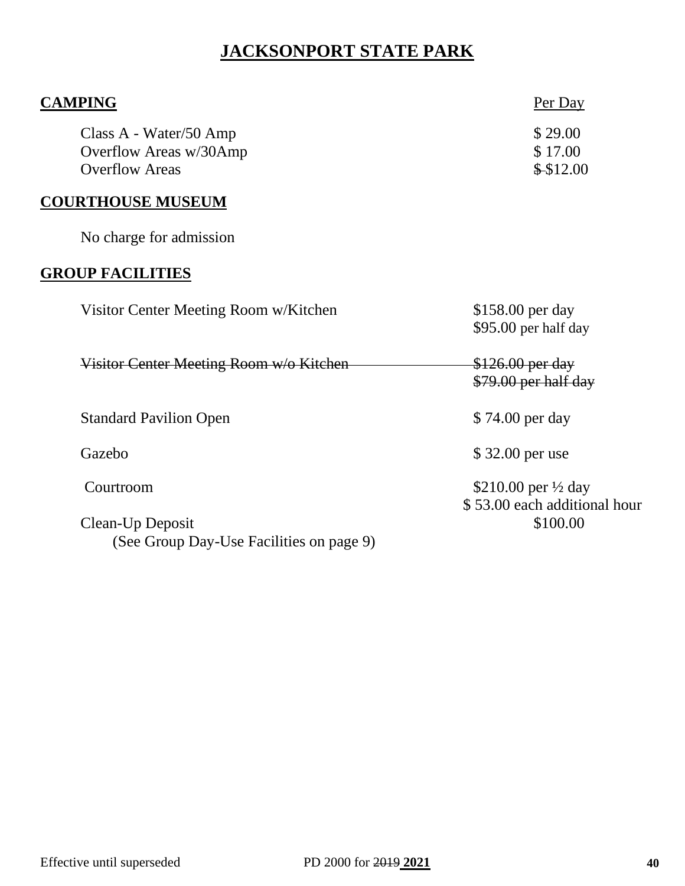# **JACKSONPORT STATE PARK**

| <b>CAMPING</b>                                                            | Per Day                                                        |
|---------------------------------------------------------------------------|----------------------------------------------------------------|
| Class A - Water/50 Amp<br>Overflow Areas w/30Amp<br><b>Overflow Areas</b> | \$29.00<br>\$17.00<br>\$\$12.00                                |
| <b>COURTHOUSE MUSEUM</b>                                                  |                                                                |
| No charge for admission                                                   |                                                                |
| <b>GROUP FACILITIES</b>                                                   |                                                                |
| Visitor Center Meeting Room w/Kitchen                                     | \$158.00 per day<br>\$95.00 per half day                       |
| Visitor Center Meeting Room w/o Kitchen                                   | \$126.00 per day<br>\$79.00 per half day                       |
| <b>Standard Pavilion Open</b>                                             | \$74.00 per day                                                |
| Gazebo                                                                    | \$32.00 per use                                                |
| Courtroom                                                                 | \$210.00 per $\frac{1}{2}$ day<br>\$53.00 each additional hour |
| Clean-Up Deposit<br>(See Group Day-Use Facilities on page 9)              | \$100.00                                                       |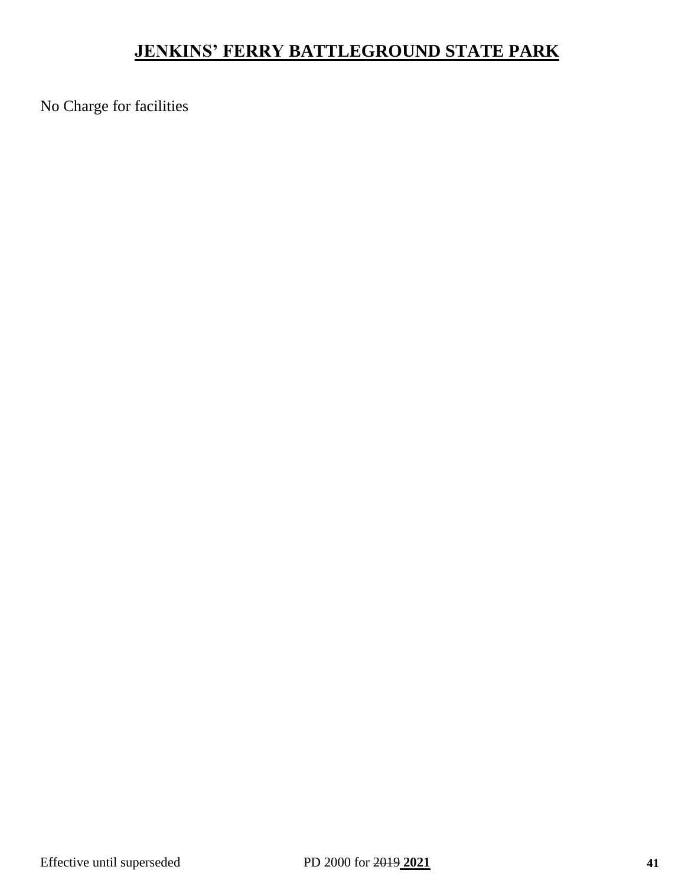# **JENKINS' FERRY BATTLEGROUND STATE PARK**

No Charge for facilities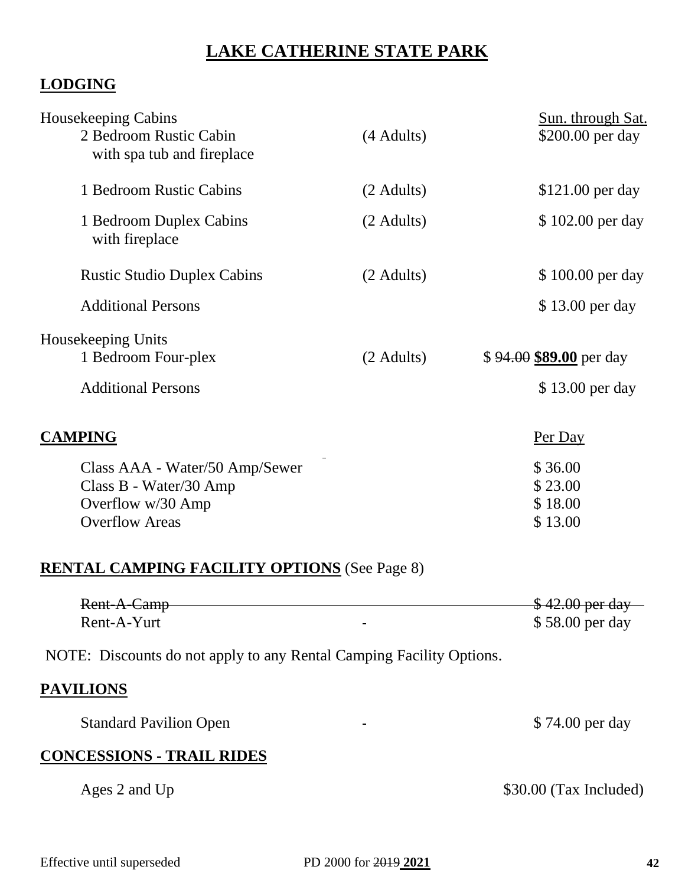# **LAKE CATHERINE STATE PARK**

# **LODGING**

| Housekeeping Cabins<br>2 Bedroom Rustic Cabin<br>with spa tub and fireplace                            | (4 Adults) | Sun. through Sat.<br>\$200.00 per day      |
|--------------------------------------------------------------------------------------------------------|------------|--------------------------------------------|
| 1 Bedroom Rustic Cabins                                                                                | (2 Adults) | \$121.00 per day                           |
| 1 Bedroom Duplex Cabins<br>with fireplace                                                              | (2 Adults) | \$102.00 per day                           |
| <b>Rustic Studio Duplex Cabins</b>                                                                     | (2 Adults) | \$100.00 per day                           |
| <b>Additional Persons</b>                                                                              |            | \$13.00 per day                            |
| Housekeeping Units<br>1 Bedroom Four-plex<br><b>Additional Persons</b>                                 | (2 Adults) | \$94.00 \$89.00 per day<br>\$13.00 per day |
| <b>CAMPING</b>                                                                                         |            | Per Day                                    |
| Class AAA - Water/50 Amp/Sewer<br>Class B - Water/30 Amp<br>Overflow w/30 Amp<br><b>Overflow Areas</b> |            | \$36.00<br>\$23.00<br>\$18.00<br>\$13.00   |
| <b>RENTAL CAMPING FACILITY OPTIONS</b> (See Page 8)                                                    |            |                                            |
| Rent-A-Camp                                                                                            |            | \$42.00 per day                            |
| Rent-A-Yurt                                                                                            |            | \$58.00 per day                            |
| NOTE: Discounts do not apply to any Rental Camping Facility Options.                                   |            |                                            |
| <b>PAVILIONS</b>                                                                                       |            |                                            |
| <b>Standard Pavilion Open</b>                                                                          |            | \$74.00 per day                            |
| <b>CONCESSIONS - TRAIL RIDES</b>                                                                       |            |                                            |
|                                                                                                        |            |                                            |

Ages 2 and Up \$30.00 (Tax Included)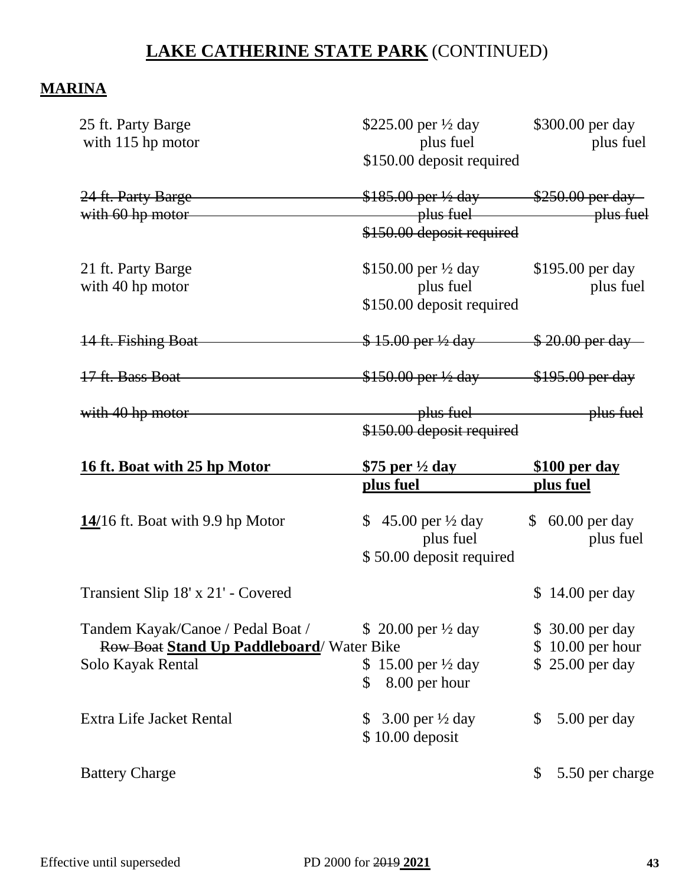# **LAKE CATHERINE STATE PARK** (CONTINUED)

## **MARINA**

| 25 ft. Party Barge<br>with 115 hp motor                                                                              | \$225.00 per $\frac{1}{2}$ day<br>plus fuel<br>\$150.00 deposit required | \$300.00 per day<br>plus fuel            |
|----------------------------------------------------------------------------------------------------------------------|--------------------------------------------------------------------------|------------------------------------------|
| 24 ft. Party Barge<br>with 60 hp motor                                                                               | $$185.00$ per $\frac{1}{2}$ day $$250.00$ per day<br>plus fuel plus fuel |                                          |
|                                                                                                                      | \$150.00 deposit required                                                |                                          |
| 21 ft. Party Barge                                                                                                   | \$150.00 per $\frac{1}{2}$ day                                           | \$195.00 per day                         |
| with 40 hp motor                                                                                                     | plus fuel                                                                | plus fuel                                |
|                                                                                                                      | \$150.00 deposit required                                                |                                          |
| 14 ft. Fishing Boat                                                                                                  | $$15.00$ per ½ day $$20.00$ per day                                      |                                          |
| 17 ft. Bass Boat                                                                                                     | $$150.00$ per $\frac{1}{2}$ day $$195.00$ per day                        |                                          |
| with 40 hp motor                                                                                                     | plus fuel                                                                | plus fuel                                |
|                                                                                                                      | \$150.00 deposit required                                                |                                          |
| <u>16 ft. Boat with 25 hp Motor</u>                                                                                  | \$75 per $\frac{1}{2}$ day                                               | \$100 per day                            |
|                                                                                                                      | plus fuel                                                                | plus fuel                                |
|                                                                                                                      |                                                                          |                                          |
|                                                                                                                      | \$ 45.00 per $\frac{1}{2}$ day                                           | $$60.00$ per day                         |
|                                                                                                                      | plus fuel                                                                | plus fuel                                |
|                                                                                                                      | \$50.00 deposit required                                                 |                                          |
|                                                                                                                      |                                                                          | \$14.00 per day                          |
|                                                                                                                      | \$ 20.00 per $\frac{1}{2}$ day                                           |                                          |
| Transient Slip 18' x 21' - Covered<br>Tandem Kayak/Canoe / Pedal Boat /<br>Row Boat Stand Up Paddleboard/ Water Bike |                                                                          | \$<br>\$ 30.00 per day<br>10.00 per hour |
|                                                                                                                      | \$15.00 per $\frac{1}{2}$ day                                            | \$25.00 per day                          |
| $14/16$ ft. Boat with 9.9 hp Motor<br>Solo Kayak Rental                                                              | 8.00 per hour<br>$\mathbb{S}$                                            |                                          |
| Extra Life Jacket Rental                                                                                             | 3.00 per $\frac{1}{2}$ day<br><sup>S</sup>                               | \$<br>5.00 per day                       |
|                                                                                                                      | \$10.00 deposit                                                          |                                          |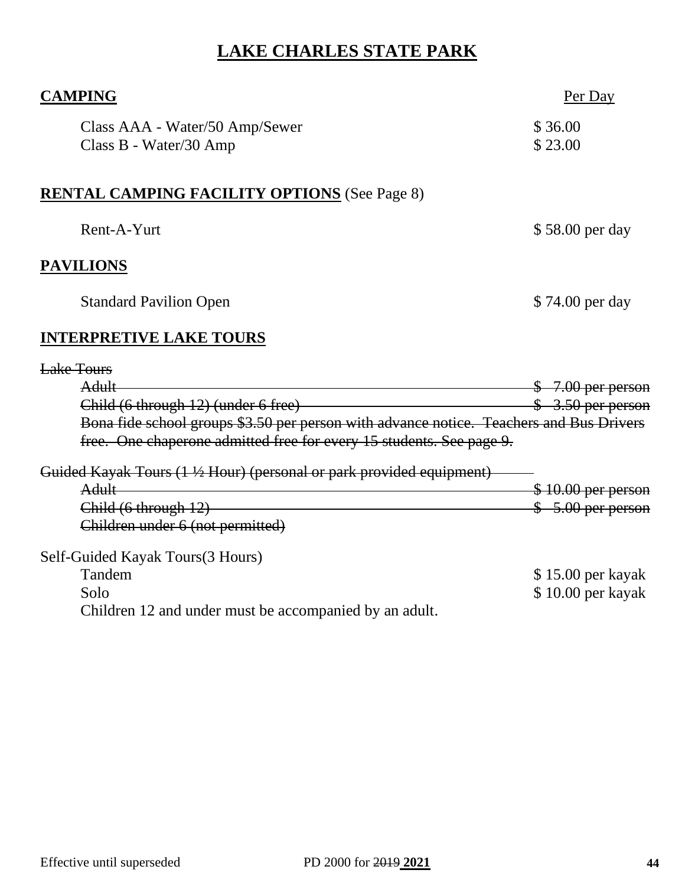# **LAKE CHARLES STATE PARK**

| <b>CAMPING</b>                                                                             | Per Day             |
|--------------------------------------------------------------------------------------------|---------------------|
| Class AAA - Water/50 Amp/Sewer<br>Class B - Water/30 Amp                                   | \$36.00<br>\$23.00  |
| <b>RENTAL CAMPING FACILITY OPTIONS</b> (See Page 8)                                        |                     |
| Rent-A-Yurt                                                                                | \$58.00 per day     |
| <b>PAVILIONS</b>                                                                           |                     |
| <b>Standard Pavilion Open</b>                                                              | \$74.00 per day     |
| <b>INTERPRETIVE LAKE TOURS</b>                                                             |                     |
| Lake Tours                                                                                 |                     |
| <b>Adult</b>                                                                               | $$7.00$ per person  |
| Child (6 through 12) (under 6 free)<br>Solution of the Child (6 through 12) (under 6 free) | $$3.50$ per person  |
| Bona fide school groups \$3.50 per person with advance notice. Teachers and Bus Drivers    |                     |
| free. One chaperone admitted free for every 15 students. See page 9.                       |                     |
| Guided Kayak Tours (1 ½ Hour) (personal or park provided equipment)                        |                     |
| <b>Adult</b>                                                                               | $$10.00$ per person |
| Child (6 through 12)                                                                       | $$5.00$ per person  |
| Children under 6 (not permitted)                                                           |                     |
| Self-Guided Kayak Tours(3 Hours)                                                           |                     |
| Tandem                                                                                     | \$15.00 per kayak   |
| Solo                                                                                       | \$10.00 per kayak   |
| Children 12 and under must be accompanied by an adult.                                     |                     |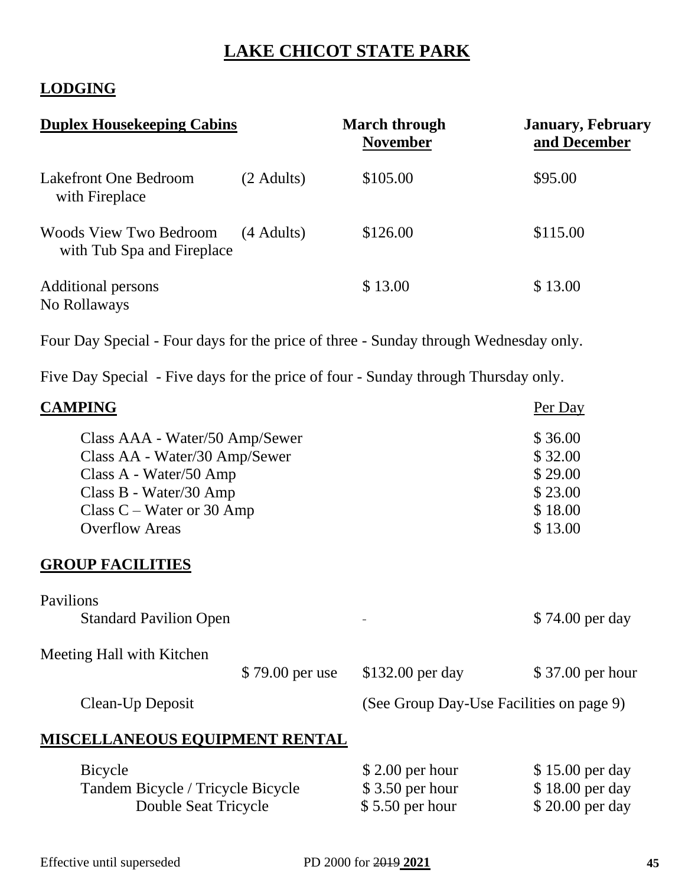# **LAKE CHICOT STATE PARK**

## **LODGING**

| <b>Duplex Housekeeping Cabins</b>                           |            | <b>March through</b><br><b>November</b> | <b>January, February</b><br>and December |  |
|-------------------------------------------------------------|------------|-----------------------------------------|------------------------------------------|--|
| Lakefront One Bedroom<br>with Fireplace                     | (2 Adults) | \$105.00                                | \$95.00                                  |  |
| <b>Woods View Two Bedroom</b><br>with Tub Spa and Fireplace | (4 Adults) | \$126.00                                | \$115.00                                 |  |
| Additional persons<br>No Rollaways                          |            | \$13.00                                 | \$13.00                                  |  |

Four Day Special - Four days for the price of three - Sunday through Wednesday only.

Five Day Special - Five days for the price of four - Sunday through Thursday only.

| <b>CAMPING</b>                                                                                                                                                              |                                                                                                                                                                                                                                                                                                                                                                  | Per Day                                                        |
|-----------------------------------------------------------------------------------------------------------------------------------------------------------------------------|------------------------------------------------------------------------------------------------------------------------------------------------------------------------------------------------------------------------------------------------------------------------------------------------------------------------------------------------------------------|----------------------------------------------------------------|
| Class AAA - Water/50 Amp/Sewer<br>Class AA - Water/30 Amp/Sewer<br>Class A - Water/50 Amp<br>Class B - Water/30 Amp<br>Class $C$ – Water or 30 Amp<br><b>Overflow Areas</b> |                                                                                                                                                                                                                                                                                                                                                                  | \$36.00<br>\$32.00<br>\$29.00<br>\$23.00<br>\$18.00<br>\$13.00 |
| <b>GROUP FACILITIES</b>                                                                                                                                                     |                                                                                                                                                                                                                                                                                                                                                                  |                                                                |
| Pavilions<br><b>Standard Pavilion Open</b>                                                                                                                                  |                                                                                                                                                                                                                                                                                                                                                                  | \$74.00 per day                                                |
| Meeting Hall with Kitchen<br>\$79.00 per use                                                                                                                                | \$132.00 per day                                                                                                                                                                                                                                                                                                                                                 | \$37.00 per hour                                               |
| Clean-Up Deposit                                                                                                                                                            | (See Group Day-Use Facilities on page 9)                                                                                                                                                                                                                                                                                                                         |                                                                |
| MISCELLANEOUS EQUIPMENT RENTAL                                                                                                                                              |                                                                                                                                                                                                                                                                                                                                                                  |                                                                |
| <b>Bicycle</b><br>$\mathbf{D}$ $\mathbf{I}$ $\mathbf{m}$ $\mathbf{I}$ $\mathbf{D}$ $\mathbf{I}$ $\mathbf{I}$                                                                | $$2.00$ per hour<br>$\wedge$ $\wedge$ $\wedge$ $\wedge$ $\wedge$ $\wedge$ $\wedge$ $\wedge$ $\wedge$ $\wedge$ $\wedge$ $\wedge$ $\wedge$ $\wedge$ $\wedge$ $\wedge$ $\wedge$ $\wedge$ $\wedge$ $\wedge$ $\wedge$ $\wedge$ $\wedge$ $\wedge$ $\wedge$ $\wedge$ $\wedge$ $\wedge$ $\wedge$ $\wedge$ $\wedge$ $\wedge$ $\wedge$ $\wedge$ $\wedge$ $\wedge$ $\wedge$ | \$15.00 per day<br>$\uparrow$ 10.00                            |

| DICACIO                           | $\phi$ 2.00 pcl from | $\phi$ 1.9.00 pc day |
|-----------------------------------|----------------------|----------------------|
| Tandem Bicycle / Tricycle Bicycle | $$3.50$ per hour     | \$18.00 per day      |
| Double Seat Tricycle              | $$5.50$ per hour     | \$20.00 per day      |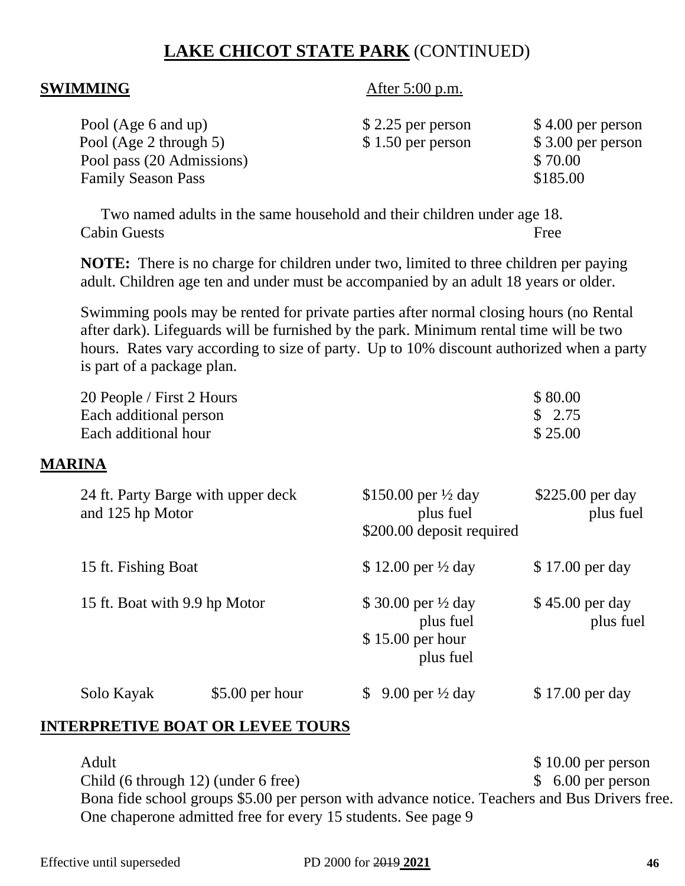# **LAKE CHICOT STATE PARK** (CONTINUED)

**SWIMMING** After 5:00 p.m.

| $$2.25$ per person | $$4.00$ per person |
|--------------------|--------------------|
| $$1.50$ per person | \$3.00 per person  |
|                    | \$70.00            |
|                    | \$185.00           |
|                    |                    |

Two named adults in the same household and their children under age 18. Cabin Guests Free

**NOTE:** There is no charge for children under two, limited to three children per paying adult. Children age ten and under must be accompanied by an adult 18 years or older.

Swimming pools may be rented for private parties after normal closing hours (no Rental after dark). Lifeguards will be furnished by the park. Minimum rental time will be two hours. Rates vary according to size of party. Up to 10% discount authorized when a party is part of a package plan.

|               | 20 People / First 2 Hours<br>Each additional person<br>Each additional hour |                  |                                                                              | \$80.00<br>\$2.75<br>\$25.00   |
|---------------|-----------------------------------------------------------------------------|------------------|------------------------------------------------------------------------------|--------------------------------|
| <b>MARINA</b> |                                                                             |                  |                                                                              |                                |
|               | 24 ft. Party Barge with upper deck<br>and 125 hp Motor                      |                  | \$150.00 per $\frac{1}{2}$ day<br>plus fuel<br>\$200.00 deposit required     | $$225.00$ per day<br>plus fuel |
|               | 15 ft. Fishing Boat                                                         |                  | \$12.00 per $\frac{1}{2}$ day                                                | \$17.00 per day                |
|               | 15 ft. Boat with 9.9 hp Motor                                               |                  | \$30.00 per $\frac{1}{2}$ day<br>plus fuel<br>$$15.00$ per hour<br>plus fuel | \$45.00 per day<br>plus fuel   |
|               | Solo Kayak                                                                  | $$5.00$ per hour | \$<br>9.00 per $\frac{1}{2}$ day                                             | \$17.00 per day                |

#### **INTERPRETIVE BOAT OR LEVEE TOURS**

Adult \$10.00 per person Child (6 through 12) (under 6 free) \$ 6.00 per person Bona fide school groups \$5.00 per person with advance notice. Teachers and Bus Drivers free. One chaperone admitted free for every 15 students. See page 9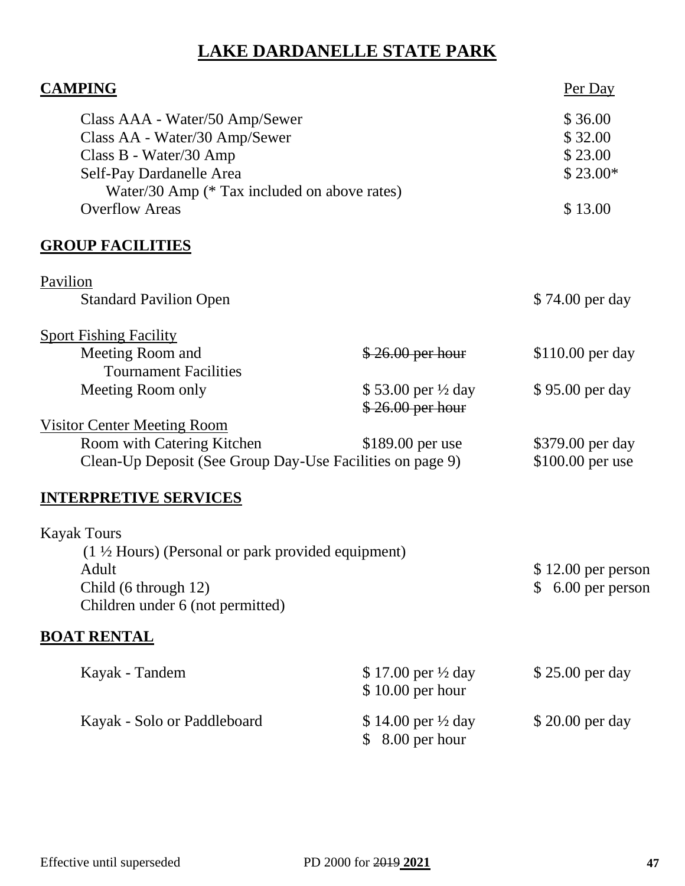# **LAKE DARDANELLE STATE PARK**

| <b>CAMPING</b>                                                                                                                                                                                 |                                        | Per Day                                               |
|------------------------------------------------------------------------------------------------------------------------------------------------------------------------------------------------|----------------------------------------|-------------------------------------------------------|
| Class AAA - Water/50 Amp/Sewer<br>Class AA - Water/30 Amp/Sewer<br>Class B - Water/30 Amp<br>Self-Pay Dardanelle Area<br>Water/30 Amp (* Tax included on above rates)<br><b>Overflow Areas</b> |                                        | \$36.00<br>\$32.00<br>\$23.00<br>$$23.00*$<br>\$13.00 |
| <b>GROUP FACILITIES</b>                                                                                                                                                                        |                                        |                                                       |
| Pavilion<br><b>Standard Pavilion Open</b>                                                                                                                                                      |                                        | \$74.00 per day                                       |
| <b>Sport Fishing Facility</b><br>Meeting Room and                                                                                                                                              | $$26.00$ per hour                      | \$110.00 per day                                      |
| <b>Tournament Facilities</b><br>Meeting Room only                                                                                                                                              | \$53.00 per ½ day<br>$$26.00$ per hour | \$95.00 per day                                       |
| <b>Visitor Center Meeting Room</b><br>Room with Catering Kitchen<br>Clean-Up Deposit (See Group Day-Use Facilities on page 9)                                                                  | \$189.00 per use                       | \$379.00 per day<br>\$100.00 per use                  |
| <b>INTERPRETIVE SERVICES</b>                                                                                                                                                                   |                                        |                                                       |
| <b>Kayak Tours</b><br>(1 ½ Hours) (Personal or park provided equipment)<br>Adult<br>Child (6 through 12)<br>Children under 6 (not permitted)                                                   |                                        | $$12.00$ per person<br>$$6.00$ per person             |
| <b>BOAT RENTAL</b>                                                                                                                                                                             |                                        |                                                       |
| Kayak - Tandem                                                                                                                                                                                 | \$17.00 per ½ day<br>\$10.00 per hour  | \$25.00 per day                                       |
| Kayak - Solo or Paddleboard                                                                                                                                                                    | \$14.00 per ½ day<br>\$ 8.00 per hour  | \$20.00 per day                                       |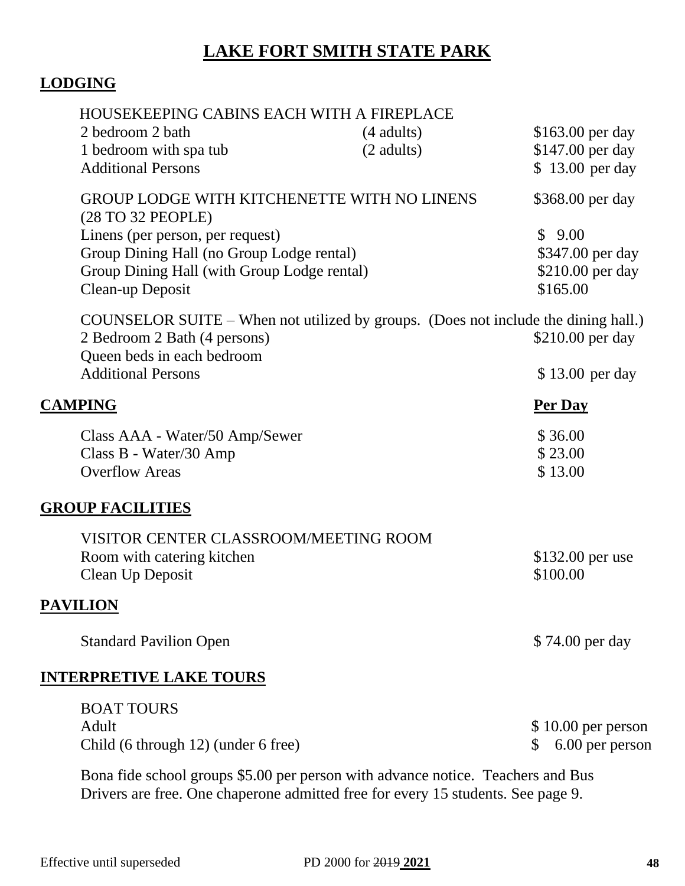# **LAKE FORT SMITH STATE PARK**

# **LODGING**

| HOUSEKEEPING CABINS EACH WITH A FIREPLACE                                                                                                        |                              |                                                            |
|--------------------------------------------------------------------------------------------------------------------------------------------------|------------------------------|------------------------------------------------------------|
| 2 bedroom 2 bath<br>1 bedroom with spa tub<br><b>Additional Persons</b>                                                                          | $(4$ adults)<br>$(2$ adults) | \$163.00 per day<br>\$147.00 per day<br>\$13.00 per day    |
| <b>GROUP LODGE WITH KITCHENETTE WITH NO LINENS</b><br>(28 TO 32 PEOPLE)                                                                          |                              | \$368.00 per day                                           |
| Linens (per person, per request)<br>Group Dining Hall (no Group Lodge rental)<br>Group Dining Hall (with Group Lodge rental)<br>Clean-up Deposit |                              | \$9.00<br>\$347.00 per day<br>\$210.00 per day<br>\$165.00 |
| COUNSELOR SUITE – When not utilized by groups. (Does not include the dining hall.)<br>2 Bedroom 2 Bath (4 persons)<br>Queen beds in each bedroom |                              | \$210.00 per day                                           |
| <b>Additional Persons</b>                                                                                                                        |                              | \$13.00 per day                                            |
| <b>CAMPING</b>                                                                                                                                   |                              | Per Day                                                    |
| Class AAA - Water/50 Amp/Sewer<br>Class B - Water/30 Amp<br><b>Overflow Areas</b>                                                                |                              | \$36.00<br>\$23.00<br>\$13.00                              |
| <b>GROUP FACILITIES</b>                                                                                                                          |                              |                                                            |
| VISITOR CENTER CLASSROOM/MEETING ROOM<br>Room with catering kitchen<br>Clean Up Deposit                                                          |                              | \$132.00 per use<br>\$100.00                               |
| <b>PAVILION</b>                                                                                                                                  |                              |                                                            |
| <b>Standard Pavilion Open</b>                                                                                                                    |                              | \$74.00 per day                                            |
| <b>INTERPRETIVE LAKE TOURS</b>                                                                                                                   |                              |                                                            |
| <b>BOAT TOURS</b><br>Adult<br>Child (6 through 12) (under 6 free)                                                                                |                              | $$10.00$ per person<br>6.00 per person<br>S                |
|                                                                                                                                                  |                              |                                                            |

Bona fide school groups \$5.00 per person with advance notice. Teachers and Bus Drivers are free. One chaperone admitted free for every 15 students. See page 9.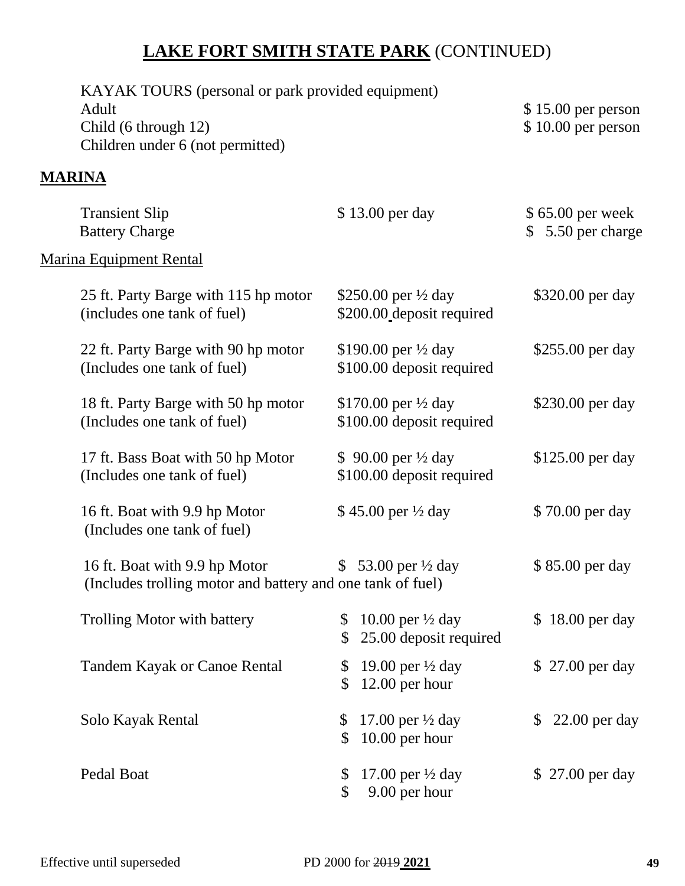# **LAKE FORT SMITH STATE PARK** (CONTINUED)

| KAYAK TOURS (personal or park provided equipment)<br>Adult<br>Child (6 through 12)<br>Children under 6 (not permitted) |                                                                                    | \$15.00 per person<br>$$10.00$ per person |  |
|------------------------------------------------------------------------------------------------------------------------|------------------------------------------------------------------------------------|-------------------------------------------|--|
| <b>MARINA</b>                                                                                                          |                                                                                    |                                           |  |
| <b>Transient Slip</b><br><b>Battery Charge</b>                                                                         | \$13.00 per day                                                                    | $$65.00$ per week<br>5.50 per charge      |  |
| <b>Marina Equipment Rental</b>                                                                                         |                                                                                    |                                           |  |
| 25 ft. Party Barge with 115 hp motor<br>(includes one tank of fuel)                                                    | \$250.00 per $\frac{1}{2}$ day<br>\$200.00 deposit required                        | \$320.00 per day                          |  |
| 22 ft. Party Barge with 90 hp motor<br>(Includes one tank of fuel)                                                     | \$190.00 per $\frac{1}{2}$ day<br>\$100.00 deposit required                        | \$255.00 per day                          |  |
| 18 ft. Party Barge with 50 hp motor<br>(Includes one tank of fuel)                                                     | \$170.00 per $\frac{1}{2}$ day<br>\$100.00 deposit required                        | \$230.00 per day                          |  |
| 17 ft. Bass Boat with 50 hp Motor<br>(Includes one tank of fuel)                                                       | \$ 90.00 per $\frac{1}{2}$ day<br>\$100.00 deposit required                        | \$125.00 per day                          |  |
| 16 ft. Boat with 9.9 hp Motor<br>(Includes one tank of fuel)                                                           | \$45.00 per 1/2 day                                                                | \$70.00 per day                           |  |
| 16 ft. Boat with 9.9 hp Motor<br>(Includes trolling motor and battery and one tank of fuel)                            | \$ 53.00 per $\frac{1}{2}$ day                                                     | \$85.00 per day                           |  |
| Trolling Motor with battery                                                                                            | 10.00 per $\frac{1}{2}$ day<br>\$<br>25.00 deposit required<br>$\mathbb{S}$        | \$18.00 per day                           |  |
| <b>Tandem Kayak or Canoe Rental</b>                                                                                    | 19.00 per $\frac{1}{2}$ day<br>$\boldsymbol{\mathsf{S}}$<br>$12.00$ per hour<br>\$ | \$27.00 per day                           |  |
| Solo Kayak Rental                                                                                                      | 17.00 per $\frac{1}{2}$ day<br>$\boldsymbol{\mathsf{S}}$<br>$10.00$ per hour<br>\$ | $22.00$ per day<br>$\mathbb{S}$           |  |
| Pedal Boat                                                                                                             | 17.00 per $\frac{1}{2}$ day<br>$\mathcal{S}$<br>9.00 per hour<br>\$                | \$27.00 per day                           |  |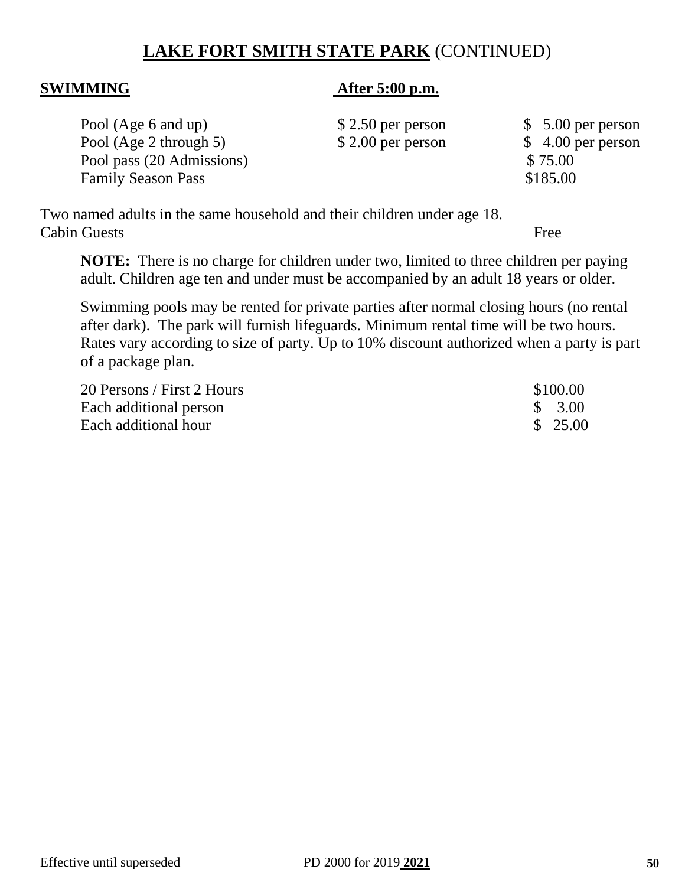# **LAKE FORT SMITH STATE PARK** (CONTINUED)

#### **SWIMMING After 5:00 p.m.**

| Pool (Age 6 and up)       | $$2.50$ per person | $$5.00$ per person |
|---------------------------|--------------------|--------------------|
| Pool (Age 2 through 5)    | $$2.00$ per person | $$4.00$ per person |
| Pool pass (20 Admissions) |                    | \$75.00            |
| <b>Family Season Pass</b> |                    | \$185.00           |
|                           |                    |                    |

Two named adults in the same household and their children under age 18. Cabin Guests Free

**NOTE:** There is no charge for children under two, limited to three children per paying adult. Children age ten and under must be accompanied by an adult 18 years or older.

Swimming pools may be rented for private parties after normal closing hours (no rental after dark). The park will furnish lifeguards. Minimum rental time will be two hours. Rates vary according to size of party. Up to 10% discount authorized when a party is part of a package plan.

| 20 Persons / First 2 Hours | \$100.00 |
|----------------------------|----------|
| Each additional person     | \$ 3.00  |
| Each additional hour       | \$25.00  |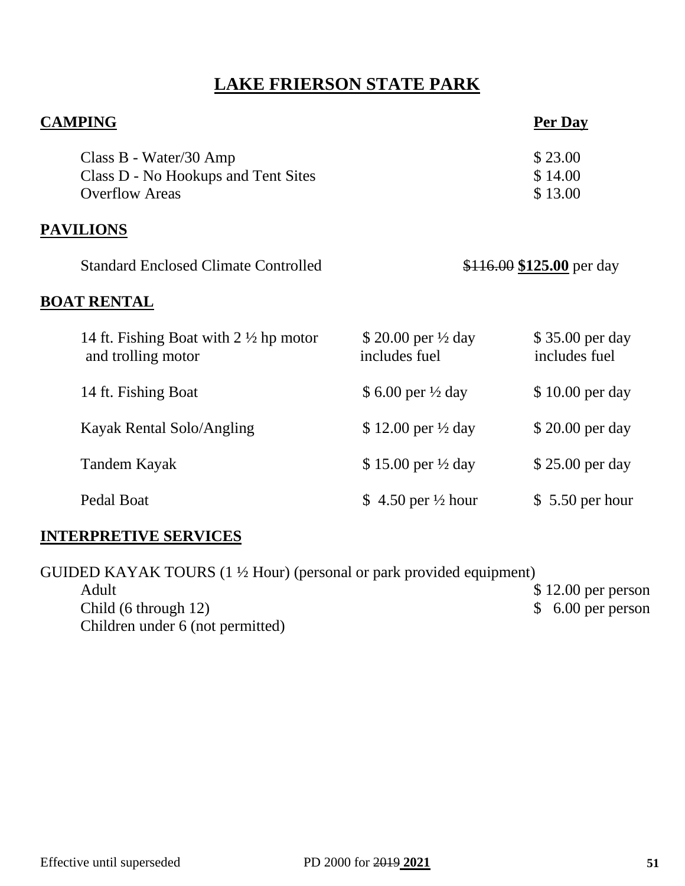# **LAKE FRIERSON STATE PARK**

| <b>CAMPING</b>                                                                         |                                                 | Per Day                          |
|----------------------------------------------------------------------------------------|-------------------------------------------------|----------------------------------|
| Class B - Water/30 Amp<br>Class D - No Hookups and Tent Sites<br><b>Overflow Areas</b> |                                                 | \$23.00<br>\$14.00<br>\$13.00    |
| <b>PAVILIONS</b>                                                                       |                                                 |                                  |
| <b>Standard Enclosed Climate Controlled</b>                                            |                                                 | \$116.00 \$125.00 per day        |
| <b>BOAT RENTAL</b>                                                                     |                                                 |                                  |
| 14 ft. Fishing Boat with $2 \frac{1}{2}$ hp motor<br>and trolling motor                | \$ 20.00 per $\frac{1}{2}$ day<br>includes fuel | \$35.00 per day<br>includes fuel |
| 14 ft. Fishing Boat                                                                    | \$6.00 per $\frac{1}{2}$ day                    | \$10.00 per day                  |
| Kayak Rental Solo/Angling                                                              | \$12.00 per $\frac{1}{2}$ day                   | \$20.00 per day                  |
| Tandem Kayak                                                                           | \$15.00 per $\frac{1}{2}$ day                   | \$25.00 per day                  |
| Pedal Boat                                                                             | \$ 4.50 per $\frac{1}{2}$ hour                  | $$5.50$ per hour                 |
| <b>INTERPRETIVE SERVICES</b>                                                           |                                                 |                                  |

GUIDED KAYAK TOURS (1 ½ Hour) (personal or park provided equipment) Adult \$12.00 per person<br>
\$12.00 per person<br>
\$6.00 per person<br>
\$6.00 per person Child (6 through 12) Children under 6 (not permitted)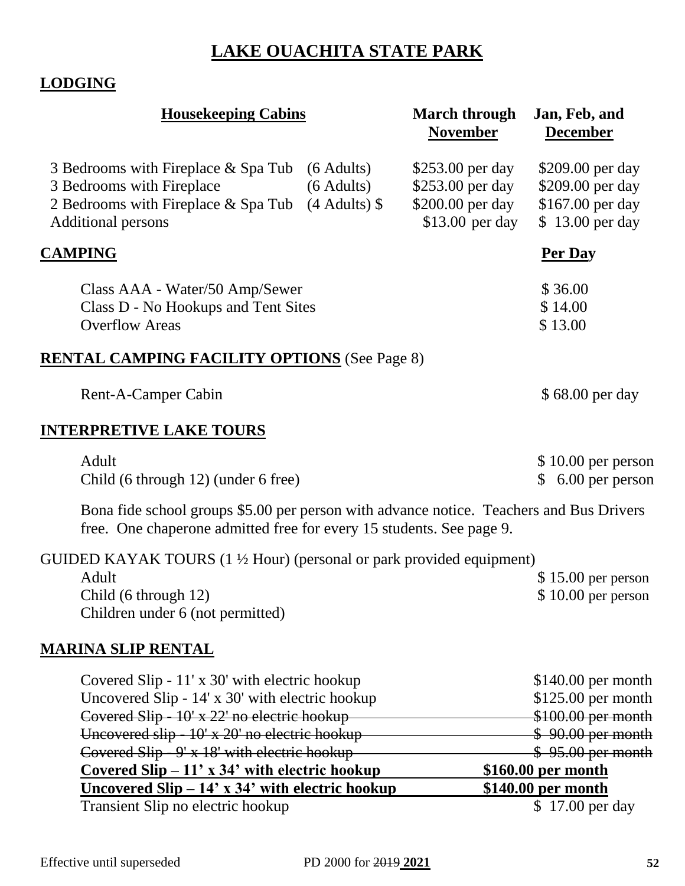# **LAKE OUACHITA STATE PARK**

# **LODGING**

| <b>Housekeeping Cabins</b>                                                                                                                                                                                                                       |                                                  | <b>March through</b><br><b>November</b>                                     | Jan, Feb, and<br><b>December</b>                                                                              |
|--------------------------------------------------------------------------------------------------------------------------------------------------------------------------------------------------------------------------------------------------|--------------------------------------------------|-----------------------------------------------------------------------------|---------------------------------------------------------------------------------------------------------------|
| 3 Bedrooms with Fireplace & Spa Tub<br>3 Bedrooms with Fireplace<br>2 Bedrooms with Fireplace & Spa Tub<br><b>Additional persons</b>                                                                                                             | $(6$ Adults)<br>$(6$ Adults)<br>$(4$ Adults) $\$ | \$253.00 per day<br>\$253.00 per day<br>\$200.00 per day<br>\$13.00 per day | \$209.00 per day<br>\$209.00 per day<br>\$167.00 per day<br>\$13.00 per day                                   |
| <b>CAMPING</b>                                                                                                                                                                                                                                   |                                                  |                                                                             | <b>Per Day</b>                                                                                                |
| Class AAA - Water/50 Amp/Sewer<br>Class D - No Hookups and Tent Sites<br><b>Overflow Areas</b>                                                                                                                                                   |                                                  |                                                                             | \$36.00<br>\$14.00<br>\$13.00                                                                                 |
| <b>RENTAL CAMPING FACILITY OPTIONS</b> (See Page 8)                                                                                                                                                                                              |                                                  |                                                                             |                                                                                                               |
| Rent-A-Camper Cabin                                                                                                                                                                                                                              |                                                  |                                                                             | \$68.00 per day                                                                                               |
| <u>INTERPRETIVE LAKE TOURS</u>                                                                                                                                                                                                                   |                                                  |                                                                             |                                                                                                               |
| Adult<br>Child (6 through 12) (under 6 free)                                                                                                                                                                                                     |                                                  |                                                                             | $$10.00$ per person<br>6.00 per person<br>S.                                                                  |
| Bona fide school groups \$5.00 per person with advance notice. Teachers and Bus Drivers<br>free. One chaperone admitted free for every 15 students. See page 9.                                                                                  |                                                  |                                                                             |                                                                                                               |
| GUIDED KAYAK TOURS $(1 \frac{1}{2}$ Hour) (personal or park provided equipment)<br>Adult<br>Child (6 through 12)<br>Children under 6 (not permitted)                                                                                             |                                                  |                                                                             | $$15.00$ per person<br>$$10.00$ per person                                                                    |
| <u>MARINA SLIP RENTAL</u>                                                                                                                                                                                                                        |                                                  |                                                                             |                                                                                                               |
| Covered Slip - 11' x 30' with electric hookup<br>Uncovered Slip - 14' x 30' with electric hookup<br>Covered Slip - 10' x 22' no electric hookup<br>Uncovered slip - 10' x 20' no electric hookup<br>Covered Slip - 9' x 18' with electric hookup |                                                  |                                                                             | $$140.00$ per month<br>$$125.00$ per month<br>$$100.00$ per month<br>$$90.00$ per month<br>$$95.00$ per month |
| <u>Covered Slip – 11' x 34' with electric hookup</u><br><u><b>Uncovered Slip – 14' x 34' with electric hookup</b></u>                                                                                                                            |                                                  |                                                                             | \$160.00 per month<br>\$140.00 per month                                                                      |

Transient Slip no electric hookup \$ 17.00 per day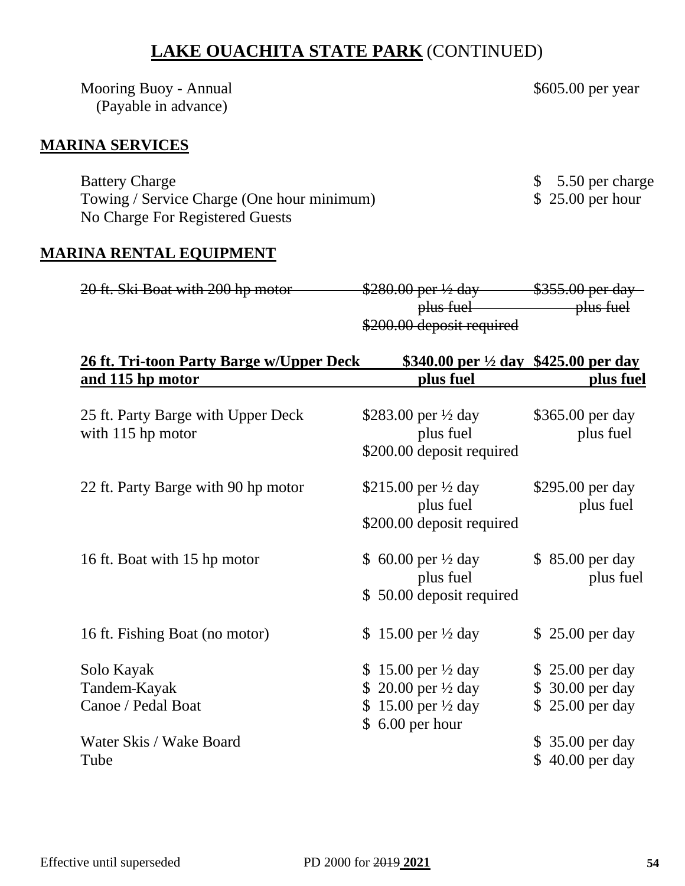# **LAKE OUACHITA STATE PARK** (CONTINUED)

Mooring Buoy - Annual \$605.00 per year (Payable in advance)

### **MARINA SERVICES**

Battery Charge \$ 5.50 per charge \$ 5.50 per charge Towing / Service Charge (One hour minimum) \$ 25.00 per hour No Charge For Registered Guests

#### **MARINA RENTAL EQUIPMENT**

| 20 ft Ski Roat with 200 hp motor<br><del>20 It. 3M DOAL WILH 200 HP HIOLOI</del> | $\Omega$ $\Omega$ $\Omega$ $\Omega$ ner $\Omega$ day<br>$\frac{1}{2000.00 \text{ pc} + 72 \text{ day}}$ | $$355$ 00 per day<br><del>viji.wi pol uav</del> |
|----------------------------------------------------------------------------------|---------------------------------------------------------------------------------------------------------|-------------------------------------------------|
|                                                                                  | plus fuel                                                                                               | <del>plus fuel</del>                            |
|                                                                                  | \$200.00 deposit required                                                                               |                                                 |

| 26 ft. Tri-toon Party Barge w/Upper Deck                | \$340.00 per $\frac{1}{2}$ day \$425.00 per day                                                                                               |                                                        |
|---------------------------------------------------------|-----------------------------------------------------------------------------------------------------------------------------------------------|--------------------------------------------------------|
| and 115 hp motor                                        | plus fuel                                                                                                                                     | plus fuel                                              |
| 25 ft. Party Barge with Upper Deck<br>with 115 hp motor | \$283.00 per $\frac{1}{2}$ day<br>plus fuel<br>\$200.00 deposit required                                                                      | \$365.00 per day<br>plus fuel                          |
| 22 ft. Party Barge with 90 hp motor                     | \$215.00 per $\frac{1}{2}$ day<br>plus fuel<br>\$200.00 deposit required                                                                      | \$295.00 per day<br>plus fuel                          |
| 16 ft. Boat with 15 hp motor                            | \$ 60.00 per $\frac{1}{2}$ day<br>plus fuel<br>\$50.00 deposit required                                                                       | \$ 85.00 per day<br>plus fuel                          |
| 16 ft. Fishing Boat (no motor)                          | \$15.00 per $\frac{1}{2}$ day                                                                                                                 | $$25.00$ per day                                       |
| Solo Kayak<br>Tandem-Kayak<br>Canoe / Pedal Boat        | \$15.00 per $\frac{1}{2}$ day<br>20.00 per $\frac{1}{2}$ day<br>$\mathcal{S}$<br>15.00 per $\frac{1}{2}$ day<br><sup>S</sup><br>6.00 per hour | \$25.00 per day<br>\$ 30.00 per day<br>\$25.00 per day |
| Water Skis / Wake Board<br>Tube                         |                                                                                                                                               | \$35.00 per day<br>$$40.00$ per day                    |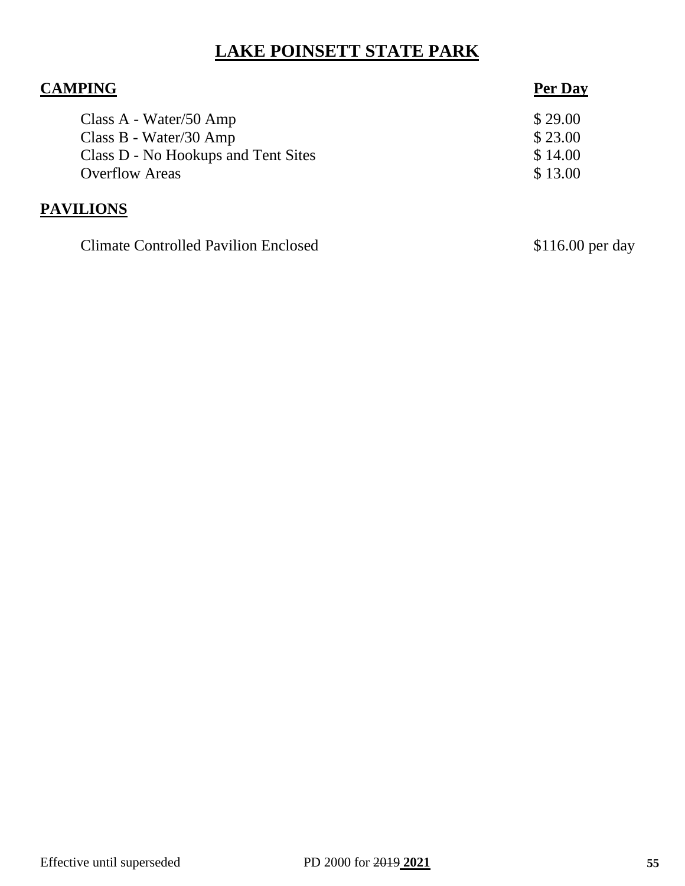# **LAKE POINSETT STATE PARK**

| <b>CAMPING</b>                      | Per Day |
|-------------------------------------|---------|
| Class A - Water/50 Amp              | \$29.00 |
| Class B - Water/30 Amp              | \$23.00 |
| Class D - No Hookups and Tent Sites | \$14.00 |
| <b>Overflow Areas</b>               | \$13.00 |
| <b>PAVILIONS</b>                    |         |

Climate Controlled Pavilion Enclosed \$116.00 per day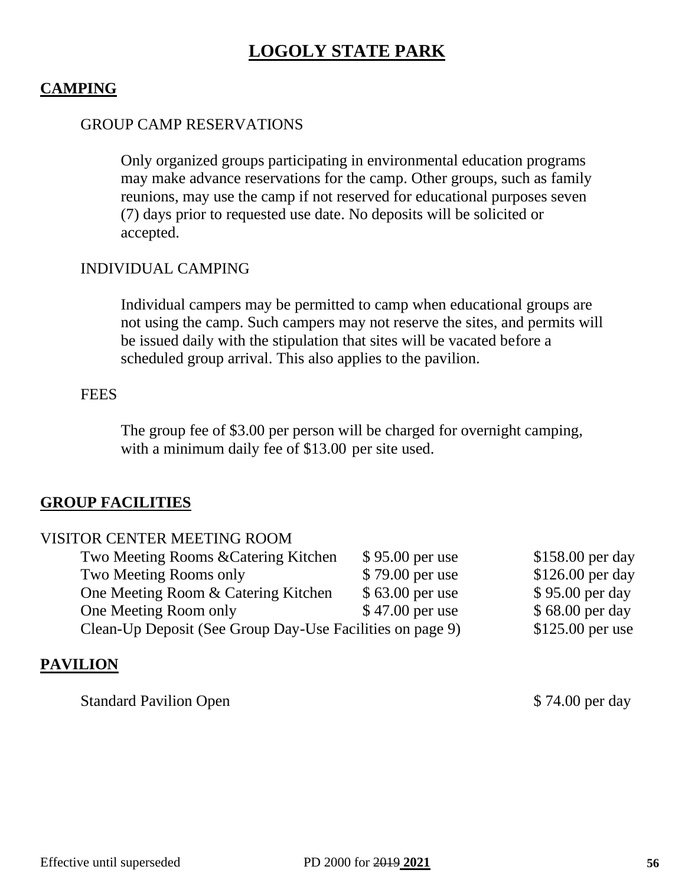# **LOGOLY STATE PARK**

#### **CAMPING**

#### GROUP CAMP RESERVATIONS

Only organized groups participating in environmental education programs may make advance reservations for the camp. Other groups, such as family reunions, may use the camp if not reserved for educational purposes seven (7) days prior to requested use date. No deposits will be solicited or accepted.

#### INDIVIDUAL CAMPING

Individual campers may be permitted to camp when educational groups are not using the camp. Such campers may not reserve the sites, and permits will be issued daily with the stipulation that sites will be vacated before a scheduled group arrival. This also applies to the pavilion.

#### **FEES**

The group fee of \$3.00 per person will be charged for overnight camping, with a minimum daily fee of \$13.00 per site used.

#### **GROUP FACILITIES**

| VISITOR CENTER MEETING ROOM                               |                  |                   |
|-----------------------------------------------------------|------------------|-------------------|
| Two Meeting Rooms & Catering Kitchen                      | \$95.00 per use  | \$158.00 per day  |
| Two Meeting Rooms only                                    | \$79.00 per use  | \$126.00 per day  |
| One Meeting Room & Catering Kitchen                       | $$63.00$ per use | \$95.00 per day   |
| One Meeting Room only                                     | \$47.00 per use  | \$68.00 per day   |
| Clean-Up Deposit (See Group Day-Use Facilities on page 9) |                  | $$125.00$ per use |
|                                                           |                  |                   |

#### **PAVILION**

Standard Pavilion Open  $$74.00$  per day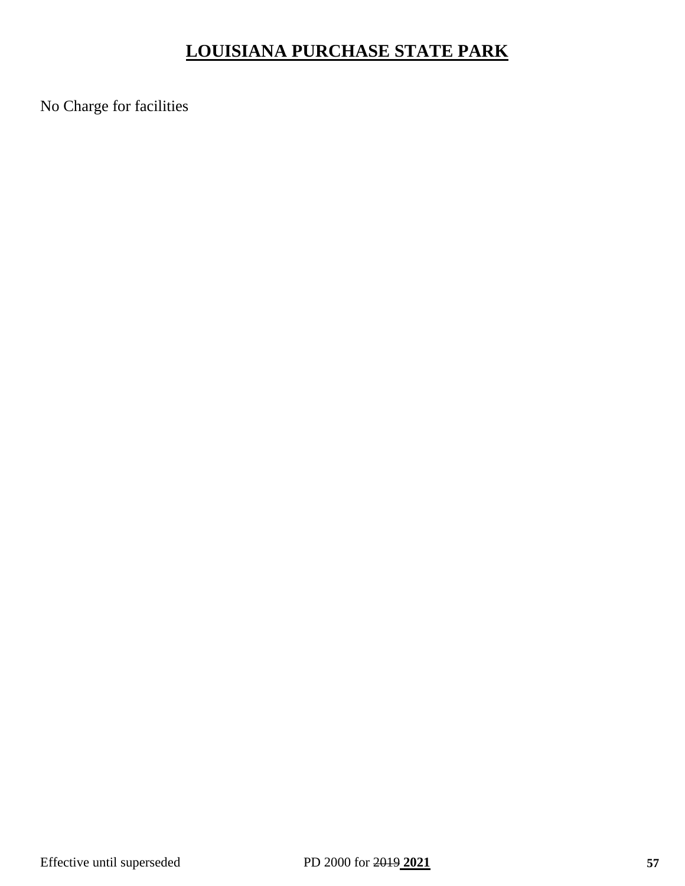# **LOUISIANA PURCHASE STATE PARK**

No Charge for facilities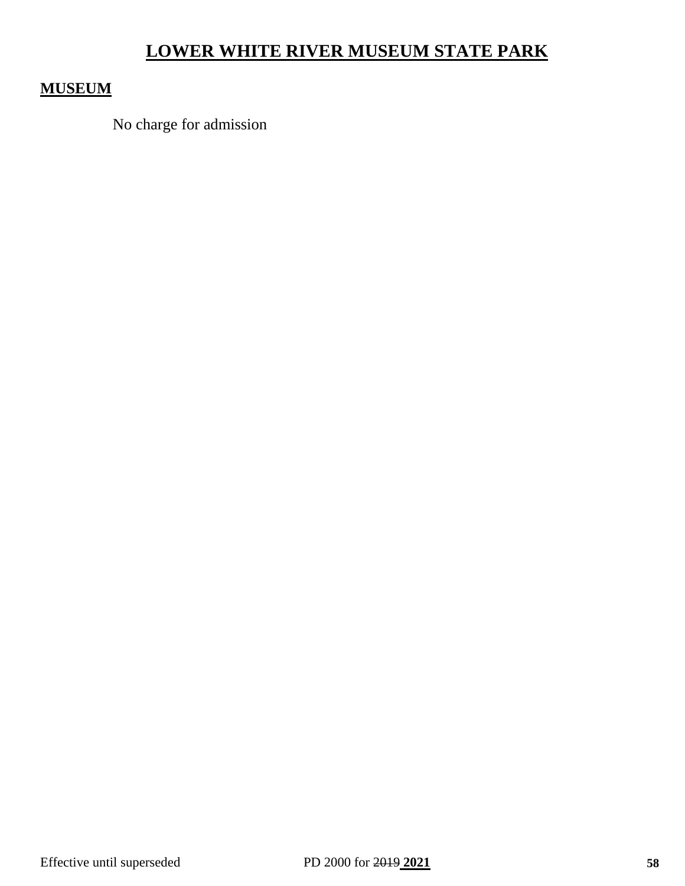# **LOWER WHITE RIVER MUSEUM STATE PARK**

### **MUSEUM**

No charge for admission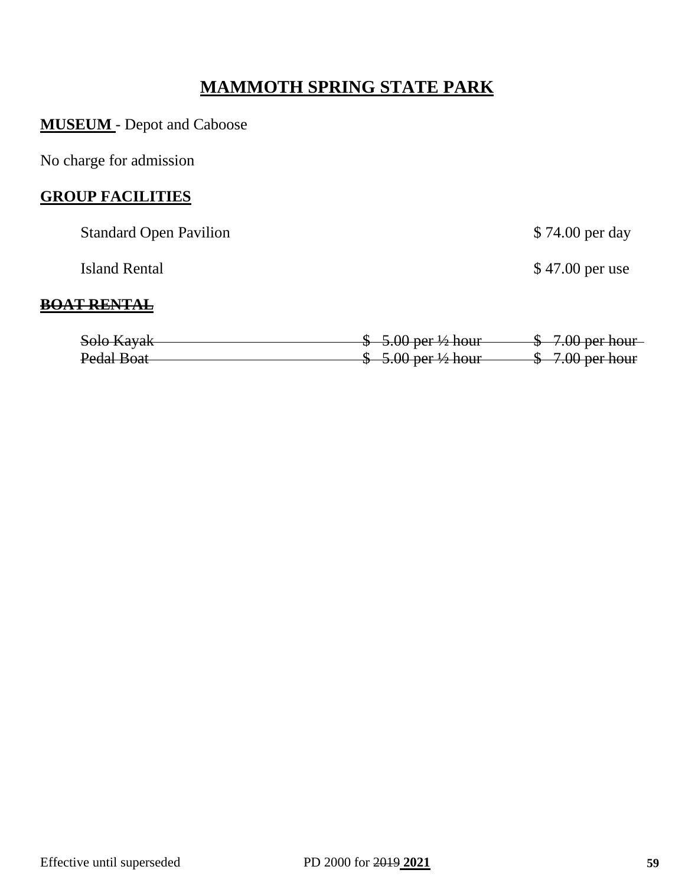# **MAMMOTH SPRING STATE PARK**

**MUSEUM** - Depot and Caboose

No charge for admission

#### **GROUP FACILITIES**

| <b>Standard Open Pavilion</b> |                                     | \$74.00 per day           |
|-------------------------------|-------------------------------------|---------------------------|
| <b>Island Rental</b>          |                                     | \$47.00 per use           |
| - PEN                         |                                     |                           |
| Solo Kayak                    | $$-5.00$ per $\frac{1}{2}$ hour     | <del>-7.00 per hour</del> |
| Pedal Boat                    | $-5.00$ per $\frac{1}{2}$ hour<br>Ψ | 7.00 per hour             |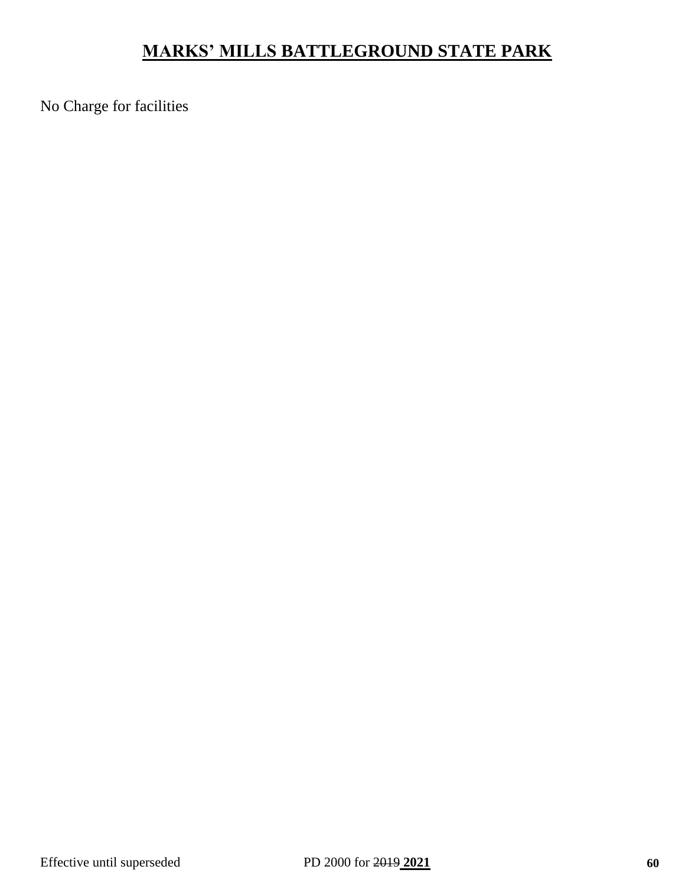# **MARKS' MILLS BATTLEGROUND STATE PARK**

No Charge for facilities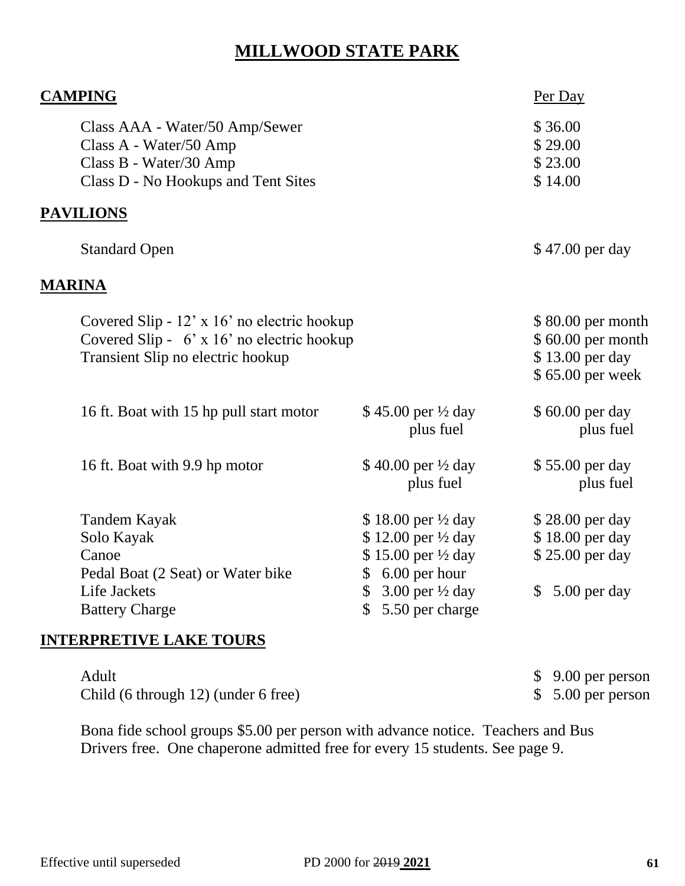# **MILLWOOD STATE PARK**

| <b>CAMPING</b> |                                                                                                                                  |                                                                                                                                                                                                   | Per Day                                                                               |
|----------------|----------------------------------------------------------------------------------------------------------------------------------|---------------------------------------------------------------------------------------------------------------------------------------------------------------------------------------------------|---------------------------------------------------------------------------------------|
|                | Class AAA - Water/50 Amp/Sewer<br>Class A - Water/50 Amp<br>Class B - Water/30 Amp<br>Class D - No Hookups and Tent Sites        |                                                                                                                                                                                                   | \$36.00<br>\$29.00<br>\$23.00<br>\$14.00                                              |
|                | <b>PAVILIONS</b>                                                                                                                 |                                                                                                                                                                                                   |                                                                                       |
|                | <b>Standard Open</b>                                                                                                             |                                                                                                                                                                                                   | \$47.00 per day                                                                       |
|                | <u>MARINA</u>                                                                                                                    |                                                                                                                                                                                                   |                                                                                       |
|                | Covered Slip - 12' x 16' no electric hookup<br>Covered Slip - $6'$ x 16' no electric hookup<br>Transient Slip no electric hookup |                                                                                                                                                                                                   | \$80.00 per month<br>\$60.00 per month<br>\$13.00 per day<br>\$65.00 per week         |
|                | 16 ft. Boat with 15 hp pull start motor                                                                                          | \$45.00 per $\frac{1}{2}$ day<br>plus fuel                                                                                                                                                        | \$60.00 per day<br>plus fuel                                                          |
|                | 16 ft. Boat with 9.9 hp motor                                                                                                    | \$40.00 per $\frac{1}{2}$ day<br>plus fuel                                                                                                                                                        | \$55.00 per day<br>plus fuel                                                          |
|                | <b>Tandem Kayak</b><br>Solo Kayak<br>Canoe<br>Pedal Boat (2 Seat) or Water bike<br>Life Jackets<br><b>Battery Charge</b>         | $$18.00$ per $\frac{1}{2}$ day<br>\$12.00 per 1/2 day<br>\$15.00 per 1/2 day<br>6.00 per hour<br>$\mathbb{S}$<br>$3.00$ per $\frac{1}{2}$ day<br>$\mathbb{S}$<br>5.50 per charge<br>$\mathcal{S}$ | \$28.00 per day<br>\$18.00 per day<br>\$25.00 per day<br>5.00 per day<br>$\mathbb{S}$ |
|                |                                                                                                                                  |                                                                                                                                                                                                   |                                                                                       |

#### **INTERPRETIVE LAKE TOURS**

| Adult                               | $$9.00$ per person |
|-------------------------------------|--------------------|
| Child (6 through 12) (under 6 free) | $$5.00$ per person |

Bona fide school groups \$5.00 per person with advance notice. Teachers and Bus Drivers free. One chaperone admitted free for every 15 students. See page 9.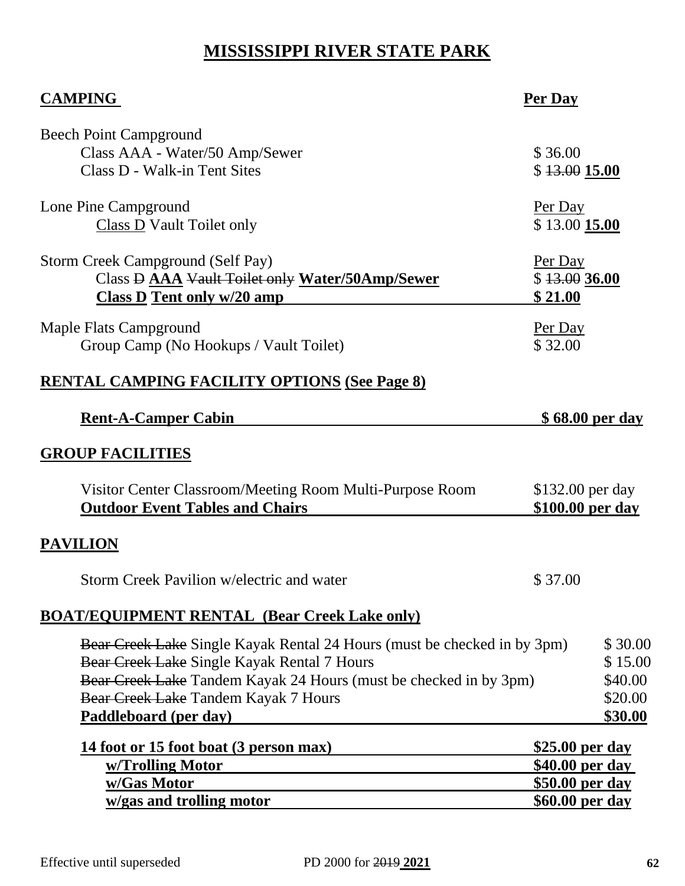# **MISSISSIPPI RIVER STATE PARK**

| <b>CAMPING</b>                                                                                                                                                                                                                                                | Per Day                              |                                                     |
|---------------------------------------------------------------------------------------------------------------------------------------------------------------------------------------------------------------------------------------------------------------|--------------------------------------|-----------------------------------------------------|
| <b>Beech Point Campground</b><br>Class AAA - Water/50 Amp/Sewer<br>Class D - Walk-in Tent Sites                                                                                                                                                               | \$36.00<br>\$13.00 15.00             |                                                     |
| Lone Pine Campground<br><b>Class D</b> Vault Toilet only                                                                                                                                                                                                      | Per Day<br>\$13.00 15.00             |                                                     |
| Storm Creek Campground (Self Pay)<br>Class D AAA Vault Toilet only Water/50Amp/Sewer<br><b>Class D Tent only w/20 amp</b>                                                                                                                                     | Per Day<br>\$13.0036.00<br>\$21.00   |                                                     |
| Maple Flats Campground<br>Group Camp (No Hookups / Vault Toilet)                                                                                                                                                                                              | Per Day<br>\$32.00                   |                                                     |
| <b>RENTAL CAMPING FACILITY OPTIONS (See Page 8)</b>                                                                                                                                                                                                           |                                      |                                                     |
| <b>Rent-A-Camper Cabin</b>                                                                                                                                                                                                                                    | <u>\$68.00 per day</u>               |                                                     |
| <b>GROUP FACILITIES</b>                                                                                                                                                                                                                                       |                                      |                                                     |
| Visitor Center Classroom/Meeting Room Multi-Purpose Room<br><b>Outdoor Event Tables and Chairs</b>                                                                                                                                                            | \$132.00 per day<br>\$100.00 per day |                                                     |
| <b>PAVILION</b>                                                                                                                                                                                                                                               |                                      |                                                     |
| Storm Creek Pavilion w/electric and water                                                                                                                                                                                                                     | \$37.00                              |                                                     |
| <b>BOAT/EQUIPMENT RENTAL (Bear Creek Lake only)</b>                                                                                                                                                                                                           |                                      |                                                     |
| Bear Creek Lake Single Kayak Rental 24 Hours (must be checked in by 3pm)<br>Bear Creek Lake Single Kayak Rental 7 Hours<br>Bear Creek Lake Tandem Kayak 24 Hours (must be checked in by 3pm)<br>Bear Creek Lake Tandem Kayak 7 Hours<br>Paddleboard (per day) |                                      | \$30.00<br>\$15.00<br>\$40.00<br>\$20.00<br>\$30.00 |
| 14 foot or 15 foot boat (3 person max)                                                                                                                                                                                                                        | <u>\$25.00 per day</u>               |                                                     |
| <u>w/Trolling Motor</u><br><u>w/Gas Motor</u>                                                                                                                                                                                                                 | \$40.00 per day<br>\$50.00 per day   |                                                     |
| w/gas and trolling motor                                                                                                                                                                                                                                      | <u>\$60.00 per day</u>               |                                                     |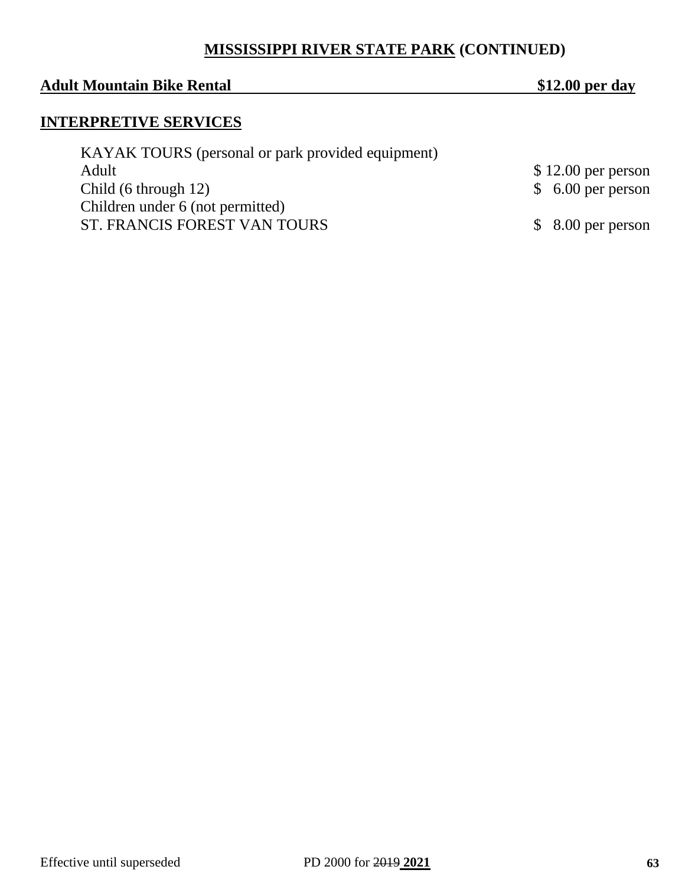### **MISSISSIPPI RIVER STATE PARK (CONTINUED)**

#### **Adult Mountain Bike Rental \$12.00 per day**

### **INTERPRETIVE SERVICES**

| KAYAK TOURS (personal or park provided equipment) |                     |
|---------------------------------------------------|---------------------|
| Adult                                             | $$12.00$ per person |
| Child $(6 \t{through } 12)$                       | $$6.00$ per person  |
| Children under 6 (not permitted)                  |                     |
| ST. FRANCIS FOREST VAN TOURS                      | $$8.00$ per person  |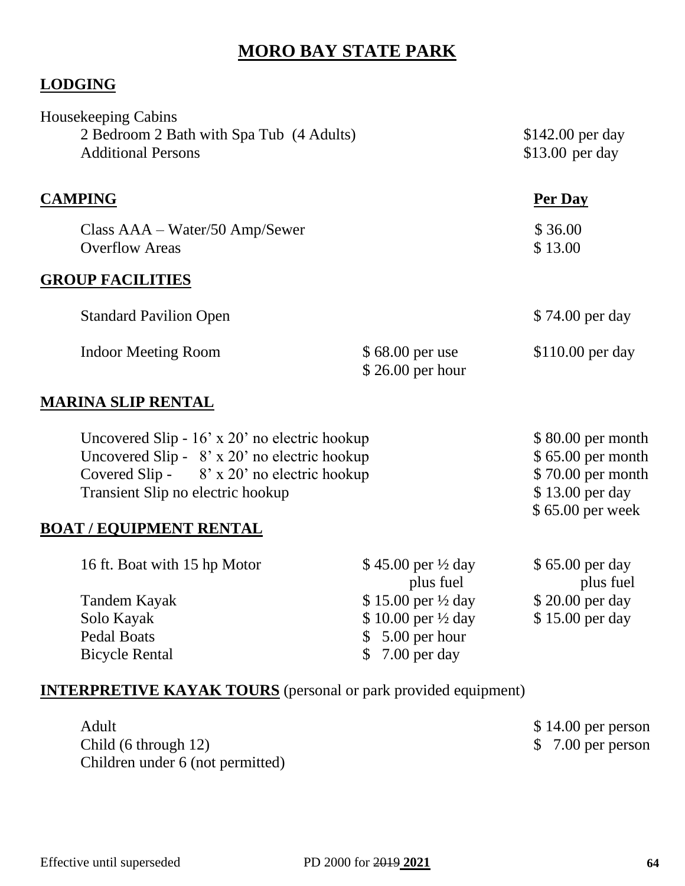# **MORO BAY STATE PARK**

### **LODGING**

| <b>Housekeeping Cabins</b>               |                   |                   |
|------------------------------------------|-------------------|-------------------|
| 2 Bedroom 2 Bath with Spa Tub (4 Adults) | $$142.00$ per day |                   |
| <b>Additional Persons</b>                |                   | $$13.00$ per day  |
| <b>CAMPING</b>                           |                   | Per Day           |
| $Class AAA-Water/50 Amp/Sewer$           |                   | \$36.00           |
| <b>Overflow Areas</b>                    |                   | \$13.00           |
| <b>GROUP FACILITIES</b>                  |                   |                   |
| <b>Standard Pavilion Open</b>            |                   | \$74.00 per day   |
| <b>Indoor Meeting Room</b>               | \$68.00 per use   | $$110.00$ per day |
|                                          | $$26.00$ per hour |                   |
| MARINA SI IP RENTAI                      |                   |                   |

#### **MARINA SLIP RENTAL**

| Uncovered Slip - $16'$ x 20' no electric hookup   | $$80.00$ per month |
|---------------------------------------------------|--------------------|
| Uncovered Slip - $8'$ x 20' no electric hookup    | $$65.00$ per month |
| Covered Slip - $8' \times 20'$ no electric hookup | $$70.00$ per month |
| Transient Slip no electric hookup                 | $$13.00$ per day   |
|                                                   | $$65.00$ per week  |

#### **BOAT / EQUIPMENT RENTAL**

| 16 ft. Boat with 15 hp Motor | \$45.00 per $\frac{1}{2}$ day | \$65.00 per day  |
|------------------------------|-------------------------------|------------------|
|                              | plus fuel                     | plus fuel        |
| Tandem Kayak                 | \$15.00 per $\frac{1}{2}$ day | $$20.00$ per day |
| Solo Kayak                   | \$10.00 per $\frac{1}{2}$ day | \$15.00 per day  |
| Pedal Boats                  | $$5.00$ per hour              |                  |
| <b>Bicycle Rental</b>        | $$7.00$ per day               |                  |

#### **INTERPRETIVE KAYAK TOURS** (personal or park provided equipment)

| Adult                            | $$14.00$ per person |
|----------------------------------|---------------------|
| Child (6 through 12)             | $$7.00$ per person  |
| Children under 6 (not permitted) |                     |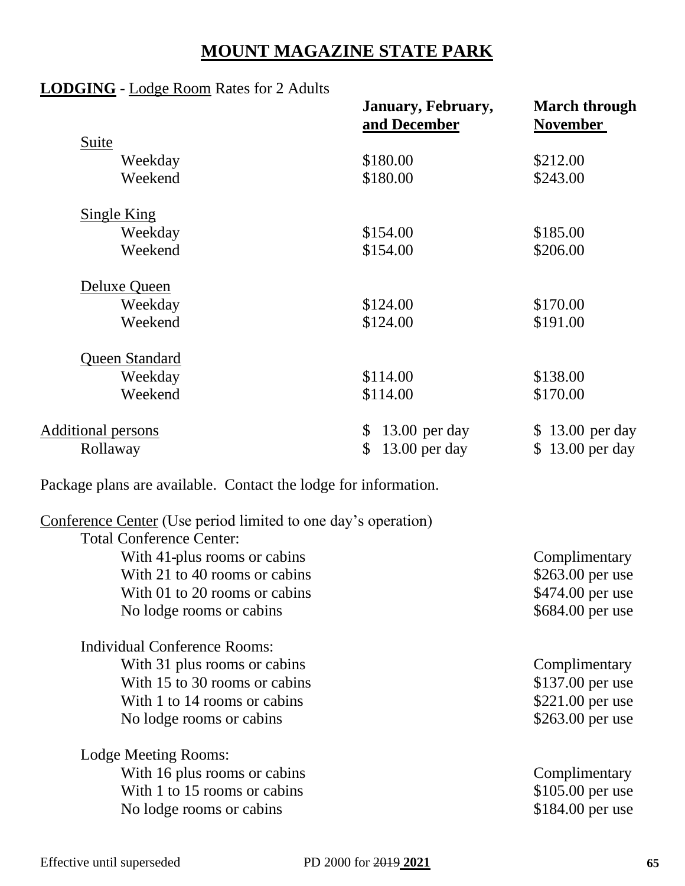# **MOUNT MAGAZINE STATE PARK**

### **LODGING** - Lodge Room Rates for 2 Adults

| January, February,    | <b>March through</b><br><b>November</b>                             |
|-----------------------|---------------------------------------------------------------------|
|                       |                                                                     |
|                       | \$212.00                                                            |
| \$180.00              | \$243.00                                                            |
|                       |                                                                     |
| \$154.00              | \$185.00                                                            |
| \$154.00              | \$206.00                                                            |
|                       |                                                                     |
|                       | \$170.00                                                            |
| \$124.00              | \$191.00                                                            |
|                       |                                                                     |
|                       | \$138.00                                                            |
| \$114.00              | \$170.00                                                            |
| \$                    | \$13.00 per day                                                     |
| \$<br>$13.00$ per day | $13.00$ per day<br>S                                                |
|                       | and December<br>\$180.00<br>\$124.00<br>\$114.00<br>$13.00$ per day |

Package plans are available. Contact the lodge for information.

| Conference Center (Use period limited to one day's operation) |                   |
|---------------------------------------------------------------|-------------------|
| <b>Total Conference Center:</b>                               |                   |
| With 41-plus rooms or cabins                                  | Complimentary     |
| With 21 to 40 rooms or cabins                                 | $$263.00$ per use |
| With 01 to 20 rooms or cabins                                 | \$474.00 per use  |
| No lodge rooms or cabins                                      | \$684.00 per use  |
| Individual Conference Rooms:                                  |                   |
| With 31 plus rooms or cabins                                  | Complimentary     |
| With 15 to 30 rooms or cabins                                 | \$137.00 per use  |
| With 1 to 14 rooms or cabins                                  | \$221.00 per use  |
| No lodge rooms or cabins                                      | \$263.00 per use  |
| Lodge Meeting Rooms:                                          |                   |
| With 16 plus rooms or cabins                                  | Complimentary     |
| With 1 to 15 rooms or cabins                                  | $$105.00$ per use |
| No lodge rooms or cabins                                      | \$184.00 per use  |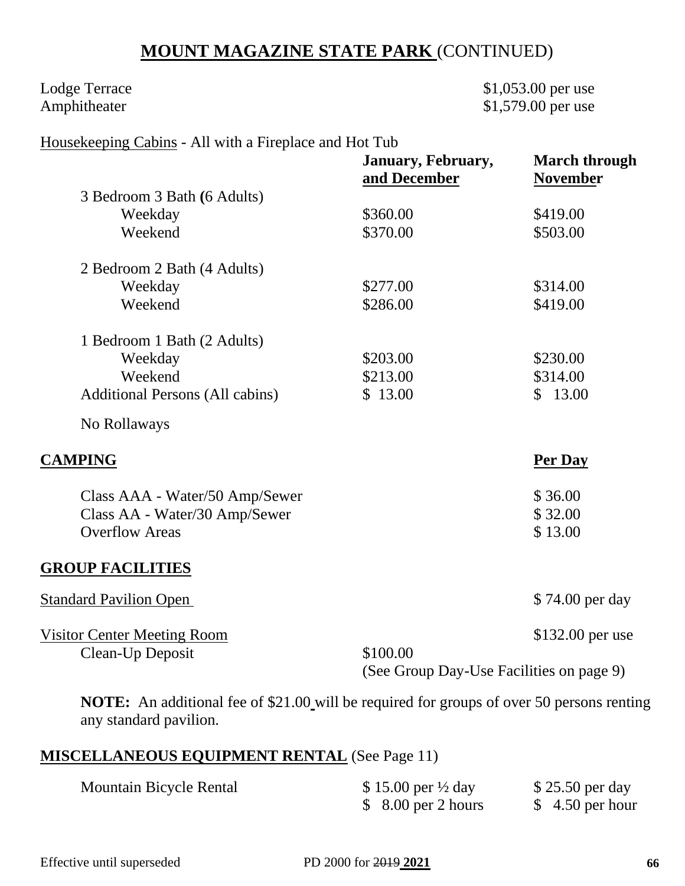# **MOUNT MAGAZINE STATE PARK** (CONTINUED)

Lodge Terrace \$1,053.00 per use Amphitheater \$1,579.00 per use

#### Housekeeping Cabins - All with a Fireplace and Hot Tub

|                                                                                                                       | January, February,<br>and December       | <b>March through</b><br><b>November</b> |
|-----------------------------------------------------------------------------------------------------------------------|------------------------------------------|-----------------------------------------|
| 3 Bedroom 3 Bath (6 Adults)                                                                                           |                                          |                                         |
| Weekday                                                                                                               | \$360.00                                 | \$419.00                                |
| Weekend                                                                                                               | \$370.00                                 | \$503.00                                |
| 2 Bedroom 2 Bath (4 Adults)                                                                                           |                                          |                                         |
| Weekday                                                                                                               | \$277.00                                 | \$314.00                                |
| Weekend                                                                                                               | \$286.00                                 | \$419.00                                |
| 1 Bedroom 1 Bath (2 Adults)                                                                                           |                                          |                                         |
| Weekday                                                                                                               | \$203.00                                 | \$230.00                                |
| Weekend                                                                                                               | \$213.00                                 | \$314.00                                |
| <b>Additional Persons (All cabins)</b>                                                                                | \$13.00                                  | \$13.00                                 |
| No Rollaways                                                                                                          |                                          |                                         |
| <b>CAMPING</b>                                                                                                        |                                          | Per Day                                 |
| Class AAA - Water/50 Amp/Sewer                                                                                        |                                          | \$36.00                                 |
| Class AA - Water/30 Amp/Sewer                                                                                         |                                          | \$32.00                                 |
| <b>Overflow Areas</b>                                                                                                 |                                          | \$13.00                                 |
| <b>GROUP FACILITIES</b>                                                                                               |                                          |                                         |
| <b>Standard Pavilion Open</b>                                                                                         |                                          | \$74.00 per day                         |
| <b>Visitor Center Meeting Room</b>                                                                                    |                                          | \$132.00 per use                        |
| Clean-Up Deposit                                                                                                      | \$100.00                                 |                                         |
|                                                                                                                       | (See Group Day-Use Facilities on page 9) |                                         |
| $\mathbf{MQTE}$ , An additional for of $\mathcal{O}(1.00 \text{ will be required for groups of over 50 perons part})$ |                                          |                                         |

**NOTE:** An additional fee of \$21.00 will be required for groups of over 50 persons renting any standard pavilion.

### **MISCELLANEOUS EQUIPMENT RENTAL** (See Page 11)

| <b>Mountain Bicycle Rental</b> | \$15.00 per $\frac{1}{2}$ day | \$25.50 per day  |
|--------------------------------|-------------------------------|------------------|
|                                | $$8.00$ per 2 hours           | $$4.50$ per hour |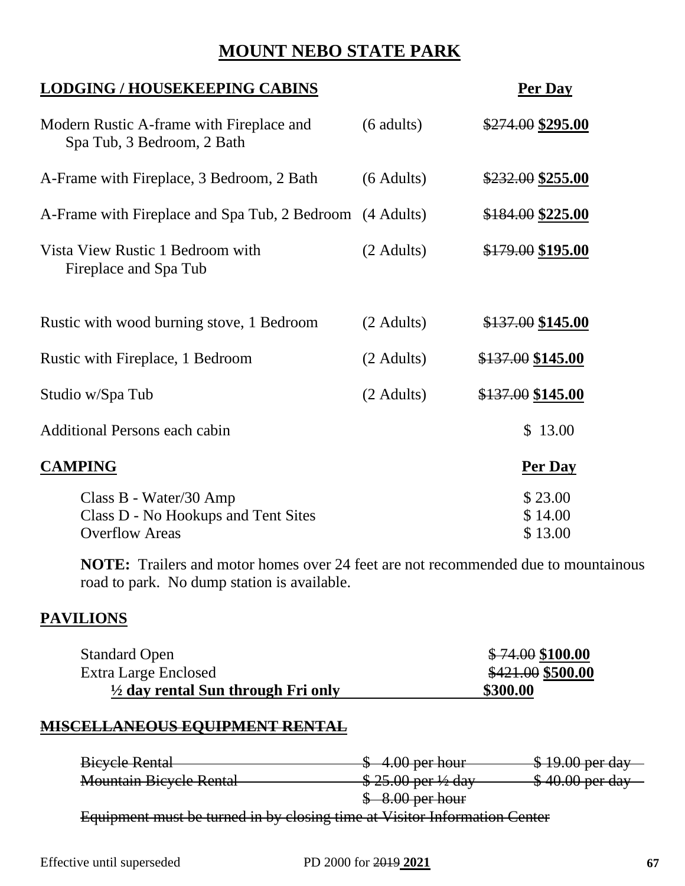# **MOUNT NEBO STATE PARK**

| <b>LODGING / HOUSEKEEPING CABINS</b>                                                   |                      | Per Day                       |
|----------------------------------------------------------------------------------------|----------------------|-------------------------------|
| Modern Rustic A-frame with Fireplace and<br>Spa Tub, 3 Bedroom, 2 Bath                 | $(6 \text{ adults})$ | \$274.00 \$295.00             |
| A-Frame with Fireplace, 3 Bedroom, 2 Bath                                              | $(6$ Adults)         | \$232.00 \$255.00             |
| A-Frame with Fireplace and Spa Tub, 2 Bedroom (4 Adults)                               |                      | \$184.00 \$225.00             |
| Vista View Rustic 1 Bedroom with<br>Fireplace and Spa Tub                              | (2 Adults)           | \$179.00 \$195.00             |
| Rustic with wood burning stove, 1 Bedroom                                              | $(2$ Adults)         | \$137.00 \$145.00             |
| Rustic with Fireplace, 1 Bedroom                                                       | $(2 \text{ adults})$ | \$137.00 \$145.00             |
| Studio w/Spa Tub                                                                       | $(2 \text{ adults})$ | \$137.00 \$145.00             |
| Additional Persons each cabin                                                          |                      | \$13.00                       |
| <b>CAMPING</b>                                                                         |                      | Per Day                       |
| Class B - Water/30 Amp<br>Class D - No Hookups and Tent Sites<br><b>Overflow Areas</b> |                      | \$23.00<br>\$14.00<br>\$13.00 |

**NOTE:** Trailers and motor homes over 24 feet are not recommended due to mountainous road to park. No dump station is available.

#### **PAVILIONS**

| <b>Standard Open</b>                          | \$74.00\$100.00   |
|-----------------------------------------------|-------------------|
| Extra Large Enclosed                          | \$421.00 \$500.00 |
| $\frac{1}{2}$ day rental Sun through Fri only | \$300.00          |

#### **MISCELLANEOUS EQUIPMENT RENTAL**

Bicycle Rental **Exercise 2** 4.00 per hour \$ 19.00 per day Mountain Bicycle Rental **\$25.00 per 1/2 day** \$40.00 per day \$ 8.00 per hour Equipment must be turned in by closing time at Visitor Information Center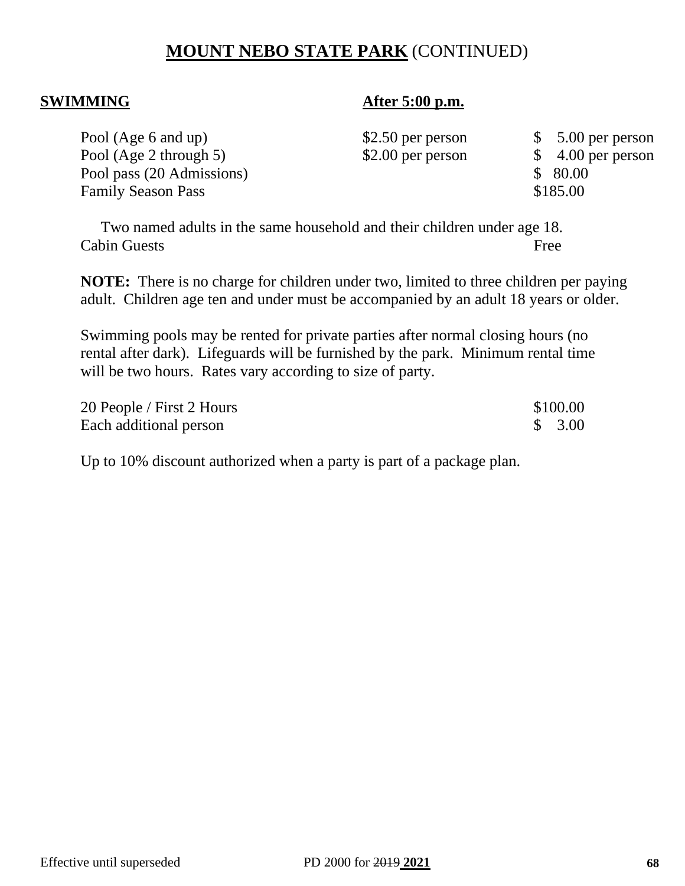# **MOUNT NEBO STATE PARK** (CONTINUED)

#### **SWIMMING After 5:00 p.m.**

| Pool (Age 6 and up)       | $$2.50$ per person | $$5.00$ per person |
|---------------------------|--------------------|--------------------|
| Pool (Age 2 through 5)    | $$2.00$ per person | $$4.00$ per person |
| Pool pass (20 Admissions) |                    | \$80.00            |
| <b>Family Season Pass</b> |                    | \$185.00           |

Two named adults in the same household and their children under age 18. Cabin Guests Free

**NOTE:** There is no charge for children under two, limited to three children per paying adult. Children age ten and under must be accompanied by an adult 18 years or older.

Swimming pools may be rented for private parties after normal closing hours (no rental after dark). Lifeguards will be furnished by the park. Minimum rental time will be two hours. Rates vary according to size of party.

| 20 People / First 2 Hours | \$100.00 |
|---------------------------|----------|
| Each additional person    | \$3.00   |

Up to 10% discount authorized when a party is part of a package plan.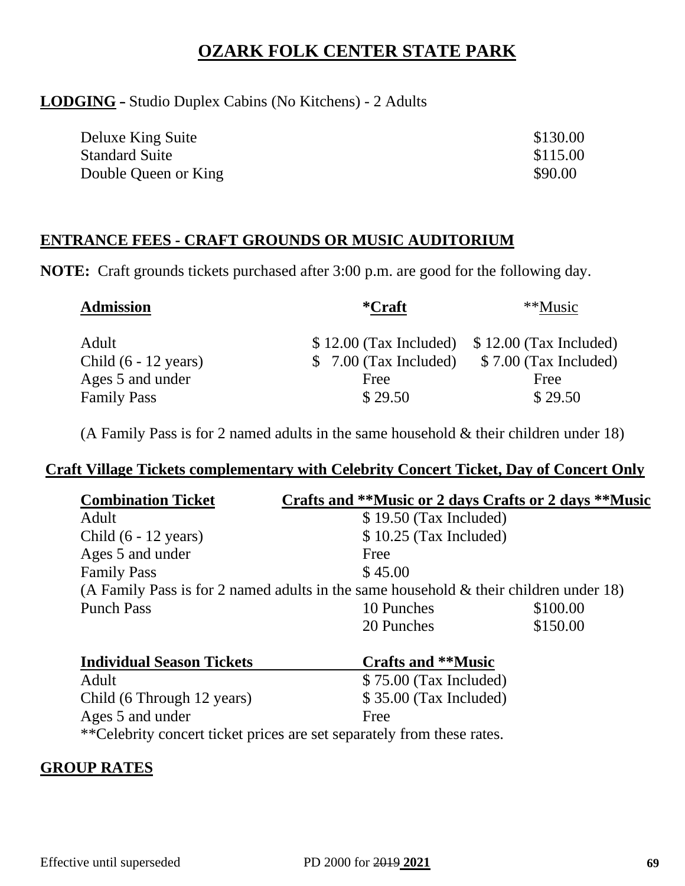# **OZARK FOLK CENTER STATE PARK**

#### **LODGING** - Studio Duplex Cabins (No Kitchens) - 2 Adults

| Deluxe King Suite     | \$130.00 |
|-----------------------|----------|
| <b>Standard Suite</b> | \$115.00 |
| Double Queen or King  | \$90.00  |

#### **ENTRANCE FEES - CRAFT GROUNDS OR MUSIC AUDITORIUM**

**NOTE:** Craft grounds tickets purchased after 3:00 p.m. are good for the following day.

| <b>Admission</b>               | *Craft                  | **Music                 |
|--------------------------------|-------------------------|-------------------------|
| Adult                          | $$12.00$ (Tax Included) | $$12.00$ (Tax Included) |
| Child $(6 - 12 \text{ years})$ | $$7.00$ (Tax Included)  | \$7.00 (Tax Included)   |
| Ages 5 and under               | Free                    | Free                    |
| <b>Family Pass</b>             | \$29.50                 | \$29.50                 |

(A Family Pass is for 2 named adults in the same household  $&$  their children under 18)

#### **Craft Village Tickets complementary with Celebrity Concert Ticket, Day of Concert Only**

| <b>Combination Ticket</b>      | Crafts and **Music or 2 days Crafts or 2 days **Music                                   |          |
|--------------------------------|-----------------------------------------------------------------------------------------|----------|
| Adult                          | $$19.50$ (Tax Included)                                                                 |          |
| Child $(6 - 12 \text{ years})$ | $$10.25$ (Tax Included)                                                                 |          |
| Ages 5 and under               | Free                                                                                    |          |
| <b>Family Pass</b>             | \$45.00                                                                                 |          |
|                                | (A Family Pass is for 2 named adults in the same household $&$ their children under 18) |          |
| <b>Punch Pass</b>              | 10 Punches                                                                              | \$100.00 |
|                                | 20 Punches                                                                              | \$150.00 |
|                                |                                                                                         |          |

| Individual Season Tickets                                               | Crafts and **Music      |
|-------------------------------------------------------------------------|-------------------------|
| Adult                                                                   | $$75.00$ (Tax Included) |
| Child (6 Through 12 years)                                              | $$35.00$ (Tax Included) |
| Ages 5 and under                                                        | Free                    |
| ** Celebrity concert ticket prices are set separately from these rates. |                         |

#### **GROUP RATES**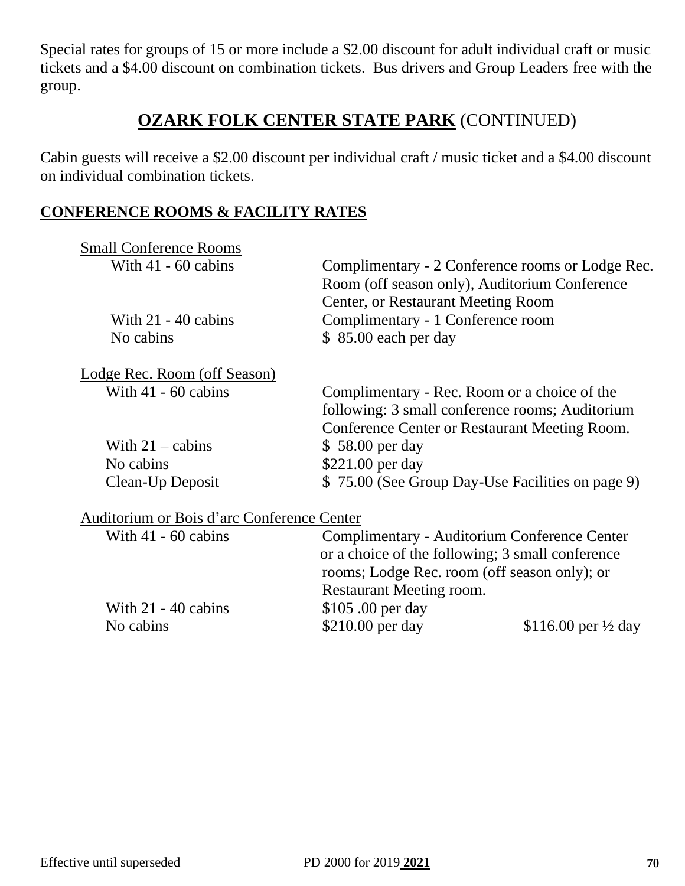Special rates for groups of 15 or more include a \$2.00 discount for adult individual craft or music tickets and a \$4.00 discount on combination tickets. Bus drivers and Group Leaders free with the group.

# **OZARK FOLK CENTER STATE PARK** (CONTINUED)

Cabin guests will receive a \$2.00 discount per individual craft / music ticket and a \$4.00 discount on individual combination tickets.

#### **CONFERENCE ROOMS & FACILITY RATES**

| <b>Small Conference Rooms</b>              |                                                  |                                |
|--------------------------------------------|--------------------------------------------------|--------------------------------|
| With $41 - 60$ cabins                      | Complimentary - 2 Conference rooms or Lodge Rec. |                                |
|                                            | Room (off season only), Auditorium Conference    |                                |
|                                            | Center, or Restaurant Meeting Room               |                                |
| With $21 - 40$ cabins                      | Complimentary - 1 Conference room                |                                |
| No cabins                                  | $$85.00$ each per day                            |                                |
| Lodge Rec. Room (off Season)               |                                                  |                                |
| With $41 - 60$ cabins                      | Complimentary - Rec. Room or a choice of the     |                                |
|                                            | following: 3 small conference rooms; Auditorium  |                                |
|                                            | Conference Center or Restaurant Meeting Room.    |                                |
| With $21 -$ cabins                         | \$58.00 per day                                  |                                |
| No cabins                                  | \$221.00 per day                                 |                                |
| Clean-Up Deposit                           | \$75.00 (See Group Day-Use Facilities on page 9) |                                |
| Auditorium or Bois d'arc Conference Center |                                                  |                                |
| With $41 - 60$ cabins                      | Complimentary - Auditorium Conference Center     |                                |
|                                            | or a choice of the following; 3 small conference |                                |
|                                            | rooms; Lodge Rec. room (off season only); or     |                                |
|                                            | Restaurant Meeting room.                         |                                |
| With $21 - 40$ cabins                      | \$105.00 per day                                 |                                |
| No cabins                                  | \$210.00 per day                                 | \$116.00 per $\frac{1}{2}$ day |
|                                            |                                                  |                                |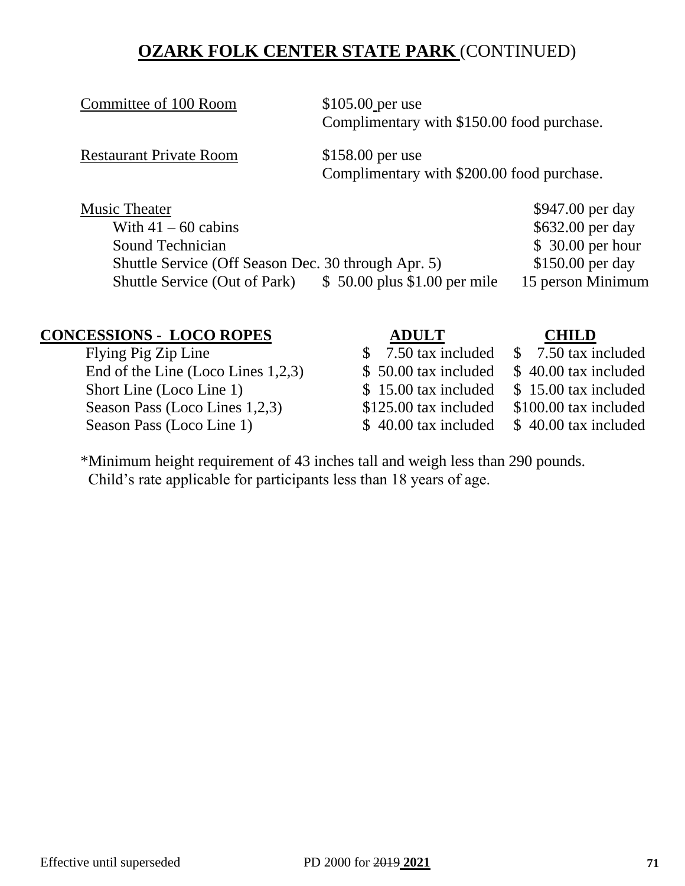# **OZARK FOLK CENTER STATE PARK** (CONTINUED)

Committee of 100 Room \$105.00 per use

Complimentary with \$150.00 food purchase.

Restaurant Private Room \$158.00 per use

Complimentary with \$200.00 food purchase.

| <b>Music Theater</b>                                |                               | \$947.00 per day  |
|-----------------------------------------------------|-------------------------------|-------------------|
| With $41 - 60$ cabins                               |                               | \$632.00 per day  |
| Sound Technician                                    |                               | $$30.00$ per hour |
| Shuttle Service (Off Season Dec. 30 through Apr. 5) |                               | $$150.00$ per day |
| <b>Shuttle Service (Out of Park)</b>                | $$50.00$ plus \$1.00 per mile | 15 person Minimum |

# **CONCESSIONS - LOCO ROPES**<br>
Flying Pig Zip Line<br>
S 7.50 tax included \$7.50 tax included

End of the Line (Loco Lines 1,2,3)  $$50.00 \text{ tax included} $40.00 \text{ tax included}$ Short Line (Loco Line 1) \$ 15.00 tax included \$ 15.00 tax included Season Pass (Loco Lines 1,2,3) \$125.00 tax included \$100.00 tax included Season Pass (Loco Line 1)  $$ 40.00 \text{ tax included} $ 40.00 \text{ tax included}$ 

 $\sqrt{50}$  tax included

- 
- 
- 

\*Minimum height requirement of 43 inches tall and weigh less than 290 pounds. Child's rate applicable for participants less than 18 years of age.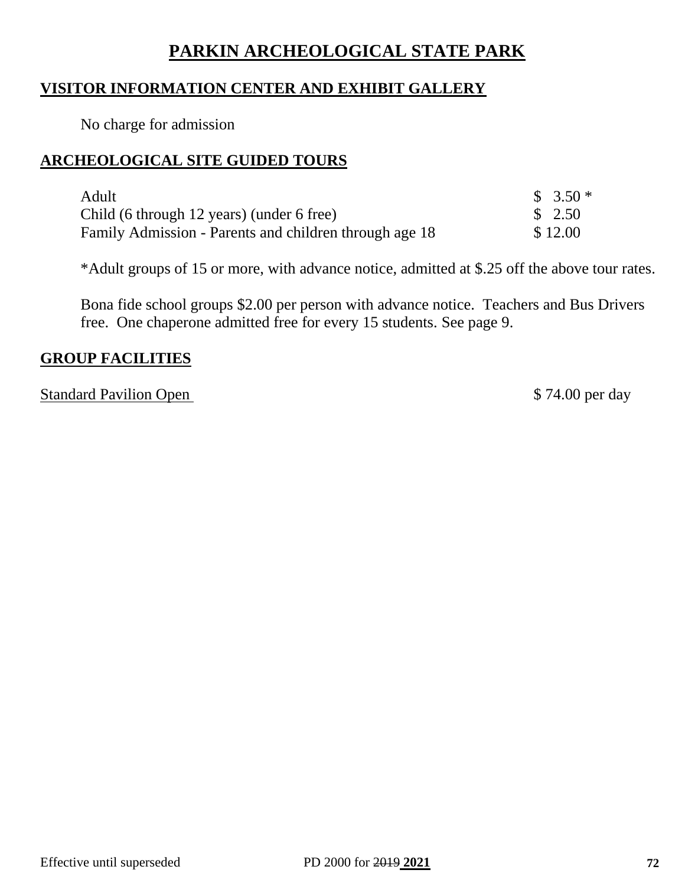# **PARKIN ARCHEOLOGICAL STATE PARK**

#### **VISITOR INFORMATION CENTER AND EXHIBIT GALLERY**

No charge for admission

#### **ARCHEOLOGICAL SITE GUIDED TOURS**

| Adult                                                  | $$3.50*$          |
|--------------------------------------------------------|-------------------|
| Child (6 through 12 years) (under 6 free)              | $\frac{\$}{2.50}$ |
| Family Admission - Parents and children through age 18 | \$12.00           |

\*Adult groups of 15 or more, with advance notice, admitted at \$.25 off the above tour rates.

Bona fide school groups \$2.00 per person with advance notice. Teachers and Bus Drivers free. One chaperone admitted free for every 15 students. See page 9.

#### **GROUP FACILITIES**

Standard Pavilion Open  $$74.00$  per day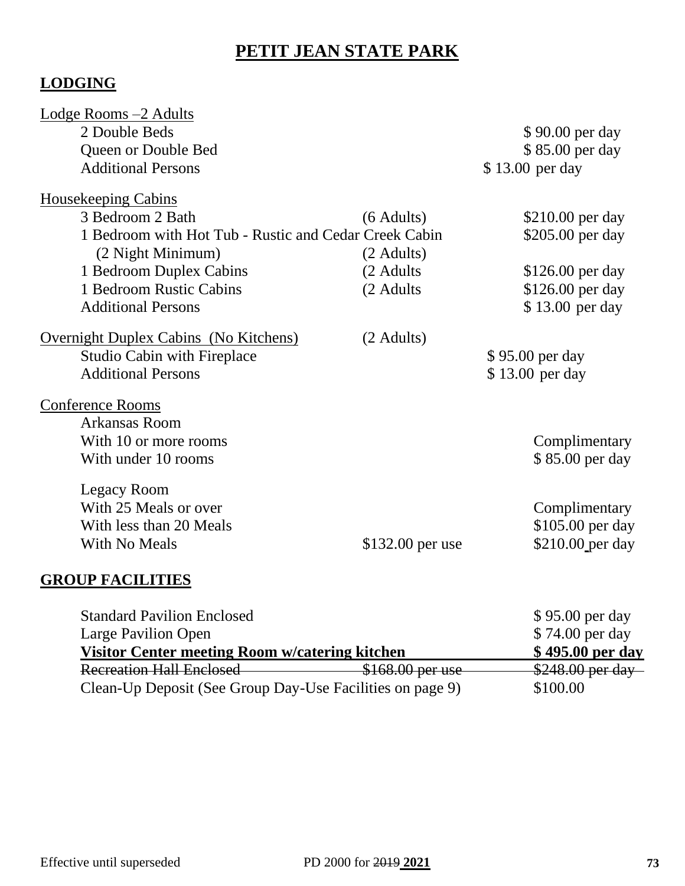# **PETIT JEAN STATE PARK**

# **LODGING**

| Lodge Rooms -2 Adults                                                |                  |                  |
|----------------------------------------------------------------------|------------------|------------------|
| 2 Double Beds                                                        |                  | \$90.00 per day  |
| Queen or Double Bed                                                  |                  | \$85.00 per day  |
| <b>Additional Persons</b>                                            |                  | \$13.00 per day  |
| <b>Housekeeping Cabins</b>                                           |                  |                  |
| 3 Bedroom 2 Bath                                                     | $(6$ Adults)     | \$210.00 per day |
| 1 Bedroom with Hot Tub - Rustic and Cedar Creek Cabin                |                  | \$205.00 per day |
| (2 Night Minimum)                                                    | (2 Adults)       |                  |
| 1 Bedroom Duplex Cabins                                              | (2 Adults        | \$126.00 per day |
| 1 Bedroom Rustic Cabins                                              | (2 Adults        | \$126.00 per day |
| <b>Additional Persons</b>                                            |                  | \$13.00 per day  |
| <b>Overnight Duplex Cabins (No Kitchens)</b>                         | (2 Adults)       |                  |
| <b>Studio Cabin with Fireplace</b>                                   |                  | \$95.00 per day  |
| <b>Additional Persons</b>                                            |                  | \$13.00 per day  |
| <b>Conference Rooms</b>                                              |                  |                  |
| <b>Arkansas Room</b>                                                 |                  |                  |
| With 10 or more rooms                                                |                  | Complimentary    |
| With under 10 rooms                                                  |                  | \$85.00 per day  |
| Legacy Room                                                          |                  |                  |
| With 25 Meals or over                                                |                  | Complimentary    |
| With less than 20 Meals                                              |                  | \$105.00 per day |
| With No Meals                                                        | \$132.00 per use | \$210.00 per day |
| $\Delta$ in $\mathbf{E}$ is $\Delta$ if $\mathbf{E}$ is $\mathbf{E}$ |                  |                  |

## **GROUP FACILITIES**

| <b>Standard Pavilion Enclosed</b>                         |                  | \$95.00 per day  |
|-----------------------------------------------------------|------------------|------------------|
| <b>Large Pavilion Open</b>                                |                  | \$74.00 per day  |
| Visitor Center meeting Room w/catering kitchen            |                  | \$495.00 per day |
| <b>Recreation Hall Enclosed</b>                           | \$168.00 per use | \$248.00 per day |
| Clean-Up Deposit (See Group Day-Use Facilities on page 9) |                  | \$100.00         |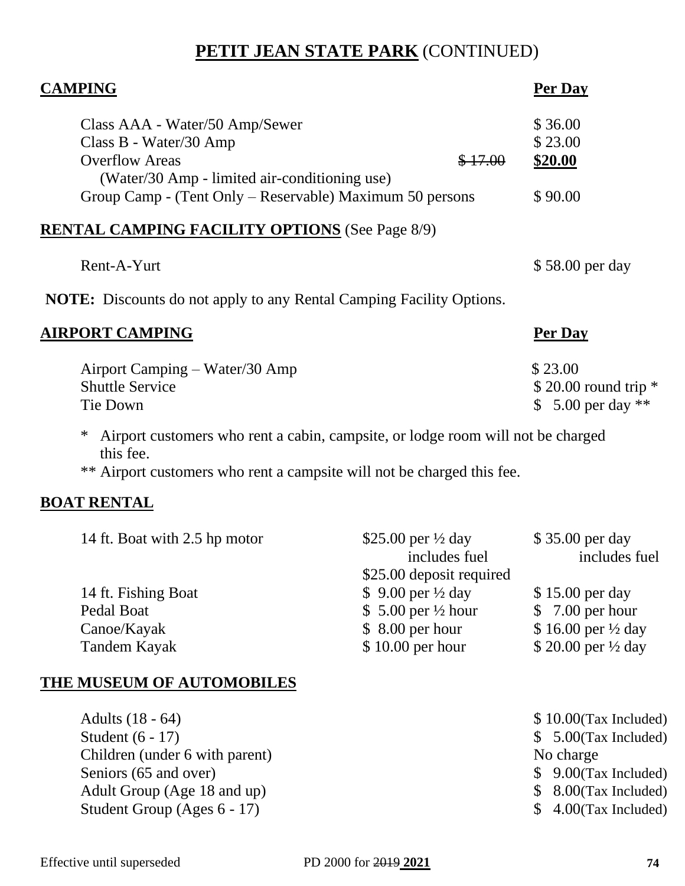# **PETIT JEAN STATE PARK** (CONTINUED)

| <b>CAMPING</b>                                                                                         | Per Day              |
|--------------------------------------------------------------------------------------------------------|----------------------|
| Class AAA - Water/50 Amp/Sewer                                                                         | \$36.00              |
| Class B - Water/30 Amp                                                                                 | \$23.00              |
| <b>Overflow Areas</b><br>(Water/30 Amp - limited air-conditioning use)                                 | \$20.00<br>\$17.00   |
| Group Camp - (Tent Only – Reservable) Maximum 50 persons                                               | \$90.00              |
| <b>RENTAL CAMPING FACILITY OPTIONS</b> (See Page 8/9)                                                  |                      |
| Rent-A-Yurt                                                                                            | \$58.00 per day      |
| <b>NOTE:</b> Discounts do not apply to any Rental Camping Facility Options.                            |                      |
| <u>AIRPORT CAMPING</u>                                                                                 | <b>Per Day</b>       |
| Airport Camping – Water/30 Amp                                                                         | \$23.00              |
| <b>Shuttle Service</b>                                                                                 | \$20.00 round trip * |
| Tie Down                                                                                               | \$ 5.00 per day $**$ |
| Airport customers who rent a cabin, campsite, or lodge room will not be charged<br>$\ast$<br>this fee. |                      |
| ** Airport customers who rent a campsite will not be charged this fee.                                 |                      |

## **BOAT RENTAL**

| 14 ft. Boat with 2.5 hp motor | \$25.00 per $\frac{1}{2}$ day  | \$35.00 per day                |
|-------------------------------|--------------------------------|--------------------------------|
|                               | includes fuel                  | includes fuel                  |
|                               | \$25.00 deposit required       |                                |
| 14 ft. Fishing Boat           | \$ 9.00 per $\frac{1}{2}$ day  | \$15.00 per day                |
| Pedal Boat                    | \$ 5.00 per $\frac{1}{2}$ hour | $$7.00$ per hour               |
| Canoe/Kayak                   | $$8.00$ per hour               | \$16.00 per $\frac{1}{2}$ day  |
| Tandem Kayak                  | \$10.00 per hour               | \$ 20.00 per $\frac{1}{2}$ day |

## **THE MUSEUM OF AUTOMOBILES**

| Adults (18 - 64)               | $$10.00$ (Tax Included) |
|--------------------------------|-------------------------|
| Student $(6 - 17)$             | $$5.00(Tax$ Included)   |
| Children (under 6 with parent) | No charge               |
| Seniors (65 and over)          | $$9.00(Tax$ Included)   |
| Adult Group (Age 18 and up)    | $$8.00(Tax$ Included)   |
| Student Group (Ages $6 - 17$ ) | $$4.00(Tax$ Included)   |
|                                |                         |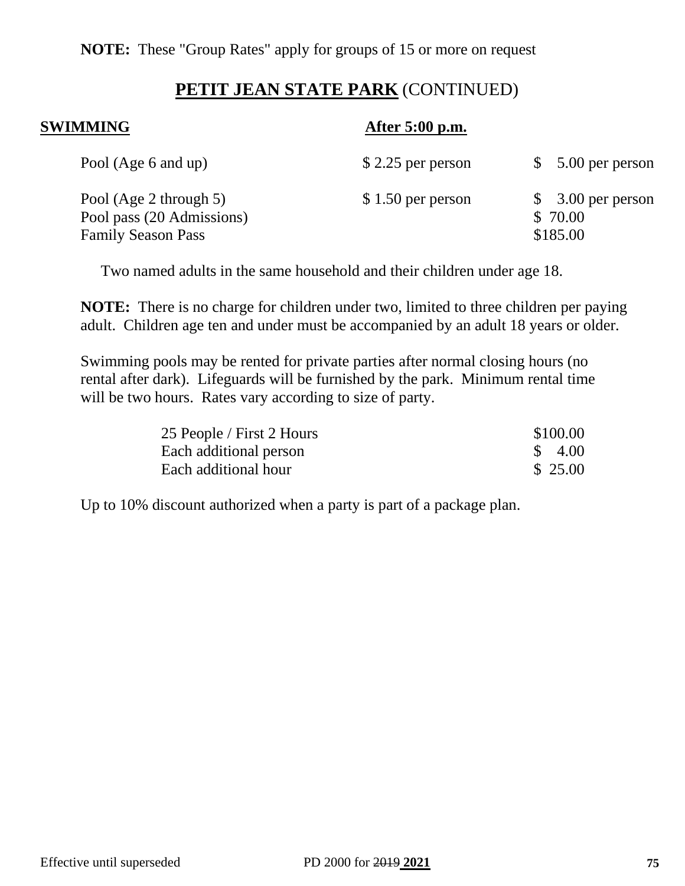## **PETIT JEAN STATE PARK** (CONTINUED)

## **SWIMMING** After 5:00 p.m.

| Pool (Age 6 and up)                                                              | $$2.25$ per person | $$5.00$ per person                        |
|----------------------------------------------------------------------------------|--------------------|-------------------------------------------|
| Pool (Age 2 through 5)<br>Pool pass (20 Admissions)<br><b>Family Season Pass</b> | $$1.50$ per person | $$3.00$ per person<br>\$70.00<br>\$185.00 |

Two named adults in the same household and their children under age 18.

**NOTE:** There is no charge for children under two, limited to three children per paying adult. Children age ten and under must be accompanied by an adult 18 years or older.

Swimming pools may be rented for private parties after normal closing hours (no rental after dark). Lifeguards will be furnished by the park. Minimum rental time will be two hours. Rates vary according to size of party.

| 25 People / First 2 Hours | \$100.00           |
|---------------------------|--------------------|
| Each additional person    | $\frac{1}{2}$ 4.00 |
| Each additional hour      | \$ 25.00           |

Up to 10% discount authorized when a party is part of a package plan.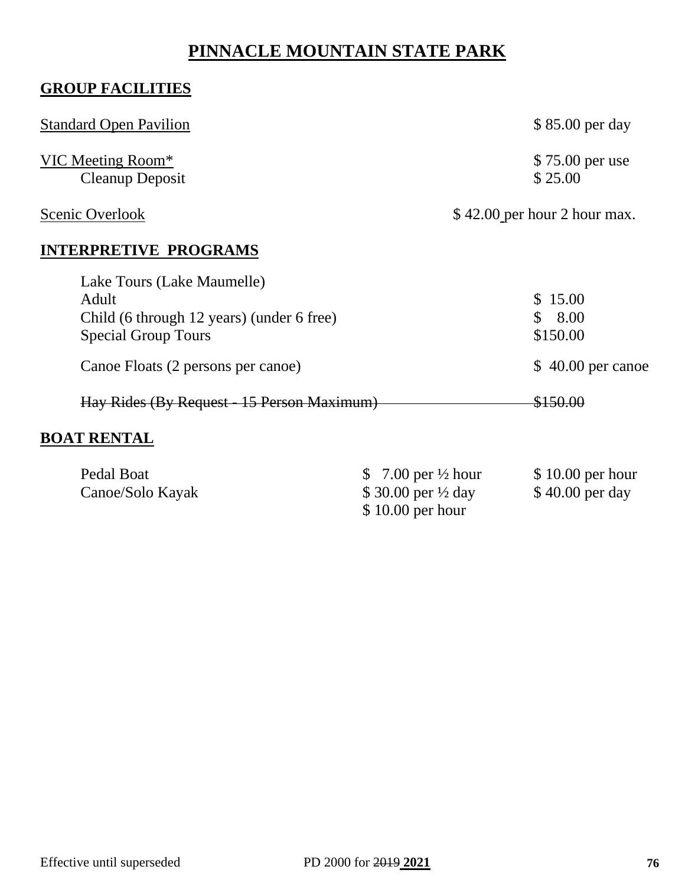# **PINNACLE MOUNTAIN STATE PARK**

# **GROUP FACILITIES**

| <b>Standard Open Pavilion</b>                                                                                                                        | \$85.00 per day                                                       |
|------------------------------------------------------------------------------------------------------------------------------------------------------|-----------------------------------------------------------------------|
| VIC Meeting Room*<br><b>Cleanup Deposit</b>                                                                                                          | \$75.00 per use<br>\$25.00                                            |
| Scenic Overlook                                                                                                                                      | \$42.00 per hour 2 hour max.                                          |
| <b>INTERPRETIVE PROGRAMS</b>                                                                                                                         |                                                                       |
| Lake Tours (Lake Maumelle)<br>Adult<br>Child (6 through 12 years) (under 6 free)<br><b>Special Group Tours</b><br>Canoe Floats (2 persons per canoe) | \$15.00<br>8.00<br>S.<br>\$150.00<br>40.00 per canoe<br>$\mathcal{S}$ |
| Hay Rides (By Request - 15 Person Maximum)                                                                                                           | \$150.00                                                              |
| <b>BOAT RENTAL</b>                                                                                                                                   |                                                                       |

| Pedal Boat       | \$ 7.00 per $\frac{1}{2}$ hour | $$10.00$ per hour |
|------------------|--------------------------------|-------------------|
| Canoe/Solo Kayak | \$ 30.00 per $\frac{1}{2}$ day | $$40.00$ per day  |
|                  | $$10.00$ per hour              |                   |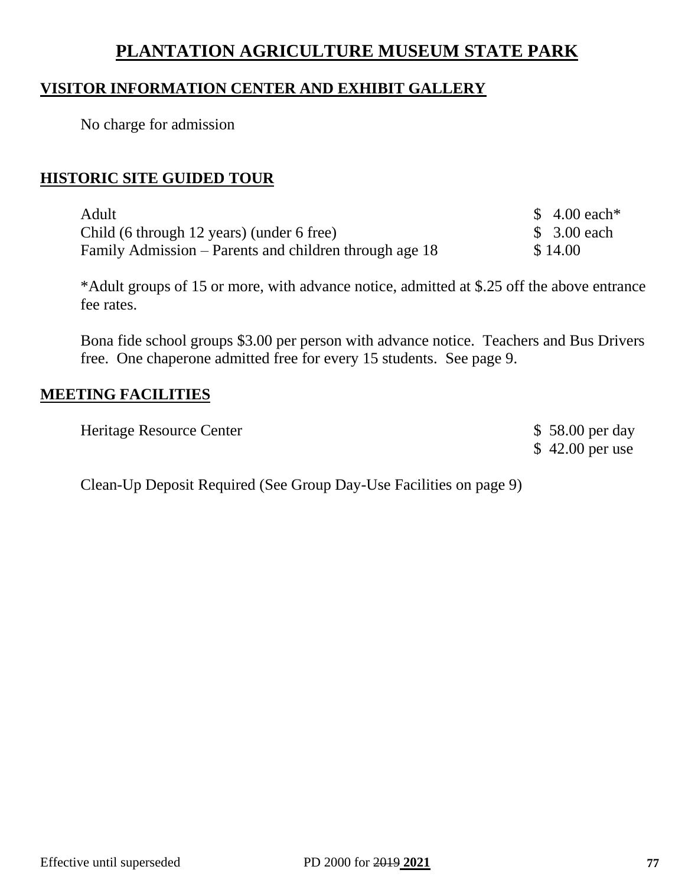# **PLANTATION AGRICULTURE MUSEUM STATE PARK**

### **VISITOR INFORMATION CENTER AND EXHIBIT GALLERY**

No charge for admission

#### **HISTORIC SITE GUIDED TOUR**

| Adult                                                  |         | \$ 4.00 each* |
|--------------------------------------------------------|---------|---------------|
| Child (6 through 12 years) (under 6 free)              |         | \$ 3.00 each  |
| Family Admission – Parents and children through age 18 | \$14.00 |               |

\*Adult groups of 15 or more, with advance notice, admitted at \$.25 off the above entrance fee rates.

Bona fide school groups \$3.00 per person with advance notice. Teachers and Bus Drivers free. One chaperone admitted free for every 15 students. See page 9.

### **MEETING FACILITIES**

| Heritage Resource Center | \$58.00 per day  |
|--------------------------|------------------|
|                          | $$42.00$ per use |

Clean-Up Deposit Required (See Group Day-Use Facilities on page 9)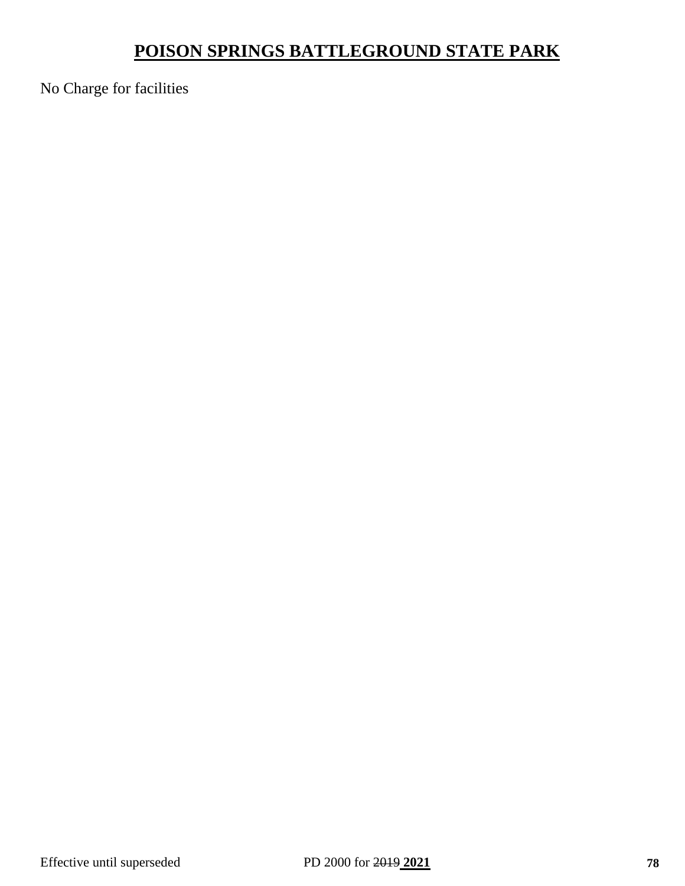# **POISON SPRINGS BATTLEGROUND STATE PARK**

No Charge for facilities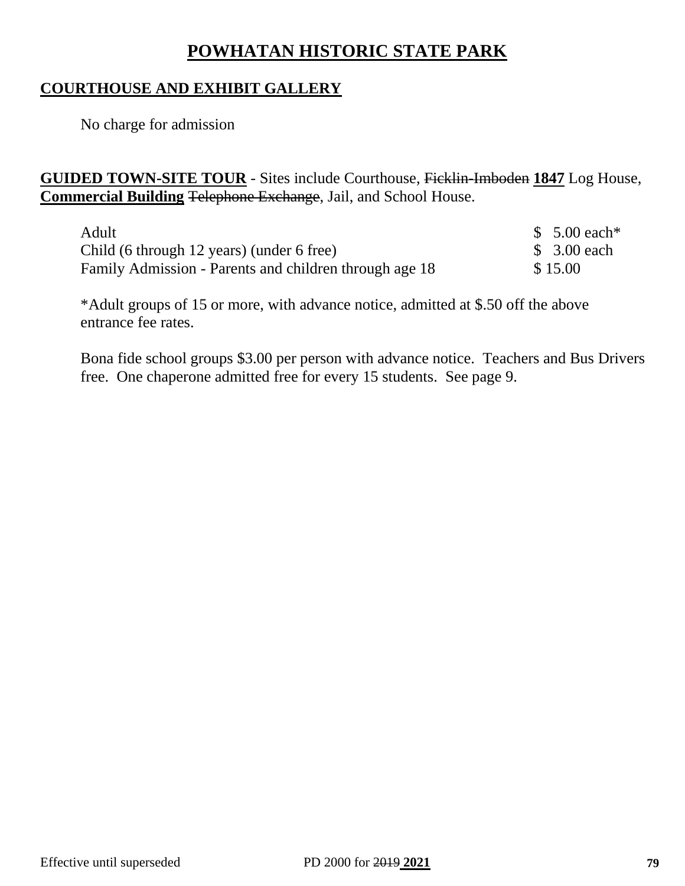# **POWHATAN HISTORIC STATE PARK**

## **COURTHOUSE AND EXHIBIT GALLERY**

No charge for admission

**GUIDED TOWN-SITE TOUR** - Sites include Courthouse, Ficklin-Imboden **1847** Log House, **Commercial Building** Telephone Exchange, Jail, and School House.

| Adult                                                  | \$ 5.00 each* |
|--------------------------------------------------------|---------------|
| Child (6 through 12 years) (under 6 free)              | \$ 3.00 each  |
| Family Admission - Parents and children through age 18 | \$15.00       |

\*Adult groups of 15 or more, with advance notice, admitted at \$.50 off the above entrance fee rates.

Bona fide school groups \$3.00 per person with advance notice. Teachers and Bus Drivers free. One chaperone admitted free for every 15 students. See page 9.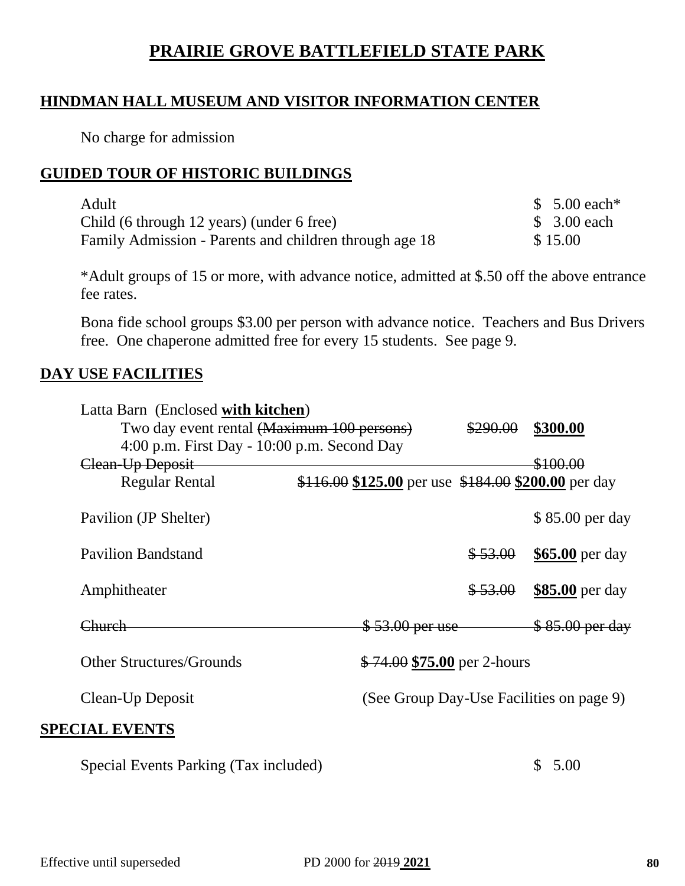# **PRAIRIE GROVE BATTLEFIELD STATE PARK**

## **HINDMAN HALL MUSEUM AND VISITOR INFORMATION CENTER**

No charge for admission

## **GUIDED TOUR OF HISTORIC BUILDINGS**

| Adult                                                  | $$5.00$ each* |
|--------------------------------------------------------|---------------|
| Child (6 through 12 years) (under 6 free)              | \$ 3.00 each  |
| Family Admission - Parents and children through age 18 | \$15.00       |

\*Adult groups of 15 or more, with advance notice, admitted at \$.50 off the above entrance fee rates.

Bona fide school groups \$3.00 per person with advance notice. Teachers and Bus Drivers free. One chaperone admitted free for every 15 students. See page 9.

## **DAY USE FACILITIES**

| Latta Barn (Enclosed with kitchen)            |                                                     |          |                                          |
|-----------------------------------------------|-----------------------------------------------------|----------|------------------------------------------|
| Two day event rental (Maximum 100 persons)    |                                                     | \$290.00 | \$300.00                                 |
| $4:00$ p.m. First Day - 10:00 p.m. Second Day |                                                     |          |                                          |
| Clean-Up Deposit                              |                                                     |          | \$100.00                                 |
| <b>Regular Rental</b>                         | \$116.00 \$125.00 per use \$184.00 \$200.00 per day |          |                                          |
| Pavilion (JP Shelter)                         |                                                     |          | \$85.00 per day                          |
| <b>Pavilion Bandstand</b>                     |                                                     | \$53.00  | \$65.00 per day                          |
| Amphitheater                                  |                                                     | \$53.00  | \$85.00 per day                          |
| Church                                        | <del>\$53.00 per use</del>                          |          | \$85.00 per day                          |
| <b>Other Structures/Grounds</b>               | $$74.00 $75.00$ per 2-hours                         |          |                                          |
| Clean-Up Deposit                              |                                                     |          | (See Group Day-Use Facilities on page 9) |
| <b>SPECIAL EVENTS</b>                         |                                                     |          |                                          |
| Special Events Parking (Tax included)         |                                                     |          | 5.00                                     |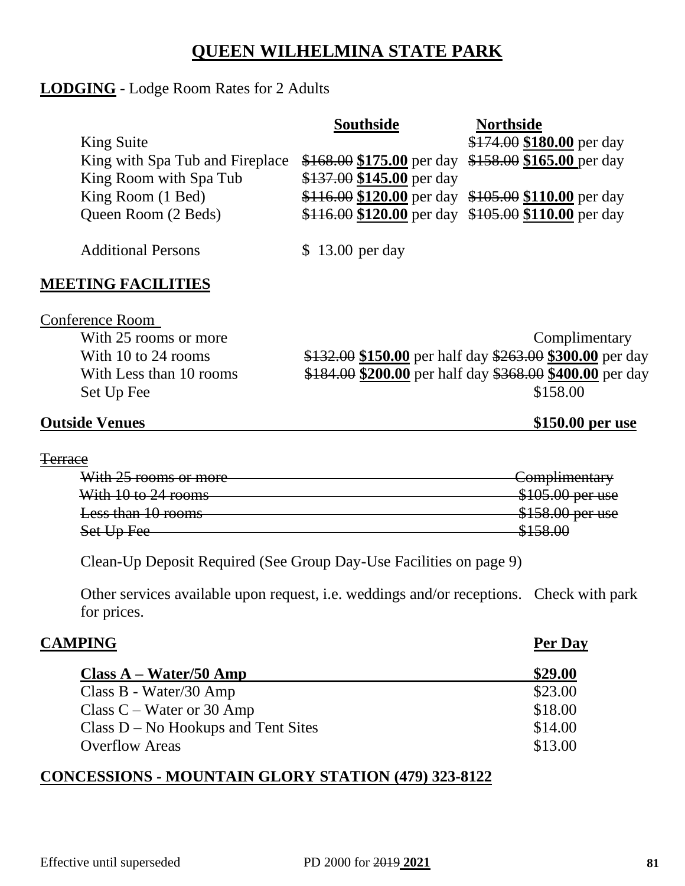## **QUEEN WILHELMINA STATE PARK**

### **LODGING** - Lodge Room Rates for 2 Adults

|                                 | <b>Southside</b>                                    | <b>Northside</b>                                    |
|---------------------------------|-----------------------------------------------------|-----------------------------------------------------|
| King Suite                      |                                                     | \$174.00 \$180.00 per day                           |
| King with Spa Tub and Fireplace | \$168.00 \$175.00 per day \$158.00 \$165.00 per day |                                                     |
| King Room with Spa Tub          | \$137.00 \$145.00 per day                           |                                                     |
| King Room (1 Bed)               |                                                     | \$116.00 \$120.00 per day \$105.00 \$110.00 per day |
| Queen Room (2 Beds)             | \$116.00 \$120.00 per day \$105.00 \$110.00 per day |                                                     |
|                                 |                                                     |                                                     |
| <b>Additional Persons</b>       | \$13.00 per day                                     |                                                     |

### **MEETING FACILITIES**

Conference Room

With 25 rooms or more Complimentary With 10 to 24 rooms  $$132.00 $150.00$  per half day  $$263.00 $300.00$  per day With Less than 10 rooms  $$184.00$   $$200.00$  per half day  $$368.00$   $$400.00$  per day Set Up Fee  $$158.00$ 

### **Outside Venues \$150.00 per use**

#### **Terrace**

| With 25 rooms or more | Complimentary                |
|-----------------------|------------------------------|
| With 10 to 24 rooms   | \$105.00 per use             |
| Less than 10 rooms    | \$158.00 per use             |
| Set Up Fee            | 215800<br><del>ง1J0.UU</del> |

Clean-Up Deposit Required (See Group Day-Use Facilities on page 9)

Other services available upon request, i.e. weddings and/or receptions. Check with park for prices.

| <b>CAMPING</b>                        | <b>Per Day</b> |
|---------------------------------------|----------------|
| $Class A-Water/50 Amp$                | \$29.00        |
| Class B - Water/30 Amp                | \$23.00        |
| Class $C$ – Water or 30 Amp           | \$18.00        |
| $Class D - No Hookups$ and Tent Sites | \$14.00        |
| <b>Overflow Areas</b>                 | \$13.00        |

## **CONCESSIONS - MOUNTAIN GLORY STATION (479) 323-8122**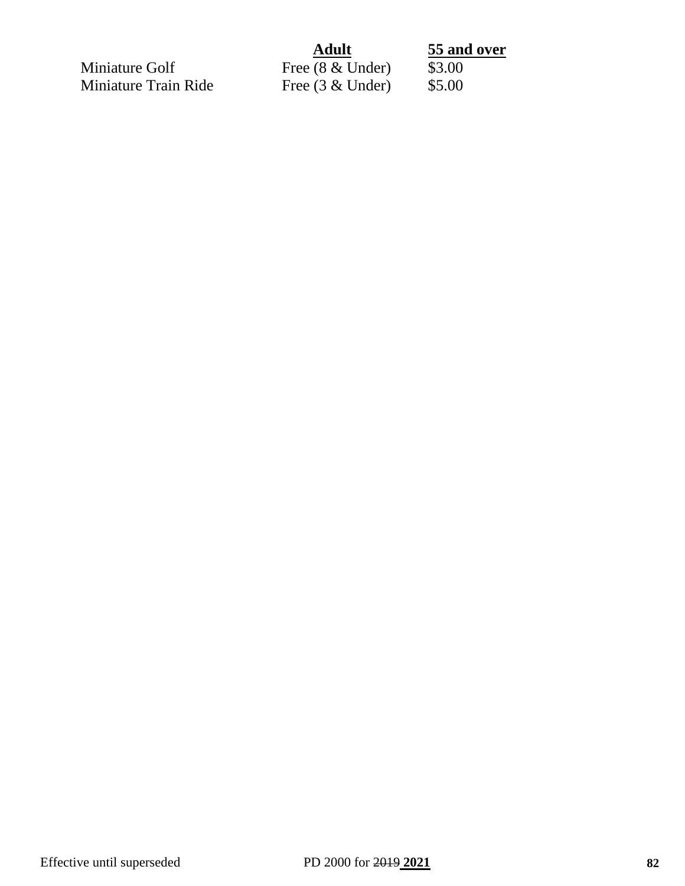| and over |  |
|----------|--|
|          |  |

Miniature Train Ride

**Adult** 55 and over<br> **62 Under** 53.00 Miniature Golf<br>
Miniature Train Ride<br>
Free (3 & Under) \$5.00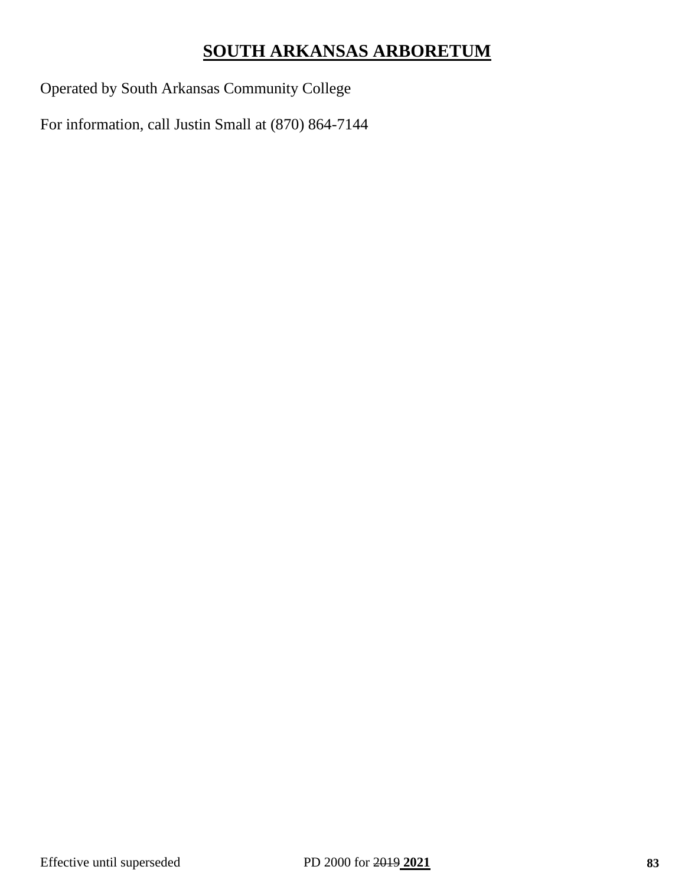# **SOUTH ARKANSAS ARBORETUM**

Operated by South Arkansas Community College

For information, call Justin Small at (870) 864-7144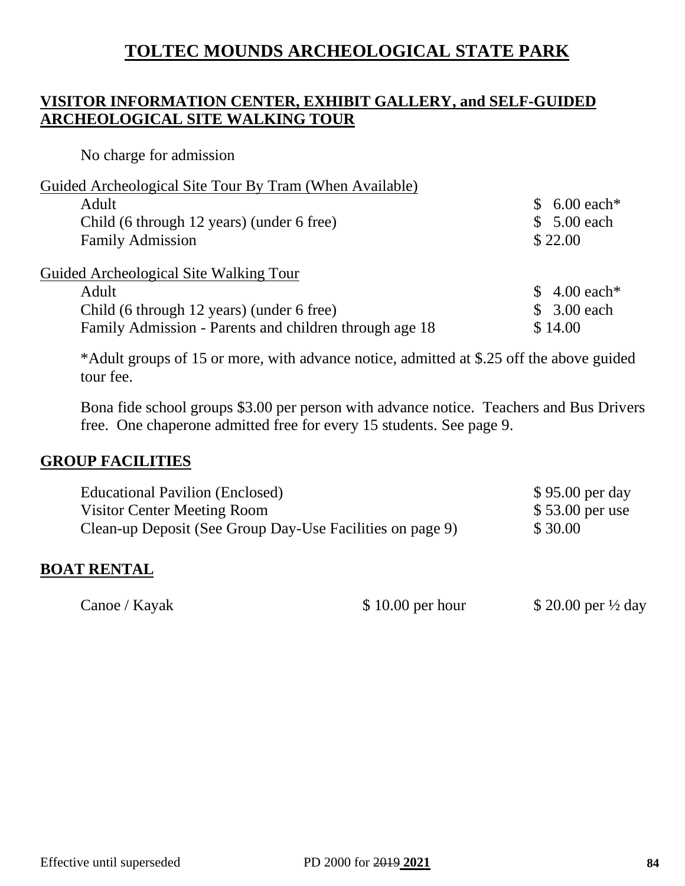# **TOLTEC MOUNDS ARCHEOLOGICAL STATE PARK**

## **VISITOR INFORMATION CENTER, EXHIBIT GALLERY, and SELF-GUIDED ARCHEOLOGICAL SITE WALKING TOUR**

No charge for admission

| $6.00$ each*       |
|--------------------|
| \$ 5.00 each       |
|                    |
|                    |
| $$4.00$ each*      |
| \$ 3.00 each       |
|                    |
| \$22.00<br>\$14.00 |

\*Adult groups of 15 or more, with advance notice, admitted at \$.25 off the above guided tour fee.

Bona fide school groups \$3.00 per person with advance notice. Teachers and Bus Drivers free. One chaperone admitted free for every 15 students. See page 9.

#### **GROUP FACILITIES**

| <b>Educational Pavilion (Enclosed)</b>                    | \$95.00 per day  |
|-----------------------------------------------------------|------------------|
| Visitor Center Meeting Room                               | $$53.00$ per use |
| Clean-up Deposit (See Group Day-Use Facilities on page 9) | \$30.00          |

#### **BOAT RENTAL**

Canoe / Kayak  $$ 10.00$  per hour  $$ 20.00$  per  $\frac{1}{2}$  day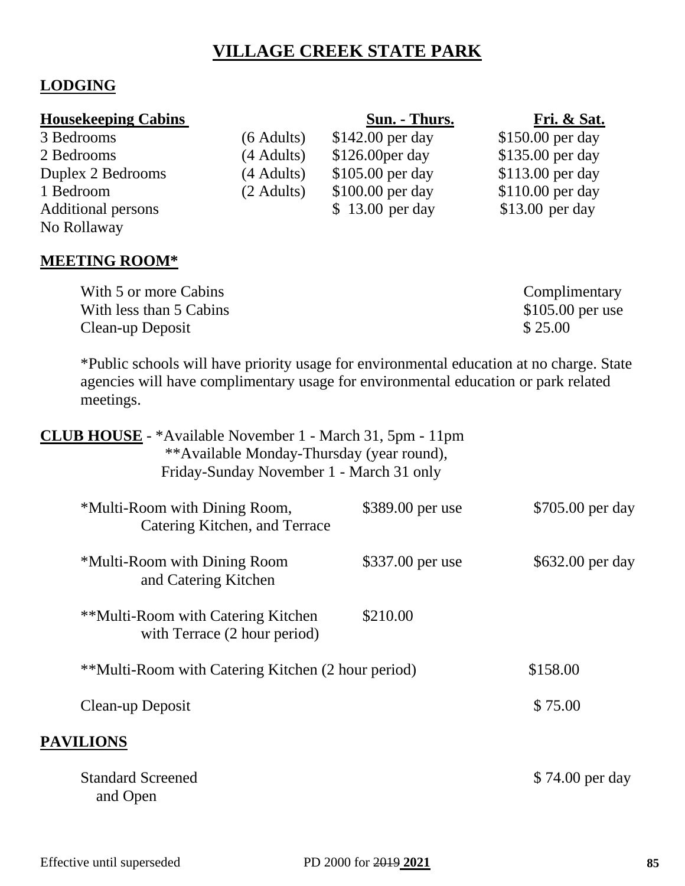# **VILLAGE CREEK STATE PARK**

## **LODGING**

| <b>Housekeeping Cabins</b> |              | Sun. - Thurs.     | Fri. & Sat.       |
|----------------------------|--------------|-------------------|-------------------|
| 3 Bedrooms                 | $(6$ Adults) | $$142.00$ per day | \$150.00 per day  |
| 2 Bedrooms                 | (4 Adults)   | $$126.00per$ day  | \$135.00 per day  |
| Duplex 2 Bedrooms          | (4 Adults)   | \$105.00 per day  | \$113.00 per day  |
| 1 Bedroom                  | $(2$ Adults) | \$100.00 per day  | $$110.00$ per day |
| <b>Additional persons</b>  |              | \$13.00 per day   | $$13.00$ per day  |
| No Rollaway                |              |                   |                   |

## **MEETING ROOM\***

| With 5 or more Cabins   | Complimentary     |
|-------------------------|-------------------|
| With less than 5 Cabins | $$105.00$ per use |
| Clean-up Deposit        | \$25.00           |

\*Public schools will have priority usage for environmental education at no charge. State agencies will have complimentary usage for environmental education or park related meetings.

| <b>CLUB HOUSE</b> - *Available November 1 - March 31, 5pm - 11pm<br>**Available Monday-Thursday (year round),<br>Friday-Sunday November 1 - March 31 only |                  |                  |
|-----------------------------------------------------------------------------------------------------------------------------------------------------------|------------------|------------------|
| *Multi-Room with Dining Room,<br>Catering Kitchen, and Terrace                                                                                            | \$389.00 per use | \$705.00 per day |
| *Multi-Room with Dining Room<br>and Catering Kitchen                                                                                                      | \$337.00 per use | \$632.00 per day |
| **Multi-Room with Catering Kitchen<br>with Terrace (2 hour period)                                                                                        | \$210.00         |                  |
| **Multi-Room with Catering Kitchen (2 hour period)                                                                                                        |                  | \$158.00         |
| Clean-up Deposit                                                                                                                                          |                  | \$75.00          |
| <b>PAVILIONS</b>                                                                                                                                          |                  |                  |
| <b>Standard Screened</b><br>and Open                                                                                                                      |                  | \$74.00 per day  |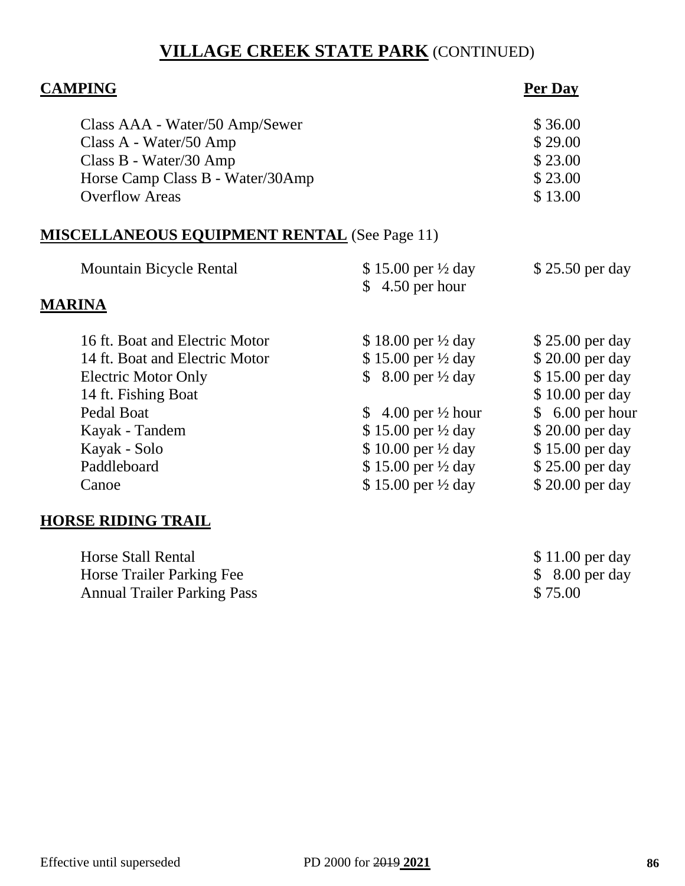# **VILLAGE CREEK STATE PARK** (CONTINUED)

| <b>CAMPING</b>                                      |                                | Per Day          |
|-----------------------------------------------------|--------------------------------|------------------|
| Class AAA - Water/50 Amp/Sewer                      |                                | \$36.00          |
| Class A - Water/50 Amp                              |                                | \$29.00          |
| Class B - Water/30 Amp                              |                                | \$23.00          |
| Horse Camp Class B - Water/30Amp                    |                                | \$23.00          |
| <b>Overflow Areas</b>                               |                                | \$13.00          |
| <b>MISCELLANEOUS EQUIPMENT RENTAL</b> (See Page 11) |                                |                  |
| <b>Mountain Bicycle Rental</b>                      | \$15.00 per $\frac{1}{2}$ day  | \$25.50 per day  |
|                                                     | $$4.50$ per hour               |                  |
| <b>MARINA</b>                                       |                                |                  |
| 16 ft. Boat and Electric Motor                      | \$18.00 per $\frac{1}{2}$ day  | \$25.00 per day  |
| 14 ft. Boat and Electric Motor                      | \$15.00 per ½ day              | \$20.00 per day  |
| <b>Electric Motor Only</b>                          | \$ 8.00 per $\frac{1}{2}$ day  | \$15.00 per day  |
| 14 ft. Fishing Boat                                 |                                | \$10.00 per day  |
| <b>Pedal Boat</b>                                   | \$ 4.00 per $\frac{1}{2}$ hour | $$6.00$ per hour |
| Kayak - Tandem                                      | \$15.00 per ½ day              | \$20.00 per day  |
| Kayak - Solo                                        | \$10.00 per 1/2 day            | \$15.00 per day  |
| Paddleboard                                         | \$15.00 per 1/2 day            | \$25.00 per day  |
| Canoe                                               | $$15.00$ per $\frac{1}{2}$ day | \$20.00 per day  |
| <b>HORSE RIDING TRAIL</b>                           |                                |                  |
| <b>Horse Stall Rental</b>                           |                                | \$11.00 per day  |
| Horse Trailer Parking Fee                           |                                | $$8.00$ per day  |
| <b>Annual Trailer Parking Pass</b>                  |                                | \$75.00          |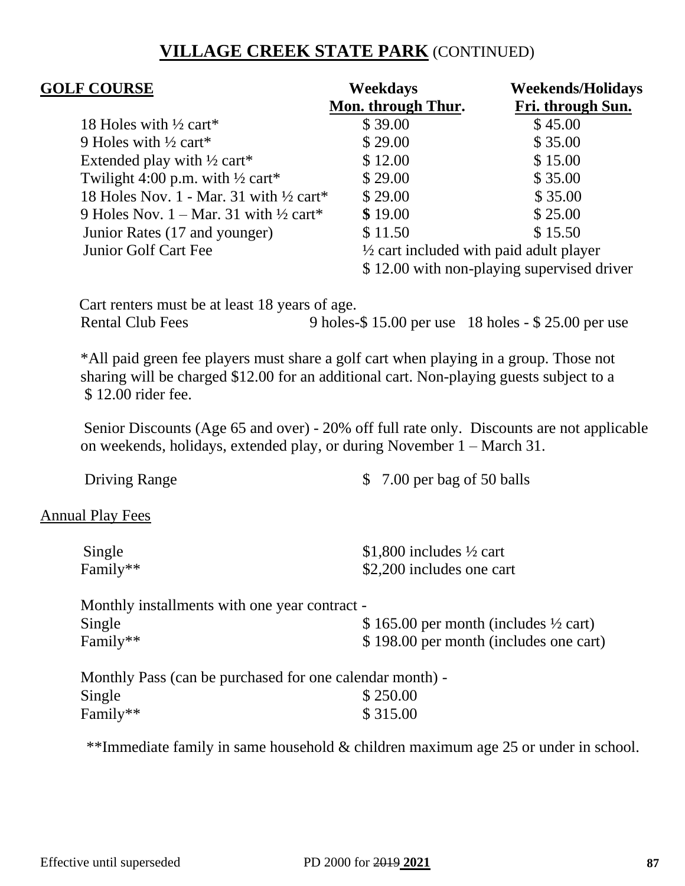# **VILLAGE CREEK STATE PARK** (CONTINUED)

| <b>GOLF COURSE</b>                                          | Weekdays                                           | <b>Weekends/Holidays</b>                   |
|-------------------------------------------------------------|----------------------------------------------------|--------------------------------------------|
|                                                             | Mon. through Thur.                                 | Fri. through Sun.                          |
| 18 Holes with $\frac{1}{2}$ cart*                           | \$39.00                                            | \$45.00                                    |
| 9 Holes with $\frac{1}{2}$ cart*                            | \$29.00                                            | \$35.00                                    |
| Extended play with $\frac{1}{2}$ cart*                      | \$12.00                                            | \$15.00                                    |
| Twilight 4:00 p.m. with $\frac{1}{2}$ cart*                 | \$29.00                                            | \$35.00                                    |
| 18 Holes Nov. 1 - Mar. 31 with $\frac{1}{2}$ cart*          | \$29.00                                            | \$35.00                                    |
| 9 Holes Nov. $1 - \text{Mar. } 31$ with $\frac{1}{2}$ cart* | \$19.00                                            | \$25.00                                    |
| Junior Rates (17 and younger)                               | \$11.50                                            | \$15.50                                    |
| Junior Golf Cart Fee                                        | $\frac{1}{2}$ cart included with paid adult player |                                            |
|                                                             |                                                    | \$12.00 with non-playing supervised driver |

 Cart renters must be at least 18 years of age. Rental Club Fees 9 holes-\$ 15.00 per use 18 holes - \$ 25.00 per use

\*All paid green fee players must share a golf cart when playing in a group. Those not sharing will be charged \$12.00 for an additional cart. Non-playing guests subject to a \$ 12.00 rider fee.

Senior Discounts (Age 65 and over) - 20% off full rate only. Discounts are not applicable on weekends, holidays, extended play, or during November 1 – March 31.

Driving Range  $\qquad$  \$ 7.00 per bag of 50 balls Annual Play Fees Single  $$1,800$  includes  $\frac{1}{2}$  cart Family\*\*  $$2,200$  includes one cart Monthly installments with one year contract - Single  $$ 165.00$  per month (includes  $\frac{1}{2}$  cart) Family\*\*  $$ 198.00$  per month (includes one cart)

Monthly Pass (can be purchased for one calendar month) -  $\text{Single}$  \$ 250.00 Family\*\*  $\$ 315.00$ 

\*\*Immediate family in same household & children maximum age 25 or under in school.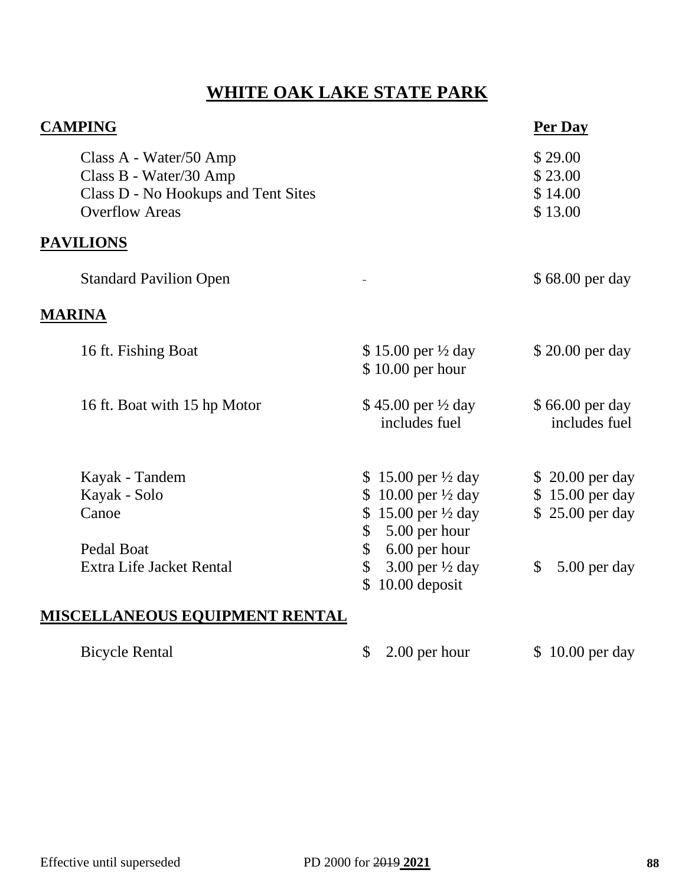# **WHITE OAK LAKE STATE PARK**

| <b>CAMPING</b>                                                                                                   |                                                                                        | Per Day                                  |
|------------------------------------------------------------------------------------------------------------------|----------------------------------------------------------------------------------------|------------------------------------------|
| Class A - Water/50 Amp<br>Class B - Water/30 Amp<br>Class D - No Hookups and Tent Sites<br><b>Overflow Areas</b> |                                                                                        | \$29.00<br>\$23.00<br>\$14.00<br>\$13.00 |
| <b>PAVILIONS</b>                                                                                                 |                                                                                        |                                          |
| <b>Standard Pavilion Open</b>                                                                                    |                                                                                        | \$68.00 per day                          |
| <b>MARINA</b>                                                                                                    |                                                                                        |                                          |
| 16 ft. Fishing Boat                                                                                              | \$15.00 per ½ day<br>\$10.00 per hour                                                  | \$20.00 per day                          |
| 16 ft. Boat with 15 hp Motor                                                                                     | \$45.00 per $\frac{1}{2}$ day<br>includes fuel                                         | \$66.00 per day<br>includes fuel         |
| Kayak - Tandem                                                                                                   | \$15.00 per $\frac{1}{2}$ day                                                          | \$20.00 per day                          |
| Kayak - Solo<br>Canoe                                                                                            | \$ 10.00 per $\frac{1}{2}$ day<br>\$15.00 per $\frac{1}{2}$ day<br>5.00 per hour<br>\$ | \$15.00 per day<br>\$25.00 per day       |
| Pedal Boat<br>Extra Life Jacket Rental                                                                           | 6.00 per hour<br>\$<br>3.00 per $\frac{1}{2}$ day<br>\$<br>10.00 deposit<br>\$         | 5.00 per day<br>$\mathbb{S}$             |
| MISCELLANEOUS EQUIPMENT RENTAL                                                                                   |                                                                                        |                                          |

\$ 2.00 per hour \$ 10.00 per day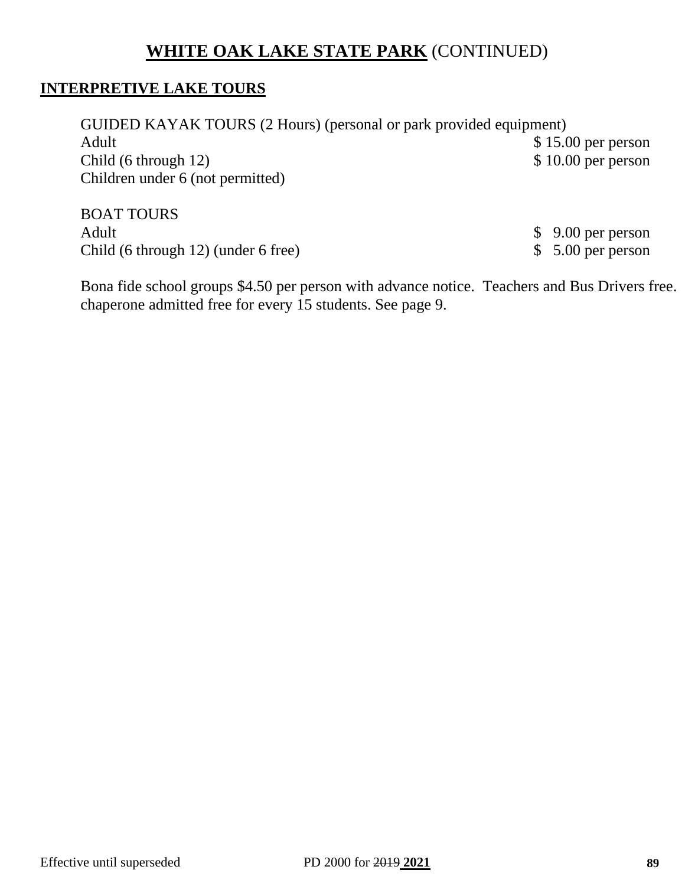# **WHITE OAK LAKE STATE PARK** (CONTINUED)

### **INTERPRETIVE LAKE TOURS**

GUIDED KAYAK TOURS (2 Hours) (personal or park provided equipment) Adult \$15.00 per person Child (6 through 12) \$10.00 per person Children under 6 (not permitted)

BOAT TOURS Adult \$ 9.00 per person Child (6 through 12) (under 6 free) \$ 5.00 per person

Bona fide school groups \$4.50 per person with advance notice. Teachers and Bus Drivers free. chaperone admitted free for every 15 students. See page 9.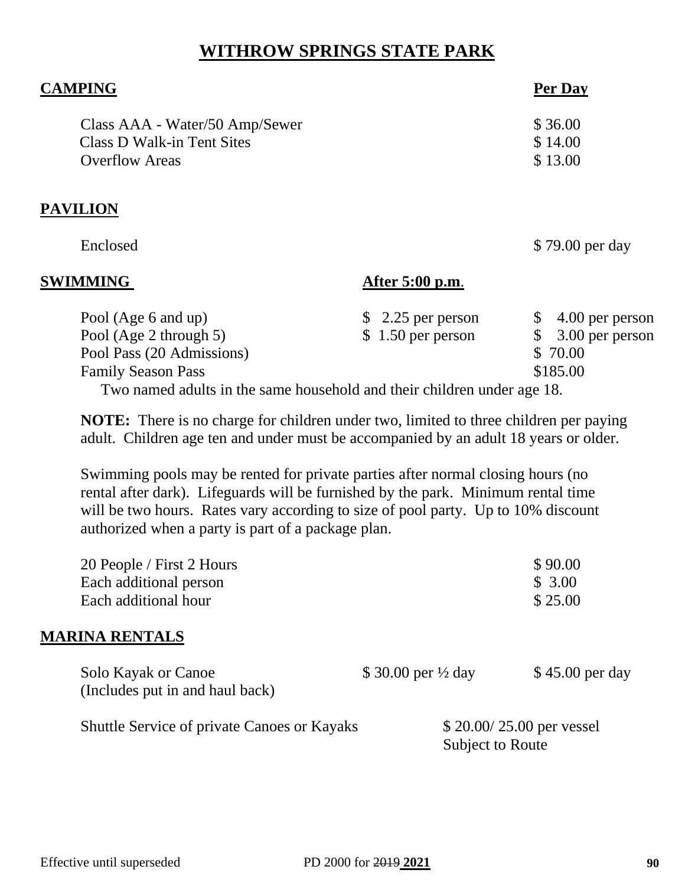# **WITHROW SPRINGS STATE PARK**

| <b>CAMPING</b>                    | Per Day |
|-----------------------------------|---------|
| Class AAA - Water/50 Amp/Sewer    | \$36.00 |
| <b>Class D Walk-in Tent Sites</b> | \$14.00 |
| <b>Overflow Areas</b>             | \$13.00 |
|                                   |         |
| _ . _ _ _ _ _ _                   |         |

## **PAVILION**

Enclosed \$79.00 per day

### **SWIMMING After 5:00 p.m**.

| Pool (Age 6 and up)                                                     |  | $$2.25$ per person |  | $$4.00$ per person |
|-------------------------------------------------------------------------|--|--------------------|--|--------------------|
| Pool (Age 2 through 5)                                                  |  | $$1.50$ per person |  | $$3.00$ per person |
| Pool Pass (20 Admissions)                                               |  |                    |  | \$ 70.00           |
| <b>Family Season Pass</b>                                               |  |                    |  | \$185.00           |
| Two named adults in the same household and their children under age 18. |  |                    |  |                    |

**NOTE:** There is no charge for children under two, limited to three children per paying adult. Children age ten and under must be accompanied by an adult 18 years or older.

Swimming pools may be rented for private parties after normal closing hours (no rental after dark). Lifeguards will be furnished by the park. Minimum rental time will be two hours. Rates vary according to size of pool party. Up to 10% discount authorized when a party is part of a package plan.

| 20 People / First 2 Hours<br>Each additional person<br>Each additional hour |                                | \$90.00<br>\$3.00<br>\$25.00                 |
|-----------------------------------------------------------------------------|--------------------------------|----------------------------------------------|
| <b>MARINA RENTALS</b>                                                       |                                |                                              |
| Solo Kayak or Canoe<br>(Includes put in and haul back)                      | \$ 30.00 per $\frac{1}{2}$ day | $$45.00$ per day                             |
| <b>Shuttle Service of private Canoes or Kayaks</b>                          |                                | \$20.00/25.00 per vessel<br>Subject to Route |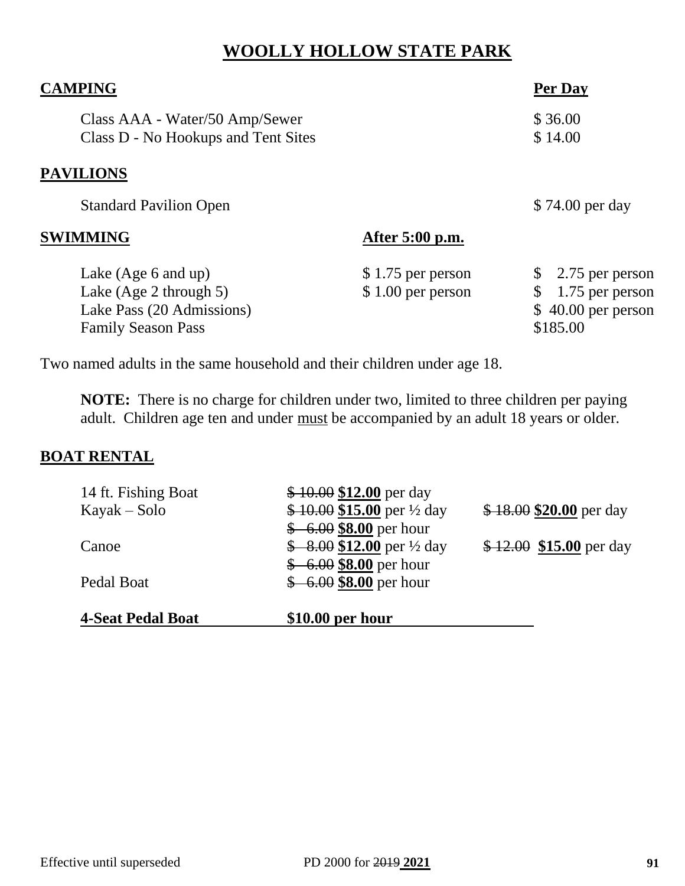# **WOOLLY HOLLOW STATE PARK**

| <b>CAMPING</b>                                                        |                    | Per Day             |
|-----------------------------------------------------------------------|--------------------|---------------------|
| Class AAA - Water/50 Amp/Sewer<br>Class D - No Hookups and Tent Sites |                    | \$36.00<br>\$14.00  |
| <b>PAVILIONS</b>                                                      |                    |                     |
| <b>Standard Pavilion Open</b>                                         |                    | \$74.00 per day     |
| <b>SWIMMING</b>                                                       | After 5:00 p.m.    |                     |
| Lake $(Age 6$ and up)                                                 | $$1.75$ per person | 2.75 per person     |
| Lake (Age 2 through 5)                                                | $$1.00$ per person | 1.75 per person     |
| Lake Pass (20 Admissions)                                             |                    | $$40.00$ per person |
| <b>Family Season Pass</b>                                             |                    | \$185.00            |

Two named adults in the same household and their children under age 18.

**NOTE:** There is no charge for children under two, limited to three children per paying adult. Children age ten and under must be accompanied by an adult 18 years or older.

## **BOAT RENTAL**

| <b>4-Seat Pedal Boat</b> | $$10.00$ per hour                      |                          |
|--------------------------|----------------------------------------|--------------------------|
| Pedal Boat               | $$-6.00$ \$8.00 per hour               |                          |
|                          | $$-6.00$ \$8.00 per hour               |                          |
| Canoe                    | $$8.00$12.00 per \frac{1}{2}$ day      | $$12.00$ \$15.00 per day |
|                          | $$-6.00$ \$8.00 per hour               |                          |
| $Kayak - Solo$           | $$10.00$ \$15.00 per $\frac{1}{2}$ day | $$18.00 $20.00$ per day  |
| 14 ft. Fishing Boat      | $$10.00$ \$12.00 per day               |                          |